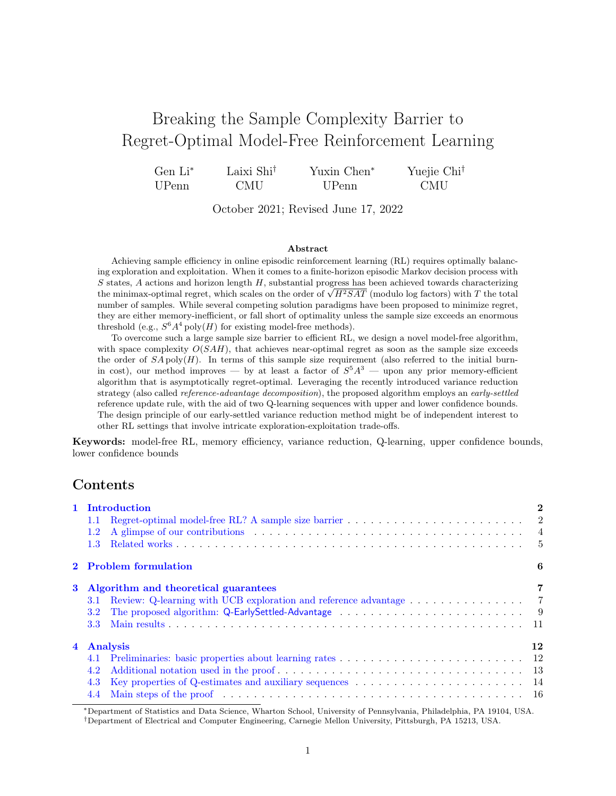# Breaking the Sample Complexity Barrier to Regret-Optimal Model-Free Reinforcement Learning

| $Gen Li^*$ | Laixi Shi <sup>†</sup> | Yuxin Chen <sup>*</sup> | Yuejie Chi <sup>†</sup> |
|------------|------------------------|-------------------------|-------------------------|
| UPenn      | CMU                    | UPenn                   | <b>CMU</b>              |

October 2021; Revised June 17, 2022

#### Abstract

Achieving sample efficiency in online episodic reinforcement learning (RL) requires optimally balancing exploration and exploitation. When it comes to a finite-horizon episodic Markov decision process with  $S$  states,  $A$  actions and horizon length  $H$ , substantial progress has been achieved towards characterizing S states, A actions and norizon length H, substantial progress has been achieved towards characterizing the minimax-optimal regret, which scales on the order of  $\sqrt{H^2SAT}$  (modulo log factors) with T the total number of samples. While several competing solution paradigms have been proposed to minimize regret, they are either memory-inefficient, or fall short of optimality unless the sample size exceeds an enormous threshold (e.g.,  $S^6 A^4$  poly(H) for existing model-free methods).

To overcome such a large sample size barrier to efficient RL, we design a novel model-free algorithm, with space complexity  $O(SAH)$ , that achieves near-optimal regret as soon as the sample size exceeds the order of  $S \wedge \text{poly}(H)$ . In terms of this sample size requirement (also referred to the initial burnin cost), our method improves — by at least a factor of  $S<sup>5</sup>A<sup>3</sup>$  — upon any prior memory-efficient algorithm that is asymptotically regret-optimal. Leveraging the recently introduced variance reduction strategy (also called *reference-advantage decomposition*), the proposed algorithm employs an *early-settled* reference update rule, with the aid of two Q-learning sequences with upper and lower confidence bounds. The design principle of our early-settled variance reduction method might be of independent interest to other RL settings that involve intricate exploration-exploitation trade-offs.

Keywords: model-free RL, memory efficiency, variance reduction, Q-learning, upper confidence bounds, lower confidence bounds

# Contents

|                | 1 Introduction                                                                                                                                                                                                                                  | $\bf{2}$ |
|----------------|-------------------------------------------------------------------------------------------------------------------------------------------------------------------------------------------------------------------------------------------------|----------|
|                | 1.1 Regret-optimal model-free RL? A sample size barrier $\dots \dots \dots \dots \dots \dots \dots \dots \dots$                                                                                                                                 |          |
|                | A glimpse of our contributions expansion of the set of the set of the set of the set of the set of the set of the set of the set of the set of the set of the set of the set of the set of the set of the set of the set of th<br>$1.2^{\circ}$ |          |
|                | 1.3                                                                                                                                                                                                                                             |          |
|                | 2 Problem formulation                                                                                                                                                                                                                           | 6        |
| $\bf{3}$       | Algorithm and theoretical guarantees                                                                                                                                                                                                            |          |
|                | Review: Q-learning with UCB exploration and reference advantage 7<br>3.1                                                                                                                                                                        |          |
|                | 3.2 <sub>2</sub>                                                                                                                                                                                                                                |          |
|                | 3.3                                                                                                                                                                                                                                             |          |
| $\overline{4}$ | Analysis                                                                                                                                                                                                                                        | 12       |
|                | 4.1                                                                                                                                                                                                                                             |          |
|                | 4.2                                                                                                                                                                                                                                             |          |
|                | 4.3                                                                                                                                                                                                                                             |          |
|                | Main steps of the proof entering in the context of the proof entering in the context of the proof entering in the context of the proof entering in the proof entering in the proof of the proof of the proof of the proof of t<br>4.4           |          |

<sup>∗</sup>Department of Statistics and Data Science, Wharton School, University of Pennsylvania, Philadelphia, PA 19104, USA.

†Department of Electrical and Computer Engineering, Carnegie Mellon University, Pittsburgh, PA 15213, USA.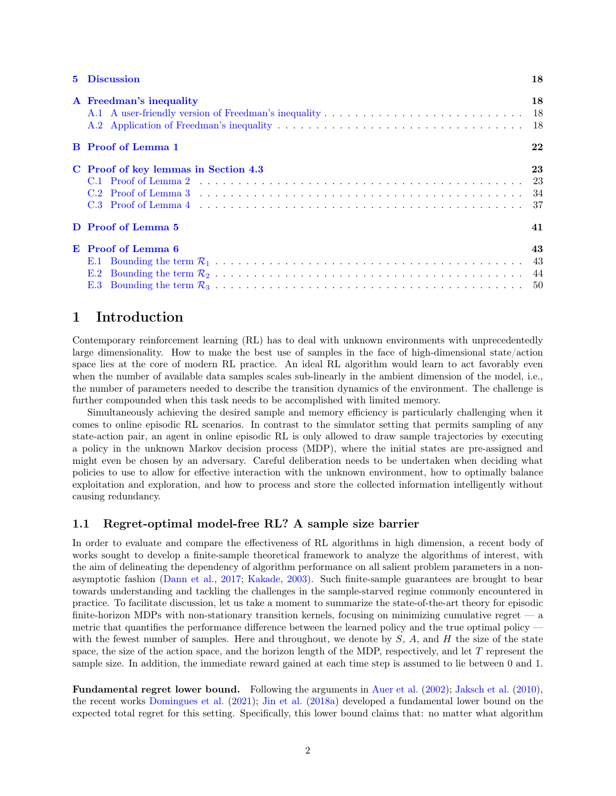| 5 Discussion                         | 18 |
|--------------------------------------|----|
| A Freedman's inequality              | 18 |
| <b>B</b> Proof of Lemma 1            | 22 |
| C Proof of key lemmas in Section 4.3 | 23 |
| D Proof of Lemma 5                   | 41 |
| E Proof of Lemma 6<br>E.2<br>E.3     | 43 |

# <span id="page-1-0"></span>1 Introduction

Contemporary reinforcement learning (RL) has to deal with unknown environments with unprecedentedly large dimensionality. How to make the best use of samples in the face of high-dimensional state/action space lies at the core of modern RL practice. An ideal RL algorithm would learn to act favorably even when the number of available data samples scales sub-linearly in the ambient dimension of the model, i.e., the number of parameters needed to describe the transition dynamics of the environment. The challenge is further compounded when this task needs to be accomplished with limited memory.

Simultaneously achieving the desired sample and memory efficiency is particularly challenging when it comes to online episodic RL scenarios. In contrast to the simulator setting that permits sampling of any state-action pair, an agent in online episodic RL is only allowed to draw sample trajectories by executing a policy in the unknown Markov decision process (MDP), where the initial states are pre-assigned and might even be chosen by an adversary. Careful deliberation needs to be undertaken when deciding what policies to use to allow for effective interaction with the unknown environment, how to optimally balance exploitation and exploration, and how to process and store the collected information intelligently without causing redundancy.

### <span id="page-1-1"></span>1.1 Regret-optimal model-free RL? A sample size barrier

In order to evaluate and compare the effectiveness of RL algorithms in high dimension, a recent body of works sought to develop a finite-sample theoretical framework to analyze the algorithms of interest, with the aim of delineating the dependency of algorithm performance on all salient problem parameters in a nonasymptotic fashion [\(Dann et al.,](#page-56-0) [2017;](#page-56-0) [Kakade,](#page-57-0) [2003\)](#page-57-0). Such finite-sample guarantees are brought to bear towards understanding and tackling the challenges in the sample-starved regime commonly encountered in practice. To facilitate discussion, let us take a moment to summarize the state-of-the-art theory for episodic finite-horizon MDPs with non-stationary transition kernels, focusing on minimizing cumulative regret  $\overline{a}$ metric that quantifies the performance difference between the learned policy and the true optimal policy with the fewest number of samples. Here and throughout, we denote by  $S$ ,  $A$ , and  $H$  the size of the state space, the size of the action space, and the horizon length of the MDP, respectively, and let  $T$  represent the sample size. In addition, the immediate reward gained at each time step is assumed to lie between 0 and 1.

Fundamental regret lower bound. Following the arguments in [Auer et al.](#page-56-1) [\(2002\)](#page-56-1); [Jaksch et al.](#page-57-1) [\(2010\)](#page-57-1), the recent works [Domingues et al.](#page-56-2) [\(2021\)](#page-56-2); [Jin et al.](#page-57-2) [\(2018a\)](#page-57-2) developed a fundamental lower bound on the expected total regret for this setting. Specifically, this lower bound claims that: no matter what algorithm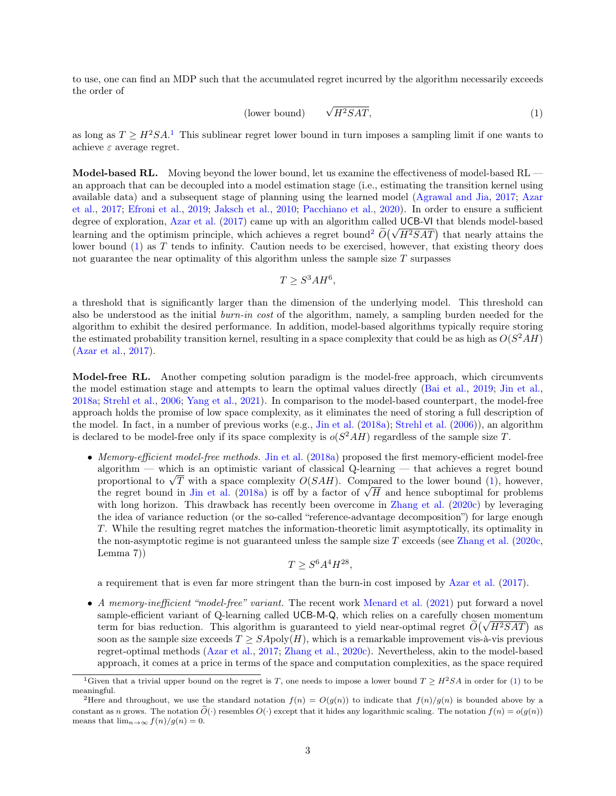to use, one can find an MDP such that the accumulated regret incurred by the algorithm necessarily exceeds the order of

<span id="page-2-2"></span>
$$
\text{(lower bound)} \qquad \sqrt{H^2SAT},\tag{1}
$$

as long as  $T \geq H^2SA$ <sup>[1](#page-2-0)</sup>. This sublinear regret lower bound in turn imposes a sampling limit if one wants to achieve $\varepsilon$  average regret.

Model-based RL. Moving beyond the lower bound, let us examine the effectiveness of model-based RL an approach that can be decoupled into a model estimation stage (i.e., estimating the transition kernel using available data) and a subsequent stage of planning using the learned model [\(Agrawal and Jia,](#page-56-3) [2017;](#page-56-3) [Azar](#page-56-4) [et al.,](#page-56-4) [2017;](#page-56-4) [Efroni et al.,](#page-56-5) [2019;](#page-56-5) [Jaksch et al.,](#page-57-1) [2010;](#page-57-1) [Pacchiano et al.,](#page-58-0) [2020\)](#page-58-0). In order to ensure a sufficient degree of exploration, [Azar et al.](#page-56-4) [\(2017\)](#page-56-4) came up with an algorithm called UCB-VI that blends model-based degree of exploration, Azar et al. ([2](#page-2-1)017) came up with an algorithm called  $\overline{O}(\sqrt{H^2SAT})$  that nearly attains the learning and the optimism principle, which achieves a regret bound<sup>2</sup>  $\tilde{O}(\sqrt{H^2SAT})$  that nearly attain lower bound  $(1)$  as T tends to infinity. Caution needs to be exercised, however, that existing theory does not guarantee the near optimality of this algorithm unless the sample size  $T$  surpasses

$$
T \geq S^3 A H^6,
$$

a threshold that is significantly larger than the dimension of the underlying model. This threshold can also be understood as the initial *burn-in cost* of the algorithm, namely, a sampling burden needed for the algorithm to exhibit the desired performance. In addition, model-based algorithms typically require storing the estimated probability transition kernel, resulting in a space complexity that could be as high as  $O(S^2AH)$ [\(Azar et al.,](#page-56-4) [2017\)](#page-56-4).

Model-free RL. Another competing solution paradigm is the model-free approach, which circumvents the model estimation stage and attempts to learn the optimal values directly [\(Bai et al.,](#page-56-6) [2019;](#page-56-6) [Jin et al.,](#page-57-2) [2018a;](#page-57-2) [Strehl et al.,](#page-58-1) [2006;](#page-58-1) [Yang et al.,](#page-59-0) [2021\)](#page-59-0). In comparison to the model-based counterpart, the model-free approach holds the promise of low space complexity, as it eliminates the need of storing a full description of the model. In fact, in a number of previous works (e.g., [Jin et al.](#page-57-2) [\(2018a\)](#page-57-2); [Strehl et al.](#page-58-1) [\(2006\)](#page-58-1)), an algorithm is declared to be model-free only if its space complexity is  $o(S^2AH)$  regardless of the sample size T.

• Memory-efficient model-free methods. [Jin et al.](#page-57-2) [\(2018a\)](#page-57-2) proposed the first memory-efficient model-free algorithm — which is an optimistic variant of classical Q-learning — that achieves a regret bound algorithm — which is an optimistic variant of classical Q-learning — that achieves a regret bound<br>proportional to  $\sqrt{T}$  with a space complexity  $O(SAH)$ . Compared to the lower bound [\(1\)](#page-2-2), however, proportional to  $\sqrt{T}$  with a space complexity  $O(SAH)$ . Compared to the lower bound (1), however, the regret bound in [Jin et al.](#page-57-2) [\(2018a\)](#page-57-2) is off by a factor of  $\sqrt{H}$  and hence suboptimal for problems with long horizon. This drawback has recently been overcome in [Zhang et al.](#page-59-1) [\(2020c\)](#page-59-1) by leveraging the idea of variance reduction (or the so-called "reference-advantage decomposition") for large enough T. While the resulting regret matches the information-theoretic limit asymptotically, its optimality in the non-asymptotic regime is not guaranteed unless the sample size T exceeds (see [Zhang et al.](#page-59-1) [\(2020c,](#page-59-1) Lemma 7))

$$
T \geq S^6 A^4 H^{28},
$$

a requirement that is even far more stringent than the burn-in cost imposed by [Azar et al.](#page-56-4) [\(2017\)](#page-56-4).

• A memory-inefficient "model-free" variant. The recent work [Menard et al.](#page-58-2) [\(2021\)](#page-58-2) put forward a novel sample-efficient variant of Q-learning called UCB-M-Q, which relies on a carefully chosen momentum sample-efficient variant of Q-learning called UCB-M-Q, which relies on a carefully chosen momentum<br>term for bias reduction. This algorithm is guaranteed to yield near-optimal regret  $\widetilde{O}(\sqrt{H^2SAT})$  as soon as the sample size exceeds  $T > SApoly(H)$ , which is a remarkable improvement vis-à-vis previous regret-optimal methods [\(Azar et al.,](#page-56-4) [2017;](#page-56-4) [Zhang et al.,](#page-59-1) [2020c\)](#page-59-1). Nevertheless, akin to the model-based approach, it comes at a price in terms of the space and computation complexities, as the space required

<span id="page-2-0"></span><sup>&</sup>lt;sup>1</sup>Given that a trivial upper bound on the regret is T, one needs to impose a lower bound  $T \geq H^2SA$  in order for [\(1\)](#page-2-2) to be meaningful.

<span id="page-2-1"></span><sup>&</sup>lt;sup>2</sup>Here and throughout, we use the standard notation  $f(n) = O(g(n))$  to indicate that  $f(n)/g(n)$  is bounded above by a constant as n grows. The notation  $\tilde{O}(\cdot)$  resembles  $O(\cdot)$  except that it hides any logarithmic scaling. The notation  $f(n) = o(q(n))$ means that  $\lim_{n\to\infty} f(n)/g(n) = 0$ .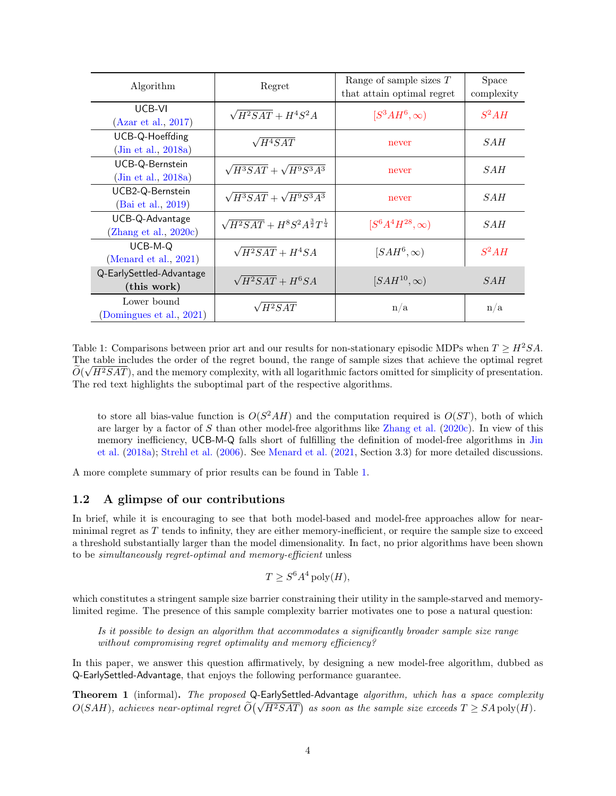| Algorithm                                   | Regret                                                 | Range of sample sizes $T$<br>that attain optimal regret | <b>Space</b><br>complexity |
|---------------------------------------------|--------------------------------------------------------|---------------------------------------------------------|----------------------------|
| UCB-VI<br>(Azar et al., 2017)               | $\sqrt{H^2SAT} + H^4S^2A$                              | $[S^3AH^6,\infty)$                                      | $S^2AH$                    |
| UCB-Q-Hoeffding<br>(Jin et al., 2018a)      | $\sqrt{H^4}SAT$                                        | never                                                   | SAH                        |
| UCB-Q-Bernstein<br>(Jin et al., 2018a)      | $\sqrt{H^3SAT} + \sqrt{H^9S^3A^3}$                     | never                                                   | SAH                        |
| UCB2-Q-Bernstein<br>(Bai et al., 2019)      | $\sqrt{H^3SAT} + \sqrt{H^9S^3A^3}$                     | never                                                   | <i>SAH</i>                 |
| UCB-Q-Advantage<br>(Zhang et al., $2020c$ ) | $\sqrt{H^2SAT} + H^8S^2A^{\frac{3}{2}}T^{\frac{1}{4}}$ | $[S^{6}A^{4}H^{28},\infty)$                             | SAH                        |
| UCB-M-Q<br>(Menard et al., $2021$ )         | $\sqrt{H^2SAT + H^4SA}$                                | $[SAH^6,\infty)$                                        | $S^2AH$                    |
| Q-EarlySettled-Advantage<br>(this work)     | $\sqrt{H^2SAT} + H^6SA$                                | $[SAH^{10}, \infty)$                                    | SAH                        |
| Lower bound<br>(Domingues et al., 2021)     | $\sqrt{H^2SAT}$                                        | n/a                                                     | n/a                        |

<span id="page-3-1"></span>Table 1: Comparisons between prior art and our results for non-stationary episodic MDPs when  $T \geq H^2SA$ . The table includes the order of the regret bound, the range of sample sizes that achieve the optimal regret  $\widetilde{\gamma}$  $O(\sqrt{H^2SAT})$ , and the memory complexity, with all logarithmic factors omitted for simplicity of presentation. The red text highlights the suboptimal part of the respective algorithms.

to store all bias-value function is  $O(S^2AH)$  and the computation required is  $O(ST)$ , both of which are larger by a factor of S than other model-free algorithms like [Zhang et al.](#page-59-1) [\(2020c\)](#page-59-1). In view of this memory inefficiency, UCB-M-Q falls short of fulfilling the definition of model-free algorithms in [Jin](#page-57-2) [et al.](#page-57-2) [\(2018a\)](#page-57-2); [Strehl et al.](#page-58-1) [\(2006\)](#page-58-1). See [Menard et al.](#page-58-2) [\(2021,](#page-58-2) Section 3.3) for more detailed discussions.

A more complete summary of prior results can be found in Table [1.](#page-3-1)

# <span id="page-3-0"></span>1.2 A glimpse of our contributions

In brief, while it is encouraging to see that both model-based and model-free approaches allow for nearminimal regret as T tends to infinity, they are either memory-inefficient, or require the sample size to exceed a threshold substantially larger than the model dimensionality. In fact, no prior algorithms have been shown to be simultaneously regret-optimal and memory-efficient unless

$$
T \ge S^6 A^4 \text{ poly}(H),
$$

which constitutes a stringent sample size barrier constraining their utility in the sample-starved and memorylimited regime. The presence of this sample complexity barrier motivates one to pose a natural question:

Is it possible to design an algorithm that accommodates a significantly broader sample size range without compromising regret optimality and memory efficiency?

In this paper, we answer this question affirmatively, by designing a new model-free algorithm, dubbed as Q-EarlySettled-Advantage, that enjoys the following performance guarantee.

Theorem 1 (informal). The proposed Q-EarlySettled-Advantage algorithm, which has a space complexity **Theorem 1** (informal). The proposed Q-EarlySettled-Advantage digorithm, which has a space complexit  $O(SAH)$ , achieves near-optimal regret  $\widetilde{O}(\sqrt{H^2SAT})$  as soon as the sample size exceeds  $T \geq SA$  poly(H).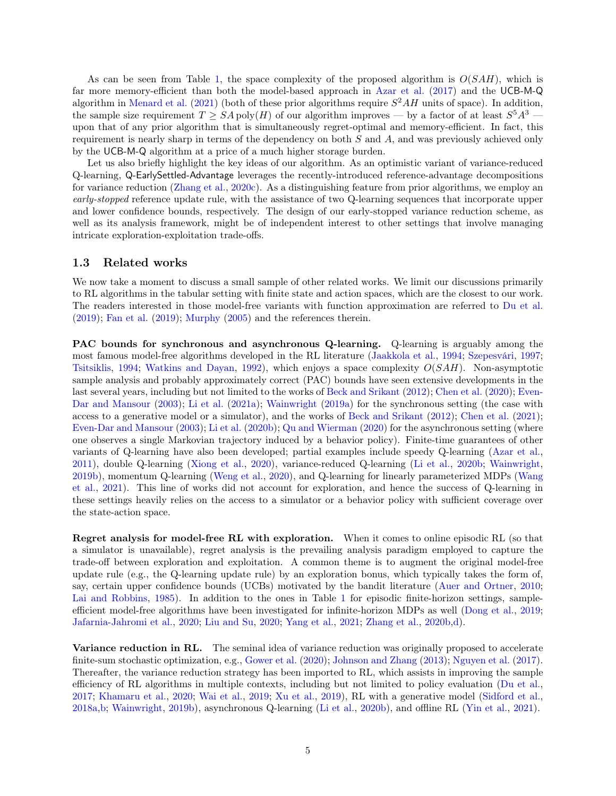As can be seen from Table [1,](#page-3-1) the space complexity of the proposed algorithm is  $O(SAH)$ , which is far more memory-efficient than both the model-based approach in [Azar et al.](#page-56-4) [\(2017\)](#page-56-4) and the UCB-M-Q algorithm in [Menard et al.](#page-58-2)  $(2021)$  (both of these prior algorithms require  $S^2AH$  units of space). In addition, the sample size requirement  $T \geq SA$  poly $(H)$  of our algorithm improves — by a factor of at least  $S^5A^3$  upon that of any prior algorithm that is simultaneously regret-optimal and memory-efficient. In fact, this requirement is nearly sharp in terms of the dependency on both  $S$  and  $A$ , and was previously achieved only by the UCB-M-Q algorithm at a price of a much higher storage burden.

Let us also briefly highlight the key ideas of our algorithm. As an optimistic variant of variance-reduced Q-learning, Q-EarlySettled-Advantage leverages the recently-introduced reference-advantage decompositions for variance reduction [\(Zhang et al.,](#page-59-1) [2020c\)](#page-59-1). As a distinguishing feature from prior algorithms, we employ an early-stopped reference update rule, with the assistance of two Q-learning sequences that incorporate upper and lower confidence bounds, respectively. The design of our early-stopped variance reduction scheme, as well as its analysis framework, might be of independent interest to other settings that involve managing intricate exploration-exploitation trade-offs.

### <span id="page-4-0"></span>1.3 Related works

We now take a moment to discuss a small sample of other related works. We limit our discussions primarily to RL algorithms in the tabular setting with finite state and action spaces, which are the closest to our work. The readers interested in those model-free variants with function approximation are referred to [Du et al.](#page-56-7)  $(2019)$ ; [Fan et al.](#page-57-3)  $(2019)$ ; [Murphy](#page-58-3)  $(2005)$  and the references therein.

PAC bounds for synchronous and asynchronous Q-learning. Q-learning is arguably among the most famous model-free algorithms developed in the RL literature [\(Jaakkola et al.,](#page-57-4) [1994;](#page-57-4) [Szepesvári,](#page-58-4) [1997;](#page-58-4) [Tsitsiklis,](#page-58-5) [1994;](#page-58-5) [Watkins and Dayan,](#page-58-6) [1992\)](#page-58-6), which enjoys a space complexity  $O(SAH)$ . Non-asymptotic sample analysis and probably approximately correct (PAC) bounds have seen extensive developments in the last several years, including but not limited to the works of [Beck and Srikant](#page-56-8) [\(2012\)](#page-56-8); [Chen et al.](#page-56-9) [\(2020\)](#page-56-9); [Even-](#page-57-5)[Dar and Mansour](#page-57-5) [\(2003\)](#page-57-5); [Li et al.](#page-57-6) [\(2021a\)](#page-57-6); [Wainwright](#page-58-7) [\(2019a\)](#page-58-7) for the synchronous setting (the case with access to a generative model or a simulator), and the works of [Beck and Srikant](#page-56-8) [\(2012\)](#page-56-8); [Chen et al.](#page-56-10) [\(2021\)](#page-56-10); [Even-Dar and Mansour](#page-57-5) [\(2003\)](#page-57-5); [Li et al.](#page-57-7) [\(2020b\)](#page-57-7); [Qu and Wierman](#page-58-8) [\(2020\)](#page-58-8) for the asynchronous setting (where one observes a single Markovian trajectory induced by a behavior policy). Finite-time guarantees of other variants of Q-learning have also been developed; partial examples include speedy Q-learning [\(Azar et al.,](#page-56-11) [2011\)](#page-56-11), double Q-learning [\(Xiong et al.,](#page-59-2) [2020\)](#page-59-2), variance-reduced Q-learning [\(Li et al.,](#page-57-7) [2020b;](#page-57-7) [Wainwright,](#page-58-9) [2019b\)](#page-58-9), momentum Q-learning [\(Weng et al.,](#page-59-3) [2020\)](#page-59-3), and Q-learning for linearly parameterized MDPs [\(Wang](#page-58-10) [et al.,](#page-58-10) [2021\)](#page-58-10). This line of works did not account for exploration, and hence the success of Q-learning in these settings heavily relies on the access to a simulator or a behavior policy with sufficient coverage over the state-action space.

Regret analysis for model-free RL with exploration. When it comes to online episodic RL (so that a simulator is unavailable), regret analysis is the prevailing analysis paradigm employed to capture the trade-off between exploration and exploitation. A common theme is to augment the original model-free update rule (e.g., the Q-learning update rule) by an exploration bonus, which typically takes the form of, say, certain upper confidence bounds (UCBs) motivated by the bandit literature [\(Auer and Ortner,](#page-56-12) [2010;](#page-56-12) [Lai and Robbins,](#page-57-8) [1985\)](#page-57-8). In addition to the ones in Table [1](#page-3-1) for episodic finite-horizon settings, sampleefficient model-free algorithms have been investigated for infinite-horizon MDPs as well [\(Dong et al.,](#page-56-13) [2019;](#page-56-13) [Jafarnia-Jahromi et al.,](#page-57-9) [2020;](#page-57-9) [Liu and Su,](#page-57-10) [2020;](#page-57-10) [Yang et al.,](#page-59-0) [2021;](#page-59-0) [Zhang et al.,](#page-59-4) [2020b,](#page-59-4)[d\)](#page-59-5).

Variance reduction in RL. The seminal idea of variance reduction was originally proposed to accelerate finite-sum stochastic optimization, e.g., [Gower et al.](#page-57-11) [\(2020\)](#page-57-11); [Johnson and Zhang](#page-57-12) [\(2013\)](#page-57-12); [Nguyen et al.](#page-58-11) [\(2017\)](#page-58-11). Thereafter, the variance reduction strategy has been imported to RL, which assists in improving the sample efficiency of RL algorithms in multiple contexts, including but not limited to policy evaluation [\(Du et al.,](#page-56-14) [2017;](#page-56-14) [Khamaru et al.,](#page-57-13) [2020;](#page-57-13) [Wai et al.,](#page-58-12) [2019;](#page-58-12) [Xu et al.,](#page-59-6) [2019\)](#page-59-6), RL with a generative model [\(Sidford et al.,](#page-58-13) [2018a,](#page-58-13)[b;](#page-58-14) [Wainwright,](#page-58-9) [2019b\)](#page-58-9), asynchronous Q-learning [\(Li et al.,](#page-57-7) [2020b\)](#page-57-7), and offline RL [\(Yin et al.,](#page-59-7) [2021\)](#page-59-7).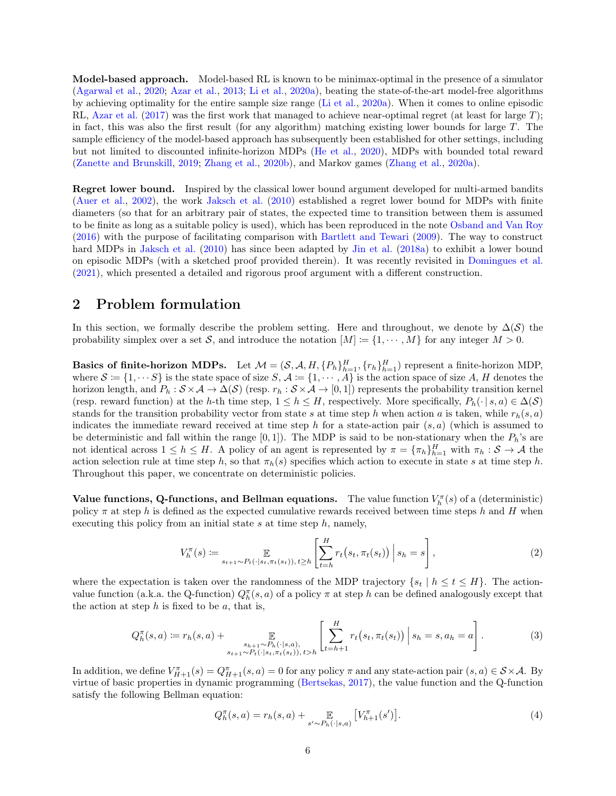Model-based approach. Model-based RL is known to be minimax-optimal in the presence of a simulator [\(Agarwal et al.,](#page-55-0) [2020;](#page-55-0) [Azar et al.,](#page-56-15) [2013;](#page-56-15) [Li et al.,](#page-57-14) [2020a\)](#page-57-14), beating the state-of-the-art model-free algorithms by achieving optimality for the entire sample size range [\(Li et al.,](#page-57-14) [2020a\)](#page-57-14). When it comes to online episodic RL, [Azar et al.](#page-56-4) [\(2017\)](#page-56-4) was the first work that managed to achieve near-optimal regret (at least for large T); in fact, this was also the first result (for any algorithm) matching existing lower bounds for large T. The sample efficiency of the model-based approach has subsequently been established for other settings, including but not limited to discounted infinite-horizon MDPs [\(He et al.,](#page-57-15) [2020\)](#page-57-15), MDPs with bounded total reward [\(Zanette and Brunskill,](#page-59-8) [2019;](#page-59-8) [Zhang et al.,](#page-59-4) [2020b\)](#page-59-4), and Markov games [\(Zhang et al.,](#page-59-9) [2020a\)](#page-59-9).

Regret lower bound. Inspired by the classical lower bound argument developed for multi-armed bandits [\(Auer et al.,](#page-56-1) [2002\)](#page-56-1), the work [Jaksch et al.](#page-57-1) [\(2010\)](#page-57-1) established a regret lower bound for MDPs with finite diameters (so that for an arbitrary pair of states, the expected time to transition between them is assumed to be finite as long as a suitable policy is used), which has been reproduced in the note [Osband and Van Roy](#page-58-15) [\(2016\)](#page-58-15) with the purpose of facilitating comparison with [Bartlett and Tewari](#page-56-16) [\(2009\)](#page-56-16). The way to construct hard MDPs in [Jaksch et al.](#page-57-1) [\(2010\)](#page-57-1) has since been adapted by [Jin et al.](#page-57-2) [\(2018a\)](#page-57-2) to exhibit a lower bound on episodic MDPs (with a sketched proof provided therein). It was recently revisited in [Domingues et al.](#page-56-2) [\(2021\)](#page-56-2), which presented a detailed and rigorous proof argument with a different construction.

# <span id="page-5-0"></span>2 Problem formulation

In this section, we formally describe the problem setting. Here and throughout, we denote by  $\Delta(\mathcal{S})$  the probability simplex over a set S, and introduce the notation  $[M] := \{1, \dots, M\}$  for any integer  $M > 0$ .

**Basics of finite-horizon MDPs.** Let  $\mathcal{M} = (\mathcal{S}, \mathcal{A}, H, \{P_h\}_{h=1}^H, \{r_h\}_{h=1}^H)$  represent a finite-horizon MDP, where  $S := \{1, \dots S\}$  is the state space of size  $S, A := \{1, \dots, A\}$  is the action space of size A, H denotes the horizon length, and  $P_h : S \times A \to \Delta(S)$  (resp.  $r_h : S \times A \to [0,1]$ ) represents the probability transition kernel (resp. reward function) at the h-th time step,  $1 \leq h \leq H$ , respectively. More specifically,  $P_h(\cdot | s, a) \in \Delta(\mathcal{S})$ stands for the transition probability vector from state s at time step h when action a is taken, while  $r_h(s, a)$ indicates the immediate reward received at time step h for a state-action pair  $(s, a)$  (which is assumed to be deterministic and fall within the range  $[0, 1]$ . The MDP is said to be non-stationary when the  $P_h$ 's are not identical across  $1 \le h \le H$ . A policy of an agent is represented by  $\pi = {\{\pi_h\}}_{h=1}^H$  with  $\pi_h : S \to A$  the action selection rule at time step h, so that  $\pi_h(s)$  specifies which action to execute in state s at time step h. Throughout this paper, we concentrate on deterministic policies.

Value functions, Q-functions, and Bellman equations. The value function  $V_h^{\pi}(s)$  of a (deterministic) policy  $\pi$  at step h is defined as the expected cumulative rewards received between time steps h and H when executing this policy from an initial state  $s$  at time step  $h$ , namely,

$$
V_h^{\pi}(s) := \mathop{\mathbb{E}}_{s_{t+1} \sim P_t(\cdot | s_t, \pi_t(s_t)), t \ge h} \left[ \sum_{t=h}^H r_t(s_t, \pi_t(s_t)) \, \Big| \, s_h = s \right],\tag{2}
$$

where the expectation is taken over the randomness of the MDP trajectory  $\{s_t | h \leq t \leq H\}$ . The actionvalue function (a.k.a. the Q-function)  $Q_h^{\pi}(s, a)$  of a policy  $\pi$  at step h can be defined analogously except that the action at step  $h$  is fixed to be  $a$ , that is,

$$
Q_h^{\pi}(s, a) := r_h(s, a) + \mathop{\mathbb{E}}_{\substack{s_{h+1} \sim P_h(\cdot | s, a), \\ s_{t+1} \sim P_t(\cdot | s_t, \pi_t(s_t)), \, t > h}} \left[ \sum_{t=h+1}^H r_t(s_t, \pi_t(s_t)) \Big| s_h = s, a_h = a \right]. \tag{3}
$$

In addition, we define  $V_{H+1}^{\pi}(s) = Q_{H+1}^{\pi}(s, a) = 0$  for any policy  $\pi$  and any state-action pair  $(s, a) \in S \times A$ . By virtue of basic properties in dynamic programming [\(Bertsekas,](#page-56-17) [2017\)](#page-56-17), the value function and the Q-function satisfy the following Bellman equation:

$$
Q_h^{\pi}(s, a) = r_h(s, a) + \mathop{\mathbb{E}}_{s' \sim P_h(\cdot | s, a)} \left[ V_{h+1}^{\pi}(s') \right]. \tag{4}
$$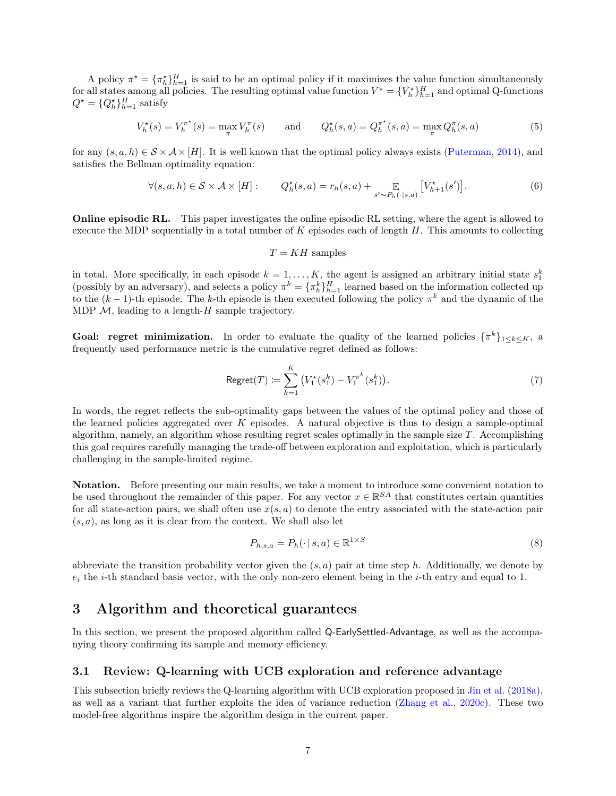A policy  $\pi^* = {\pi_h^*}^H_{h=1}$  is said to be an optimal policy if it maximizes the value function simultaneously for all states among all policies. The resulting optimal value function  $V^* = \{V^*_h\}_{h=1}^H$  and optimal Q-functions  $Q^* = \{Q_h^*\}_{h=1}^H$  satisfy

$$
V_h^{\star}(s) = V_h^{\pi^{\star}}(s) = \max_{\pi} V_h^{\pi}(s) \quad \text{and} \quad Q_h^{\star}(s, a) = Q_h^{\pi^{\star}}(s, a) = \max_{\pi} Q_h^{\pi}(s, a)
$$
 (5)

for any  $(s, a, h) \in S \times A \times [H]$ . It is well known that the optimal policy always exists [\(Puterman,](#page-58-16) [2014\)](#page-58-16), and satisfies the Bellman optimality equation:

$$
\forall (s, a, h) \in \mathcal{S} \times \mathcal{A} \times [H]: \qquad Q_h^{\star}(s, a) = r_h(s, a) + \mathop{\mathbb{E}}_{s' \sim P_h(\cdot | s, a)} \left[ V_{h+1}^{\star}(s') \right]. \tag{6}
$$

Online episodic RL. This paper investigates the online episodic RL setting, where the agent is allowed to execute the MDP sequentially in a total number of  $K$  episodes each of length  $H$ . This amounts to collecting

<span id="page-6-2"></span>
$$
T = KH
$$
 samples

in total. More specifically, in each episode  $k = 1, ..., K$ , the agent is assigned an arbitrary initial state  $s_1^k$  (possibly by an adversary), and selects a policy  $\pi^k = {\{\pi^k_h\}}_{h=1}^H$  learned based on the information col to the  $(k-1)$ -th episode. The k-th episode is then executed following the policy  $\pi^k$  and the dynamic of the MDP  $M$ , leading to a length-H sample trajectory.

**Goal: regret minimization.** In order to evaluate the quality of the learned policies  $\{\pi^k\}_{1\leq k\leq K}$ , a frequently used performance metric is the cumulative regret defined as follows:

Regret
$$
(T)
$$
 :=  $\sum_{k=1}^{K} (V_1^*(s_1^k) - V_1^{\pi^k}(s_1^k)).$  (7)

In words, the regret reflects the sub-optimality gaps between the values of the optimal policy and those of the learned policies aggregated over  $K$  episodes. A natural objective is thus to design a sample-optimal algorithm, namely, an algorithm whose resulting regret scales optimally in the sample size  $T$ . Accomplishing this goal requires carefully managing the trade-off between exploration and exploitation, which is particularly challenging in the sample-limited regime.

Notation. Before presenting our main results, we take a moment to introduce some convenient notation to be used throughout the remainder of this paper. For any vector  $x \in \mathbb{R}^{SA}$  that constitutes certain quantities for all state-action pairs, we shall often use  $x(s, a)$  to denote the entry associated with the state-action pair  $(s, a)$ , as long as it is clear from the context. We shall also let

<span id="page-6-3"></span>
$$
P_{h,s,a} = P_h(\cdot \mid s,a) \in \mathbb{R}^{1 \times S} \tag{8}
$$

abbreviate the transition probability vector given the  $(s, a)$  pair at time step h. Additionally, we denote by  $e_i$  the *i*-th standard basis vector, with the only non-zero element being in the *i*-th entry and equal to 1.

# <span id="page-6-0"></span>3 Algorithm and theoretical guarantees

In this section, we present the proposed algorithm called Q-EarlySettled-Advantage, as well as the accompanying theory confirming its sample and memory efficiency.

### <span id="page-6-1"></span>3.1 Review: Q-learning with UCB exploration and reference advantage

This subsection briefly reviews the Q-learning algorithm with UCB exploration proposed in [Jin et al.](#page-57-2) [\(2018a\)](#page-57-2), as well as a variant that further exploits the idea of variance reduction [\(Zhang et al.,](#page-59-1) [2020c\)](#page-59-1). These two model-free algorithms inspire the algorithm design in the current paper.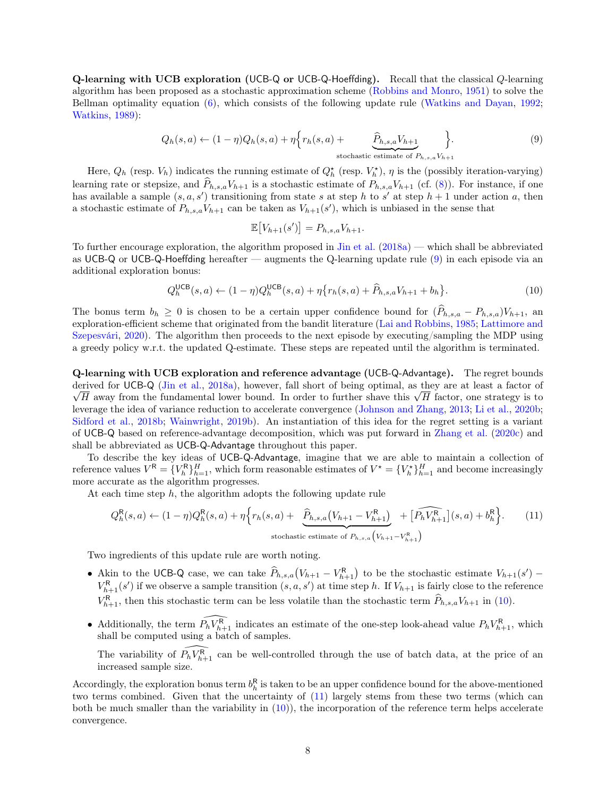Q-learning with UCB exploration (UCB-Q or UCB-Q-Hoeffding). Recall that the classical Q-learning algorithm has been proposed as a stochastic approximation scheme [\(Robbins and Monro,](#page-58-17) [1951\)](#page-58-17) to solve the Bellman optimality equation [\(6\)](#page-6-2), which consists of the following update rule [\(Watkins and Dayan,](#page-58-6) [1992;](#page-58-6) [Watkins,](#page-59-10) [1989\)](#page-59-10):

<span id="page-7-0"></span>
$$
Q_h(s,a) \leftarrow (1-\eta)Q_h(s,a) + \eta \Big\{ r_h(s,a) + \underbrace{\widehat{P}_{h,s,a}V_{h+1}}_{\text{stochastic estimate of } P_{h,s,a}V_{h+1}} \Big\}.
$$
 (9)

Here,  $Q_h$  (resp.  $V_h$ ) indicates the running estimate of  $Q_h^{\star}$  (resp.  $V_h^{\star}$ ),  $\eta$  is the (possibly iteration-varying) learning rate or stepsize, and  $\hat{P}_{h,s,a}V_{h+1}$  is a stochastic estimate of  $P_{h,s,a}V_{h+1}$  (cf. [\(8\)](#page-6-3)). For instance, if one has available a sample  $(s, a, s')$  transitioning from state s at step h to s' at step  $h + 1$  under action a, then a stochastic estimate of  $P_{h,s,a}V_{h+1}$  can be taken as  $V_{h+1}(s')$ , which is unbiased in the sense that

$$
\mathbb{E}\big[V_{h+1}(s')\big] = P_{h,s,a} V_{h+1}.
$$

To further encourage exploration, the algorithm proposed in [Jin et al.](#page-57-2) [\(2018a\)](#page-57-2) — which shall be abbreviated as UCB-Q or UCB-Q-Hoeffding hereafter — augments the Q-learning update rule [\(9\)](#page-7-0) in each episode via an additional exploration bonus:

<span id="page-7-1"></span>
$$
Q_h^{\text{UCB}}(s, a) \leftarrow (1 - \eta) Q_h^{\text{UCB}}(s, a) + \eta \{ r_h(s, a) + \hat{P}_{h, s, a} V_{h+1} + b_h \}.
$$
 (10)

The bonus term  $b_h \geq 0$  is chosen to be a certain upper confidence bound for  $(\widehat{P}_{h,s,a} - P_{h,s,a})V_{h+1}$ , and exploration-efficient scheme that originated from the bandit literature [\(Lai and Robbins,](#page-57-8) [1985;](#page-57-8) [Lattimore and](#page-57-16) [Szepesvári,](#page-57-16) [2020\)](#page-57-16). The algorithm then proceeds to the next episode by executing/sampling the MDP using a greedy policy w.r.t. the updated Q-estimate. These steps are repeated until the algorithm is terminated.

Q-learning with UCB exploration and reference advantage (UCB-Q-Advantage). The regret bounds derived for UCB-Q [\(Jin et al.,](#page-57-2) [2018a\)](#page-57-2), however, fall short of being optimal, as they are at least a factor of expred for UCB-Q (Jin et al., 2018a), nowever, fall short of being optimal, as they are at least a factor of  $\overline{H}$  away from the fundamental lower bound. In order to further shave this  $\sqrt{H}$  factor, one strategy is leverage the idea of variance reduction to accelerate convergence [\(Johnson and Zhang,](#page-57-12) [2013;](#page-57-12) [Li et al.,](#page-57-7) [2020b;](#page-57-7) [Sidford et al.,](#page-58-14) [2018b;](#page-58-14) [Wainwright,](#page-58-9) [2019b\)](#page-58-9). An instantiation of this idea for the regret setting is a variant of UCB-Q based on reference-advantage decomposition, which was put forward in [Zhang et al.](#page-59-1) [\(2020c\)](#page-59-1) and shall be abbreviated as UCB-Q-Advantage throughout this paper.

To describe the key ideas of UCB-Q-Advantage, imagine that we are able to maintain a collection of reference values  $V^{\mathsf{R}} = \{V^{\mathsf{R}}_h\}_{h=1}^H$ , which form reasonable estimates of  $V^* = \{V^*_{h}\}_{h=1}^H$  and become increasingly more accurate as the algorithm progresses.

At each time step  $h$ , the algorithm adopts the following update rule

<span id="page-7-2"></span>
$$
Q_h^{\mathsf{R}}(s, a) \leftarrow (1 - \eta) Q_h^{\mathsf{R}}(s, a) + \eta \Big\{ r_h(s, a) + \underbrace{\hat{P}_{h, s, a}(V_{h+1} - V_{h+1}^{\mathsf{R}})}_{\text{stochastic estimate of } P_{h, s, a}(V_{h+1} - V_{h+1}^{\mathsf{R}})} + \widehat{[P_h V_{h+1}^{\mathsf{R}}]}(s, a) + b_h^{\mathsf{R}} \Big\}.
$$
 (11)

Two ingredients of this update rule are worth noting.

- Akin to the UCB-Q case, we can take  $\hat{P}_{h,s,a}(V_{h+1} V_{h+1}^R)$  to be the stochastic estimate  $V_{h+1}(s')$   $V_{h+1}^{R}(s')$  if we observe a sample transition  $(s, a, s')$  at time step h. If  $V_{h+1}$  is fairly close to the reference  $V_{h+1}^{\mathsf{R}}$ , then this stochastic term can be less volatile than the stochastic term  $\hat{P}_{h,s,a}V_{h+1}$  in [\(10\)](#page-7-1).
- Additionally, the term  $\widehat{P_h V_{h+1}^{\sf R}}$  indicates an estimate of the one-step look-ahead value  $P_h V_{h+1}^{\sf R}$ , which shall be computed using a batch of samples.

The variability of  $\widehat{P_h V_{h+1}^R}$  can be well-controlled through the use of batch data, at the price of an increased sample size.

Accordingly, the exploration bonus term  $b_k^R$  is taken to be an upper confidence bound for the above-mentioned two terms combined. Given that the uncertainty of [\(11\)](#page-7-2) largely stems from these two terms (which can both be much smaller than the variability in  $(10)$ , the incorporation of the reference term helps accelerate convergence.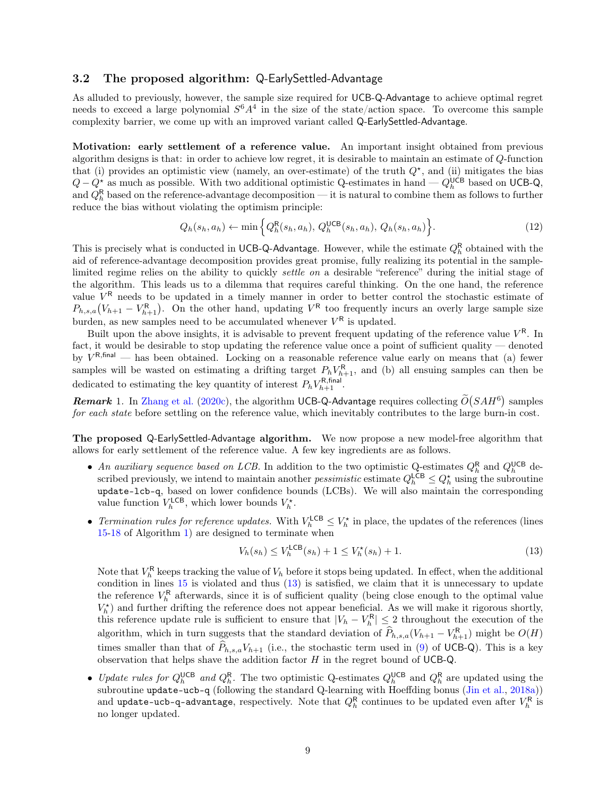### <span id="page-8-0"></span>3.2 The proposed algorithm: Q-EarlySettled-Advantage

As alluded to previously, however, the sample size required for UCB-Q-Advantage to achieve optimal regret needs to exceed a large polynomial  $S^6A^4$  in the size of the state/action space. To overcome this sample complexity barrier, we come up with an improved variant called Q-EarlySettled-Advantage.

Motivation: early settlement of a reference value. An important insight obtained from previous algorithm designs is that: in order to achieve low regret, it is desirable to maintain an estimate of Q-function that (i) provides an optimistic view (namely, an over-estimate) of the truth  $Q^*$ , and (ii) mitigates the bias  $Q - Q_{h}^{\star}$  as much as possible. With two additional optimistic Q-estimates in hand —  $Q_{h}^{\sf UCB}$  based on UCB-Q, and  $Q_h^{\rm R}$  based on the reference-advantage decomposition — it is natural to combine them as follows to further reduce the bias without violating the optimism principle:

$$
Q_h(s_h, a_h) \leftarrow \min\left\{Q_h^{\mathsf{R}}(s_h, a_h), Q_h^{\mathsf{UCB}}(s_h, a_h), Q_h(s_h, a_h)\right\}.
$$
\n(12)

This is precisely what is conducted in UCB-Q-Advantage. However, while the estimate  $Q_h^{\mathsf{R}}$  obtained with the aid of reference-advantage decomposition provides great promise, fully realizing its potential in the samplelimited regime relies on the ability to quickly *settle on* a desirable "reference" during the initial stage of the algorithm. This leads us to a dilemma that requires careful thinking. On the one hand, the reference value  $V^R$  needs to be updated in a timely manner in order to better control the stochastic estimate of  $P_{h,s,a}(V_{h+1}-V_{h+1}^R)$ . On the other hand, updating  $V^R$  too frequently incurs an overly large sample size burden, as new samples need to be accumulated whenever  $V^{\mathsf{R}}$  is updated.

Built upon the above insights, it is advisable to prevent frequent updating of the reference value  $V^R$ . In fact, it would be desirable to stop updating the reference value once a point of sufficient quality — denoted by  $V^{\mathsf{R},\textsf{final}}$  — has been obtained. Locking on a reasonable reference value early on means that (a) fewer samples will be wasted on estimating a drifting target  $P_h V_{h+1}^R$ , and (b) all ensuing samples can then be dedicated to estimating the key quantity of interest  $P_h V_{h+1}^{\text{R,final}}$ .

**Remark** 1. In [Zhang et al.](#page-59-1) [\(2020c\)](#page-59-1), the algorithm UCB-Q-Advantage requires collecting  $\tilde{O}(SAH^6)$  samples for each state before settling on the reference value, which inevitably contributes to the large burn-in cost.

The proposed Q-EarlySettled-Advantage algorithm. We now propose a new model-free algorithm that allows for early settlement of the reference value. A few key ingredients are as follows.

- An auxiliary sequence based on LCB. In addition to the two optimistic Q-estimates  $Q_h^{\rm R}$  and  $Q_h^{\rm UCB}$  described previously, we intend to maintain another *pessimistic* estimate  $Q_h^{\text{LCB}} \leq Q_h^{\star}$  using the subroutine update-lcb-q, based on lower confidence bounds (LCBs). We will also maintain the corresponding value function  $V_h^{\text{LCB}}$ , which lower bounds  $V_h^{\star}$ .
- Termination rules for reference updates. With  $V_h^{\text{LCB}} \leq V_h^{\star}$  in place, the updates of the references (lines [15](#page-9-0)[-18](#page-9-1) of Algorithm [1\)](#page-9-2) are designed to terminate when

<span id="page-8-1"></span>
$$
V_h(s_h) \le V_h^{\text{LCB}}(s_h) + 1 \le V_h^{\star}(s_h) + 1. \tag{13}
$$

Note that  $V_h^{\mathsf{R}}$  keeps tracking the value of  $V_h$  before it stops being updated. In effect, when the additional condition in lines [15](#page-9-0) is violated and thus [\(13\)](#page-8-1) is satisfied, we claim that it is unnecessary to update the reference  $V_h^{\mathsf{R}}$  afterwards, since it is of sufficient quality (being close enough to the optimal value  $V_h^{\star}$ ) and further drifting the reference does not appear beneficial. As we will make it rigorous shortly, this reference update rule is sufficient to ensure that  $|V_h - V_h^R| \leq 2$  throughout the execution of the algorithm, which in turn suggests that the standard deviation of  $\hat{P}_{h,s,a}(V_{h+1} - V_{h+1}^{\mathsf{R}})$  might be  $O(H)$ times smaller than that of  $\hat{P}_{h,s,a}V_{h+1}$  (i.e., the stochastic term used in [\(9\)](#page-7-0) of UCB-Q). This is a key observation that helps shave the addition factor  $H$  in the regret bound of UCB-Q.

• Update rules for  $Q_h^{\text{UCB}}$  and  $Q_h^{\text{R}}$ . The two optimistic Q-estimates  $Q_h^{\text{UCB}}$  and  $Q_h^{\text{R}}$  are updated using the subroutine update-ucb-q (following the standard Q-learning with Hoeffding bonus [\(Jin et al.,](#page-57-2) [2018a\)](#page-57-2)) and  $\texttt{update-ucb-q-advantage},$  respectively. Note that  $Q_h^\mathsf{R}$  continues to be updated even after  $V_h^\mathsf{R}$  is no longer updated.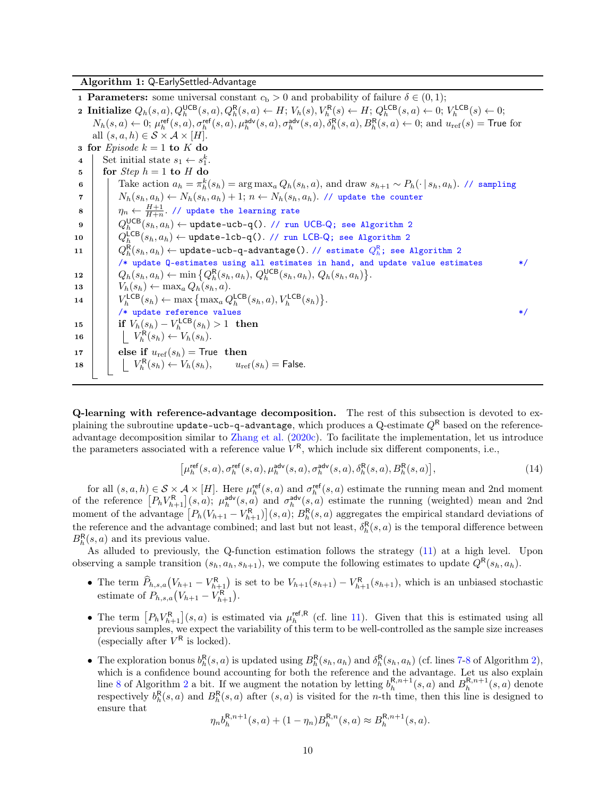Algorithm 1: Q-EarlySettled-Advantage

1 **Parameters:** some universal constant  $c<sub>b</sub> > 0$  and probability of failure  $\delta \in (0,1)$ ; **2 Initialize**  $Q_h(s, a), Q_h^{\text{UCB}}(s, a), Q_h^{\text{R}}(s, a) \leftarrow H$ ;  $V_h(s), V_h^{\text{R}}(s) \leftarrow H$ ;  $Q_h^{\text{LCB}}(s, a) \leftarrow 0$ ;  $V_h^{\text{LCB}}(s) \leftarrow 0$ ;  $N_h(s,a) \leftarrow 0; \ \mu_h^{\text{ref}}(s,a), \sigma_h^{\text{ref}}(s,a), \mu_h^{\text{adv}}(s,a), \sigma_h^{\text{adv}}(s,a), \delta_h^{\text{R}}(s,a), B_h^{\text{R}}(s,a) \leftarrow 0; \text{ and } u_{\text{ref}}(s) = \text{True for } \sigma_h^{\text{adv}}(s,a) \leftarrow 0$ all  $(s, a, h) \in S \times A \times [H]$ . 3 for Episode  $k = 1$  to K do 4 Set initial state  $s_1 \leftarrow s_1^k$ . 5 | for  $Step h = 1$  to H do 6  $\Box$  Take action  $a_h = \pi_h^k(s_h) = \arg \max_a Q_h(s_h, a)$ , and draw  $s_{h+1} \sim P_h(\cdot | s_h, a_h)$ . // sampling  $7$   $\vert$   $\vert$   $N_h(s_h, a_h) \leftarrow N_h(s_h, a_h) + 1; n \leftarrow N_h(s_h, a_h)$ . // update the counter  $\displaystyle{ 8 \ \ \ \ \ \ \ \ \ \ \eta_n \leftarrow \frac{H+1}{H+n}.}$  // update the learning rate  $\mathsf{p}$   $\quad$   $\bigcup_{h}^{ \mathsf{UCB}} (s_h, a_h) \leftarrow \texttt{update-ucb-q(). // run UCB-Q; see Algorithm 2}$  $\bigcup_{h}^{ \mathsf{UCB}} (s_h, a_h) \leftarrow \texttt{update-ucb-q(). // run UCB-Q; see Algorithm 2}$  $\bigcup_{h}^{ \mathsf{UCB}} (s_h, a_h) \leftarrow \texttt{update-ucb-q(). // run UCB-Q; see Algorithm 2}$  $10$   $\Big|\quad Q_h^{\sf LCB}(s_h,a_h) \leftarrow \texttt{update-lcb-q().}\ \texttt{// run~LCB-Q; see Algorithm}\ 2$  $\Big|\quad Q_h^{\sf LCB}(s_h,a_h) \leftarrow \texttt{update-lcb-q().}\ \texttt{// run~LCB-Q; see Algorithm}\ 2$ 11  $\left| \begin{array}{c} \texttt{Q}_h^{\textsf{R}}(s_h,a_h) \leftarrow \texttt{update-ucb-q-advantage().}\; \texttt{}/\texttt{estimate}\; \texttt{Q}_h^{\textsf{R}}; \;\texttt{see Algorithm 2} \end{array} \right.$  $\left| \begin{array}{c} \texttt{Q}_h^{\textsf{R}}(s_h,a_h) \leftarrow \texttt{update-ucb-q-advantage().}\; \texttt{}/\texttt{estimate}\; \texttt{Q}_h^{\textsf{R}}; \;\texttt{see Algorithm 2} \end{array} \right.$  $\left| \begin{array}{c} \texttt{Q}_h^{\textsf{R}}(s_h,a_h) \leftarrow \texttt{update-ucb-q-advantage().}\; \texttt{}/\texttt{estimate}\; \texttt{Q}_h^{\textsf{R}}; \;\texttt{see Algorithm 2} \end{array} \right.$ /\* update Q-estimates using all estimates in hand, and update value estimates \*/ 12  $\left\{ Q_h(s_h, a_h) \leftarrow \min \left\{ Q_h^{\mathsf{R}}(s_h, a_h), Q_h^{\mathsf{UCB}}(s_h, a_h), Q_h(s_h, a_h) \right\}.$ 13  $V_h(s_h) \leftarrow \max_a Q_h(s_h, a).$ 14  $\left| V_h^{\text{LCB}}(s_h) \leftarrow \max \left\{ \max_a Q_h^{\text{LCB}}(s_h, a), V_h^{\text{LCB}}(s_h) \right\}.$ /\* update reference values \*/  $\begin{array}{|c|c|c|} \hline \textbf{15} & \textbf{1} & \textbf{if} & \textbf{V}_h(s_h) - \textbf{V}_h^{\sf LCB}(s_h) > 1 & \textbf{then} \hline \end{array}$ 16  $\bigcup V_h^{\mathsf{R}}(s_h) \leftarrow V_h(s_h).$ 17 else if  $u_{\text{ref}}(s_h) =$  True then 18  $\bigcup V_h^R(s_h) \leftarrow V_h(s_h), \qquad u_{\text{ref}}(s_h) = \text{False}.$ 

<span id="page-9-3"></span><span id="page-9-2"></span><span id="page-9-1"></span><span id="page-9-0"></span>Q-learning with reference-advantage decomposition. The rest of this subsection is devoted to explaining the subroutine update-ucb-q-advantage, which produces a Q-estimate  $Q<sup>R</sup>$  based on the referenceadvantage decomposition similar to [Zhang et al.](#page-59-1) [\(2020c\)](#page-59-1). To facilitate the implementation, let us introduce the parameters associated with a reference value  $V^{\mathsf{R}}$ , which include six different components, i.e.,

$$
\left[\mu_h^{\text{ref}}(s, a), \sigma_h^{\text{ref}}(s, a), \mu_h^{\text{adv}}(s, a), \sigma_h^{\text{adv}}(s, a), \delta_h^{\text{R}}(s, a), B_h^{\text{R}}(s, a)\right],\tag{14}
$$

for all  $(s, a, h) \in S \times A \times [H]$ . Here  $\mu_h^{\text{ref}}(s, a)$  and  $\sigma_h^{\text{ref}}(s, a)$  estimate the running mean and 2nd moment of the reference  $[P_hV_{h+1}^{\mathsf{R}}](s,a)$ ;  $\mu_h^{\mathsf{adv}}(s,a)$  and  $\sigma_h^{\mathsf{adv}}(s,a)$  estimate the running (weighted) mean and 2nd moment of the advantage  $[P_h(V_{h+1} - V_{h+1}^{\mathsf{R}})](s, a); B_h^{\mathsf{R}}(s, a)$  aggregates the empirical standard deviations of the reference and the advantage combined; and last but not least,  $\delta_h^{\mathsf{R}}(s, a)$  is the temporal difference between  $B_h^{\mathsf{R}}(s, a)$  and its previous value.

As alluded to previously, the Q-function estimation follows the strategy [\(11\)](#page-7-2) at a high level. Upon observing a sample transition  $(s_h, a_h, s_{h+1})$ , we compute the following estimates to update  $Q^{\mathsf{R}}(s_h, a_h)$ .

- The term  $\hat{P}_{h,s,a}(V_{h+1} V_{h+1}^R)$  is set to be  $V_{h+1}(s_{h+1}) V_{h+1}^R(s_{h+1})$ , which is an unbiased stochastic estimate of  $P_{h,s,a}(V_{h+1} - V_{h+1}^{\mathsf{R}})$ .
- The term  $[P_hV_{h+1}^R](s,a)$  is estimated via  $\mu_h^{\text{ref},R}$  (cf. line [11\)](#page-10-2). Given that this is estimated using all previous samples, we expect the variability of this term to be well-controlled as the sample size increases (especially after  $V^R$  is locked).
- The exploration bonus  $b_h^R(s, a)$  is updated using  $B_h^R(s_h, a_h)$  and  $\delta_h^R(s_h, a_h)$  (cf. lines [7-](#page-10-3)[8](#page-10-4) of Algorithm [2\)](#page-10-1), which is a confidence bound accounting for both the reference and the advantage. Let us also explain line [8](#page-10-4) of Algorithm [2](#page-10-1) a bit. If we augment the notation by letting  $b_h^{R,n+1}(s, a)$  and  $B_h^{R,n+1}(s, a)$  denote respectively  $b_h^R(s, a)$  and  $B_h^R(s, a)$  after  $(s, a)$  is visited for the *n*-th time, then this line is designed to ensure that

$$
\eta_n b_h^{R,n+1}(s,a) + (1 - \eta_n) B_h^{R,n}(s,a) \approx B_h^{R,n+1}(s,a).
$$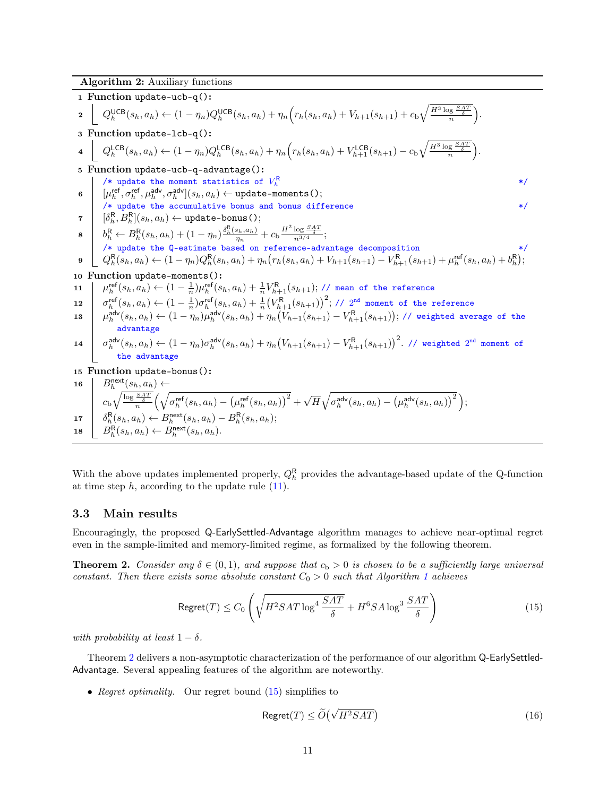Algorithm 2: Auxiliary functions

<span id="page-10-15"></span><span id="page-10-9"></span><span id="page-10-8"></span><span id="page-10-4"></span><span id="page-10-3"></span><span id="page-10-2"></span>1 Function update-ucb-q():\n2 
$$
\left[ Q_h^{UCB}(s_h, a_h) \leftarrow (1 - \eta_n) Q_h^{UCB}(s_h, a_h) + \eta_n \left( r_h(s_h, a_h) + V_{h+1}(s_{h+1}) + c_b \sqrt{\frac{H^3 \log \frac{SAT}{2}}{n}} \right) \right]
$$
\n3 Function update-lcb-q():\n4 
$$
\left[ Q_h^{LCB}(s_h, a_h) \leftarrow (1 - \eta_n) Q_h^{LCB}(s_h, a_h) + \eta_n \left( r_h(s_h, a_h) + V_{h+1}^{LCB}(s_{h+1}) - c_b \sqrt{\frac{H^3 \log \frac{SAT}{2}}{n}} \right) \right]
$$
\n5 Function update the moment statistics of  $V_h^R$ \n6 
$$
\left| \begin{array}{l} \mu_f^{rel}, \sigma_f^{rel}, \mu_f^{adv}, \sigma_f^{adv} \end{array} \right| (s_h, a_h) \leftarrow \text{update-bounds}(s)
$$
\n7 
$$
\left| \begin{array}{l} \partial_h^R, B_h^R(s_h, a_h) \leftarrow \text{update-bounds}(s); \\
 \mu_f^{rel}, \sigma_f^{rel}, \mu_f^{adv}, \sigma_f^{adv} \end{array} \right| (s_h, a_h) \leftarrow \text{update-bounds}(s); \\
8 \left| \begin{array}{l} \partial_h^R, B_h^R(s_h, a_h) \leftarrow \text{update-bounds}(s); \\
 \partial_h^R, \leftarrow B_h^R(s_h, a_h) \leftarrow (1 - \eta_n) \frac{\delta_h^R(s_h, a_h)}{m_h} + c_b \frac{H^2 \log \frac{SAT}{2}}{n^3/4}; \\
 \mathcal{F} \text{ update the 0-estimate based on reference-advariance decomposition} \right| \right| \left| \begin{array}{l} \mathcal{F}^R, (s_h, a_h) \leftarrow (1 - \eta_n) Q_h^R(s_h, a_h) + \eta_n \left( r_h(s_h, a_h) + V_{h+1}(s_{h+1}) - V_{h+1}^R(s_h, a_h) + b_h^R \right) \right| \right| \right|}{\left| \begin{array}{l} \mathcal{F}^R, (s_h, a_h) \leftarrow (1 - \frac{1}{n}) \mu_f^{rel}(s_h, a_h) + \frac{1}{n} V_{h+1}^R(s_h, a_h) + V_{h+1}(s_{h+1}) - V_{h+1}^R(s_h, a_h
$$

<span id="page-10-14"></span><span id="page-10-13"></span><span id="page-10-12"></span><span id="page-10-11"></span><span id="page-10-10"></span><span id="page-10-1"></span>With the above updates implemented properly,  $Q_h^{\mathsf{R}}$  provides the advantage-based update of the Q-function at time step  $h$ , according to the update rule  $(11)$ .

### <span id="page-10-0"></span>3.3 Main results

Encouragingly, the proposed Q-EarlySettled-Advantage algorithm manages to achieve near-optimal regret even in the sample-limited and memory-limited regime, as formalized by the following theorem.

<span id="page-10-5"></span>**Theorem 2.** Consider any  $\delta \in (0,1)$ , and suppose that  $c_b > 0$  is chosen to be a sufficiently large universal constant. Then there exists some absolute constant  $C_0 > 0$  such that Algorithm [1](#page-9-2) achieves

<span id="page-10-6"></span>
$$
\text{Regret}(T) \le C_0 \left( \sqrt{H^2 SAT \log^4 \frac{SAT}{\delta}} + H^6 SA \log^3 \frac{SAT}{\delta} \right) \tag{15}
$$

with probability at least  $1 - \delta$ .

Theorem [2](#page-10-5) delivers a non-asymptotic characterization of the performance of our algorithm Q-EarlySettled-Advantage. Several appealing features of the algorithm are noteworthy.

• Regret optimality. Our regret bound [\(15\)](#page-10-6) simplifies to

<span id="page-10-7"></span>
$$
\text{Regret}(T) \le \widetilde{O}\left(\sqrt{H^2SAT}\right) \tag{16}
$$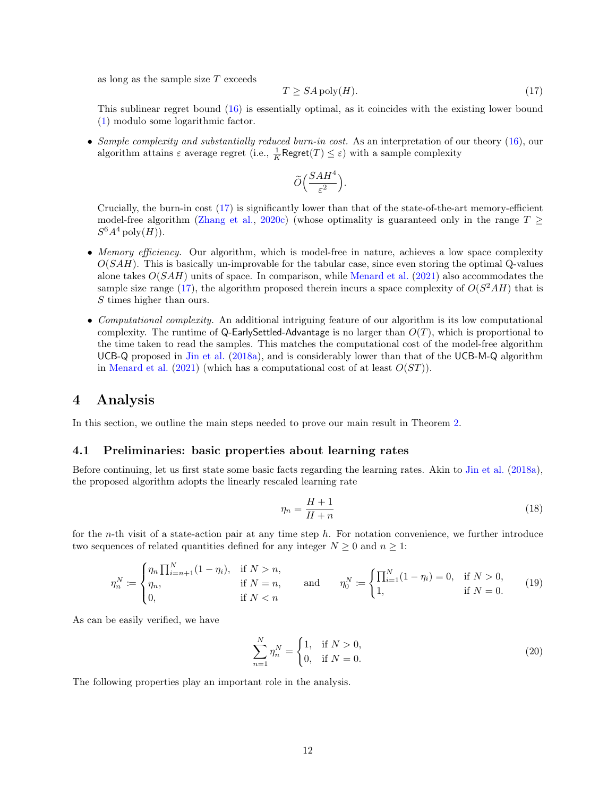as long as the sample size T exceeds

<span id="page-11-2"></span>
$$
T \ge SA \operatorname{poly}(H). \tag{17}
$$

This sublinear regret bound [\(16\)](#page-10-7) is essentially optimal, as it coincides with the existing lower bound [\(1\)](#page-2-2) modulo some logarithmic factor.

• Sample complexity and substantially reduced burn-in cost. As an interpretation of our theory  $(16)$ , our algorithm attains  $\varepsilon$  average regret (i.e.,  $\frac{1}{K}$ Regret $(T) \leq \varepsilon$ ) with a sample complexity

$$
\widetilde{O}\Big(\frac{SAH^4}{\varepsilon^2}\Big).
$$

Crucially, the burn-in cost [\(17\)](#page-11-2) is significantly lower than that of the state-of-the-art memory-efficient model-free algorithm [\(Zhang et al.,](#page-59-1) [2020c\)](#page-59-1) (whose optimality is guaranteed only in the range  $T >$  $S^6A^4$  poly $(H)$ ).

- Memory efficiency. Our algorithm, which is model-free in nature, achieves a low space complexity  $O(SAH)$ . This is basically un-improvable for the tabular case, since even storing the optimal Q-values alone takes  $O(SAH)$  units of space. In comparison, while [Menard et al.](#page-58-2) [\(2021\)](#page-58-2) also accommodates the sample size range [\(17\)](#page-11-2), the algorithm proposed therein incurs a space complexity of  $O(S^2AH)$  that is S times higher than ours.
- Computational complexity. An additional intriguing feature of our algorithm is its low computational complexity. The runtime of Q-EarlySettled-Advantage is no larger than  $O(T)$ , which is proportional to the time taken to read the samples. This matches the computational cost of the model-free algorithm UCB-Q proposed in [Jin et al.](#page-57-2) [\(2018a\)](#page-57-2), and is considerably lower than that of the UCB-M-Q algorithm in [Menard et al.](#page-58-2) [\(2021\)](#page-58-2) (which has a computational cost of at least  $O(ST)$ ).

# <span id="page-11-0"></span>4 Analysis

In this section, we outline the main steps needed to prove our main result in Theorem [2.](#page-10-5)

#### <span id="page-11-1"></span>4.1 Preliminaries: basic properties about learning rates

Before continuing, let us first state some basic facts regarding the learning rates. Akin to [Jin et al.](#page-57-2) [\(2018a\)](#page-57-2), the proposed algorithm adopts the linearly rescaled learning rate

$$
\eta_n = \frac{H+1}{H+n} \tag{18}
$$

for the *n*-th visit of a state-action pair at any time step h. For notation convenience, we further introduce two sequences of related quantities defined for any integer  $N \geq 0$  and  $n \geq 1$ :

<span id="page-11-3"></span>
$$
\eta_n^N := \begin{cases} \eta_n \prod_{i=n+1}^N (1 - \eta_i), & \text{if } N > n, \\ \eta_n, & \text{if } N = n, \\ 0, & \text{if } N < n \end{cases} \quad \text{and} \quad \eta_0^N := \begin{cases} \prod_{i=1}^N (1 - \eta_i) = 0, & \text{if } N > 0, \\ 1, & \text{if } N = 0. \end{cases} \tag{19}
$$

As can be easily verified, we have

<span id="page-11-4"></span>
$$
\sum_{n=1}^{N} \eta_n^N = \begin{cases} 1, & \text{if } N > 0, \\ 0, & \text{if } N = 0. \end{cases}
$$
 (20)

The following properties play an important role in the analysis.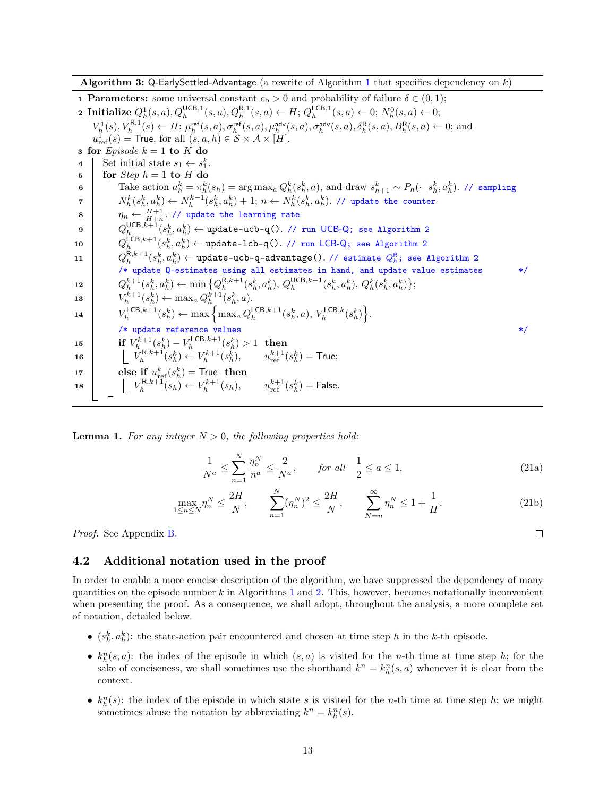**Algorithm 3:** Q-EarlySettled-Advantage (a rewrite of Algorithm [1](#page-9-2) that specifies dependency on  $k$ )

<span id="page-12-8"></span>1 **Parameters:** some universal constant  $c<sub>b</sub> > 0$  and probability of failure  $\delta \in (0,1)$ ; **2 Initialize**  $Q_h^1(s, a), Q_h^{\text{UCB},1}(s, a), Q_h^{\text{R},1}(s, a) \leftarrow H; Q_h^{\text{LCB},1}(s, a) \leftarrow 0; N_h^0(s, a) \leftarrow 0;$  $V_h^1(s), V_h^{\mathsf{R},1}(s) \leftarrow H; \, \mu_h^{\mathsf{ref}}(s, a), \sigma_h^{\mathsf{ref}}(s, a), \mu_h^{\mathsf{adv}}(s, a), \sigma_h^{\mathsf{adv}}(s, a), \delta_h^{\mathsf{R}}(s, a), B_h^{\mathsf{R}}(s, a) \leftarrow 0;$  and  $u_{\rm ref}^1(s)$  = True, for all  $(s, a, h) \in S \times A \times [H]$ . 3 for *Episode*  $k = 1$  to K do 4 Set initial state  $s_1 \leftarrow s_1^k$ .  $\mathbf{5}$  for *Step*  $h = 1$  to H do  $\texttt{6} \quad | \quad \text{Take action} \; a_h^k = \pi_h^k(s_h) = \argmax_a Q_h^k(s_h^k, a), \text{ and draw } s_{h+1}^k \sim P_h(\cdot \, | \, s_h^k, a_h^k). \; \text{ // sampling}$  $\tau$   $N_h^k(s_h^k,a_h^k) \leftarrow N_h^{k-1}(s_h^k,a_h^k)+1;\, n \leftarrow N_h^k(s_h^k,a_h^k)$ . // update the counter  $s$   $\begin{array}{|c|c|c|}\hline \rule{0pt}{12pt}\eta_n\leftarrow\frac{H+1}{H+n}. \end{array}$  // update the learning rate  $\mathsf{p}$   $\big|\big|\big|Q_{h}^{\mathsf{UCB},k+1}(s_{h}^k,a_{h}^k)\leftarrow \texttt{update-ucb-q().}\ \texttt{// run UCB-Q; see Algorithm 2}$  $\big|\big|\big|Q_{h}^{\mathsf{UCB},k+1}(s_{h}^k,a_{h}^k)\leftarrow \texttt{update-ucb-q().}\ \texttt{// run UCB-Q; see Algorithm 2}$  $\big|\big|\big|Q_{h}^{\mathsf{UCB},k+1}(s_{h}^k,a_{h}^k)\leftarrow \texttt{update-ucb-q().}\ \texttt{// run UCB-Q; see Algorithm 2}$  $10$   $\Big|\quad Q_h^{\mathsf{LCB},k+1}(s_h^k,a_h^k) \leftarrow \texttt{update-}1\texttt{cb-q().}\ \texttt{// run LCB-Q; see Algorithm 2}$  $\Big|\quad Q_h^{\mathsf{LCB},k+1}(s_h^k,a_h^k) \leftarrow \texttt{update-}1\texttt{cb-q().}\ \texttt{// run LCB-Q; see Algorithm 2}$  $\Big|\quad Q_h^{\mathsf{LCB},k+1}(s_h^k,a_h^k) \leftarrow \texttt{update-}1\texttt{cb-q().}\ \texttt{// run LCB-Q; see Algorithm 2}$ 11  $\left|\;\;\;: \bigcap_{h} R_h k+1(s_h^k,a_h^k) \gets \texttt{update-ucb-q-advantage().}\; \texttt{\textit{// estimate}}\;Q_h^R; \;\texttt{see Algorithm 2}$  $\left|\;\;\;: \bigcap_{h} R_h k+1(s_h^k,a_h^k) \gets \texttt{update-ucb-q-advantage().}\; \texttt{\textit{// estimate}}\;Q_h^R; \;\texttt{see Algorithm 2}$  $\left|\;\;\;: \bigcap_{h} R_h k+1(s_h^k,a_h^k) \gets \texttt{update-ucb-q-advantage().}\; \texttt{\textit{// estimate}}\;Q_h^R; \;\texttt{see Algorithm 2}$ /\* update Q-estimates using all estimates in hand, and update value estimates \*/  $12 \quad | \quad Q_h^{k+1}(s_h^k, a_h^k) \leftarrow \min\big\{Q_h^{\mathsf{R},k+1}(s_h^k, a_h^k), Q_h^{\mathsf{UCB},k+1}(s_h^k, a_h^k), Q_h^k(s_h^k, a_h^k)\big\};$ 13  $V_h^{k+1}(s_h^k) \leftarrow \max_a Q_h^{k+1}(s_h^k, a).$ 14  $V_h^{\mathsf{LCB},k+1}(s_h^k) \leftarrow \max \left\{ \max_a Q_h^{\mathsf{LCB},k+1}(s_h^k, a), V_h^{\mathsf{LCB},k}(s_h^k) \right\}.$ /\* update reference values \*/ 15 if  $V_{h}^{k+1}(s_{h}^{k})-V_{h}^{\mathsf{LCB},k+1}(s_{h}^{k})>1$  then 16  $\Box$   $V_h^{\mathsf{R},k+1}(s_h^k) \leftarrow V_h^{k+1}(s_h^k), \qquad u_{\text{ref}}^{k+1}(s_h^k) = \textsf{True};$ 17  $\Big|$  else if  $u_{\text{ref}}^k(s_h^k)$  = True then 18  $V_h^{R,k+1}(s_h) \leftarrow V_h^{k+1}(s_h), \qquad u_{\text{ref}}^{k+1}(s_h^k) = \textsf{False}.$ 

<span id="page-12-12"></span><span id="page-12-11"></span><span id="page-12-10"></span><span id="page-12-9"></span><span id="page-12-5"></span><span id="page-12-4"></span><span id="page-12-3"></span><span id="page-12-2"></span><span id="page-12-1"></span>**Lemma 1.** For any integer  $N > 0$ , the following properties hold:

$$
\frac{1}{N^a} \le \sum_{n=1}^N \frac{\eta_n^N}{n^a} \le \frac{2}{N^a}, \qquad \text{for all} \quad \frac{1}{2} \le a \le 1,\tag{21a}
$$

$$
\max_{1 \le n \le N} \eta_n^N \le \frac{2H}{N}, \qquad \sum_{n=1}^N (\eta_n^N)^2 \le \frac{2H}{N}, \qquad \sum_{N=n}^\infty \eta_n^N \le 1 + \frac{1}{H}.\tag{21b}
$$

Proof. See Appendix [B.](#page-21-0)

### <span id="page-12-0"></span>4.2 Additional notation used in the proof

In order to enable a more concise description of the algorithm, we have suppressed the dependency of many quantities on the episode number  $k$  in Algorithms [1](#page-9-2) and [2.](#page-10-1) This, however, becomes notationally inconvenient when presenting the proof. As a consequence, we shall adopt, throughout the analysis, a more complete set of notation, detailed below.

- $(s_h^k, a_h^k)$ : the state-action pair encountered and chosen at time step h in the k-th episode.
- $k_h^n(s, a)$ : the index of the episode in which  $(s, a)$  is visited for the n-th time at time step h; for the sake of conciseness, we shall sometimes use the shorthand  $k^n = k_h^n(s, a)$  whenever it is clear from the context.
- $k_h^n(s)$ : the index of the episode in which state s is visited for the n-th time at time step h; we might sometimes abuse the notation by abbreviating  $k^n = k_h^n(s)$ .

<span id="page-12-7"></span><span id="page-12-6"></span> $\Box$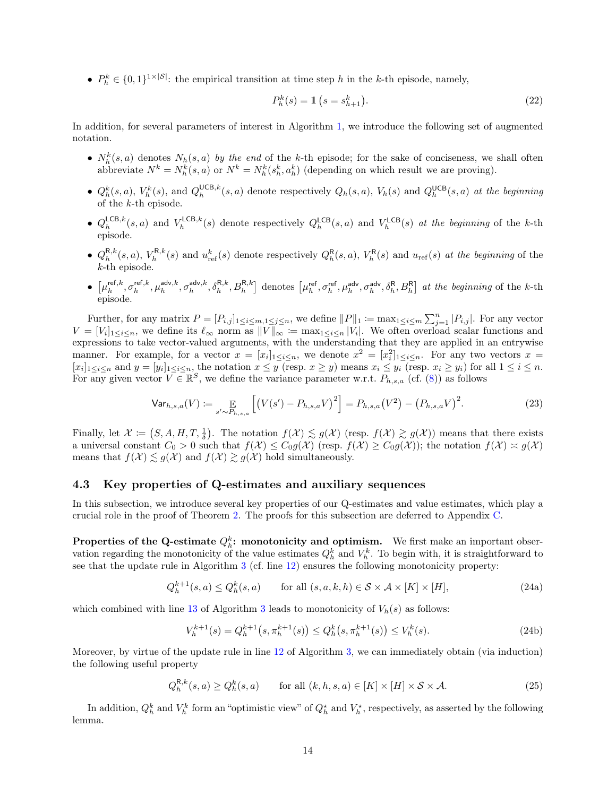•  $P_h^k \in \{0,1\}^{1 \times |\mathcal{S}|}$ : the empirical transition at time step h in the k-th episode, namely,

<span id="page-13-4"></span>
$$
P_h^k(s) = \mathbb{1}\left(s = s_{h+1}^k\right). \tag{22}
$$

In addition, for several parameters of interest in Algorithm [1,](#page-9-2) we introduce the following set of augmented notation.

- $N_h^k(s, a)$  denotes  $N_h(s, a)$  by the end of the k-th episode; for the sake of conciseness, we shall often abbreviate  $N^k = N_h^k(s, a)$  or  $N^k = N_h^k(s_h^k, a_h^k)$  (depending on which result we are proving).
- $Q_h^k(s, a)$ ,  $V_h^k(s)$ , and  $Q_h^{\text{UCB}, k}(s, a)$  denote respectively  $Q_h(s, a)$ ,  $V_h(s)$  and  $Q_h^{\text{UCB}}(s, a)$  at the beginning of the k-th episode.
- $Q_h^{\mathsf{LCB},k}(s, a)$  and  $V_h^{\mathsf{LCB},k}(s)$  denote respectively  $Q_h^{\mathsf{LCB}}(s, a)$  and  $V_h^{\mathsf{LCB}}(s)$  at the beginning of the k-th episode.
- $Q_h^{R,k}(s, a)$ ,  $V_h^{R,k}(s)$  and  $u_{ref}^k(s)$  denote respectively  $Q_h^{R}(s, a)$ ,  $V_h^{R}(s)$  and  $u_{ref}(s)$  at the beginning of the k-th episode.
- $\bullet$   $\left[\mu_h^{\text{ref},k}, \sigma_h^{\text{ref},k}, \mu_h^{\text{adv},k}, \sigma_h^{\text{adv},k}, \delta_h^{\text{R},k}, B_h^{\text{R},k}\right]$  denotes  $\left[\mu_h^{\text{ref}}, \sigma_h^{\text{ref}}, \mu_h^{\text{adv}}, \sigma_h^{\text{adv}}, \delta_h^{\text{R}}, B_h^{\text{R}}\right]$  at the beginning of the k-th episode.

Further, for any matrix  $P = [P_{i,j}]_{1 \le i \le m, 1 \le j \le n}$ , we define  $||P||_1 := \max_{1 \le i \le m} \sum_{j=1}^n |P_{i,j}|$ . For any vector  $V = [V_i]_{1 \leq i \leq n}$ , we define its  $\ell_{\infty}$  norm as  $||V||_{\infty} := \max_{1 \leq i \leq n} |V_i|$ . We often overload scalar functions and expressions to take vector-valued arguments, with the understanding that they are applied in an entrywise manner. For example, for a vector  $x = [x_i]_{1 \leq i \leq n}$ , we denote  $x^2 = [x_i^2]_{1 \leq i \leq n}$ . For any two vectors  $x =$  $[x_i]_{1 \leq i \leq n}$  and  $y = [y_i]_{1 \leq i \leq n}$ , the notation  $x \leq y$  (resp.  $x \geq y$ ) means  $x_i \leq y_i$  (resp.  $x_i \geq y_i$ ) for all  $1 \leq i \leq n$ . For any given vector  $V \in \mathbb{R}^S$ , we define the variance parameter w.r.t.  $P_{h,s,a}$  (cf. [\(8\)](#page-6-3)) as follows

<span id="page-13-5"></span>
$$
\text{Var}_{h,s,a}(V) := \mathop{\mathbb{E}}_{s' \sim P_{h,s,a}} \left[ \left( V(s') - P_{h,s,a} V \right)^2 \right] = P_{h,s,a} \left( V^2 \right) - \left( P_{h,s,a} V \right)^2. \tag{23}
$$

Finally, let  $\mathcal{X} := (S, A, H, T, \frac{1}{\delta})$ . The notation  $f(\mathcal{X}) \lesssim g(\mathcal{X})$  (resp.  $f(\mathcal{X}) \gtrsim g(\mathcal{X})$ ) means that there exists a universal constant  $C_0 > 0$  such that  $f(\mathcal{X}) \leq C_0 g(\mathcal{X})$  (resp.  $f(\mathcal{X}) \geq C_0 g(\mathcal{X})$ ); the notation  $f(\mathcal{X}) \approx g(\mathcal{X})$ means that  $f(\mathcal{X}) \lesssim g(\mathcal{X})$  and  $f(\mathcal{X}) \gtrsim g(\mathcal{X})$  hold simultaneously.

# <span id="page-13-0"></span>4.3 Key properties of Q-estimates and auxiliary sequences

In this subsection, we introduce several key properties of our Q-estimates and value estimates, which play a crucial role in the proof of Theorem [2.](#page-10-5) The proofs for this subsection are deferred to Appendix [C.](#page-22-0)

**Properties of the Q-estimate**  $Q_h^k$ : monotonicity and optimism. We first make an important observation regarding the monotonicity of the value estimates  $Q_h^k$  and  $V_h^k$ . To begin with, it is straightforward to see that the update rule in Algorithm [3](#page-12-2) (cf. line [12\)](#page-12-3) ensures the following monotonicity property:

$$
Q_h^{k+1}(s, a) \le Q_h^k(s, a) \qquad \text{for all } (s, a, k, h) \in \mathcal{S} \times \mathcal{A} \times [K] \times [H], \tag{24a}
$$

which combined with line [13](#page-12-4) of Algorithm [3](#page-12-2) leads to monotonicity of  $V_h(s)$  as follows:

<span id="page-13-3"></span><span id="page-13-2"></span><span id="page-13-1"></span>
$$
V_h^{k+1}(s) = Q_h^{k+1}(s, \pi_h^{k+1}(s)) \le Q_h^k(s, \pi_h^{k+1}(s)) \le V_h^k(s). \tag{24b}
$$

Moreover, by virtue of the update rule in line [12](#page-12-3) of Algorithm [3,](#page-12-2) we can immediately obtain (via induction) the following useful property

$$
Q_h^{R,k}(s,a) \ge Q_h^k(s,a) \qquad \text{for all } (k,h,s,a) \in [K] \times [H] \times \mathcal{S} \times \mathcal{A}.
$$
 (25)

In addition,  $Q_h^k$  and  $V_h^k$  form an "optimistic view" of  $Q_h^*$  and  $V_h^*$ , respectively, as asserted by the following lemma.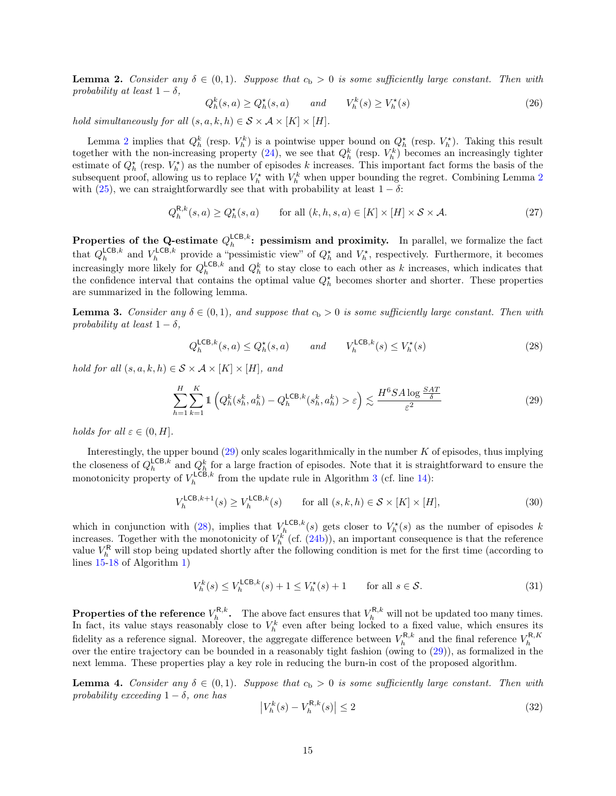<span id="page-14-0"></span>**Lemma 2.** Consider any  $\delta \in (0,1)$ . Suppose that  $c_b > 0$  is some sufficiently large constant. Then with probability at least  $1 - \delta$ ,

<span id="page-14-7"></span><span id="page-14-6"></span>
$$
Q_h^k(s, a) \ge Q_h^*(s, a) \qquad and \qquad V_h^k(s) \ge V_h^*(s) \tag{26}
$$

hold simultaneously for all  $(s, a, k, h) \in S \times A \times [K] \times [H]$ .

Lemma [2](#page-14-0) implies that  $Q_h^k$  (resp.  $V_h^k$ ) is a pointwise upper bound on  $Q_h^{\star}$  (resp.  $V_h^{\star}$ ). Taking this result together with the non-increasing property [\(24\)](#page-13-1), we see that  $Q_h^k$  (resp.  $V_h^k$ ) becomes an increasingly tighter estimate of  $Q_h^{\star}$  (resp.  $V_h^{\star}$ ) as the number of episodes k increases. This important fact forms the basis of the subsequent proof, allowing us to replace  $V_h^{\star}$  with  $V_h^k$  when upper bounding the regret. Combining Lemma [2](#page-14-0) with [\(25\)](#page-13-2), we can straightforwardly see that with probability at least  $1 - \delta$ :

$$
Q_h^{\mathsf{R},k}(s,a) \ge Q_h^{\star}(s,a) \qquad \text{for all } (k,h,s,a) \in [K] \times [H] \times \mathcal{S} \times \mathcal{A}.
$$
 (27)

Properties of the Q-estimate  $Q_h^{\mathsf{LCB},k}$ : pessimism and proximity. In parallel, we formalize the fact that  $Q_h^{\mathsf{LCB},k}$  and  $V_h^{\mathsf{LCB},k}$  provide a "pessimistic view" of  $Q_h^{\star}$  and  $V_h^{\star}$ , respectively. Furthermore, it becomes increasingly more likely for  $Q_h^{\mathsf{LCB},k}$  and  $Q_h^k$  to stay close to each other as k increases, which indicates that the confidence interval that contains the optimal value  $Q_h^*$  becomes shorter and shorter. These properties are summarized in the following lemma.

<span id="page-14-1"></span>**Lemma 3.** Consider any  $\delta \in (0,1)$ , and suppose that  $c_b > 0$  is some sufficiently large constant. Then with probability at least  $1 - \delta$ .

<span id="page-14-4"></span><span id="page-14-3"></span>
$$
Q_h^{\mathsf{LCB},k}(s,a) \le Q_h^{\star}(s,a) \qquad and \qquad V_h^{\mathsf{LCB},k}(s) \le V_h^{\star}(s) \tag{28}
$$

hold for all  $(s, a, k, h) \in S \times A \times [K] \times [H]$ , and

$$
\sum_{h=1}^{H} \sum_{k=1}^{K} \mathbb{1} \left( Q_h^k(s_h^k, a_h^k) - Q_h^{\mathsf{LCB},k}(s_h^k, a_h^k) > \varepsilon \right) \lesssim \frac{H^6 S A \log \frac{S A T}{\delta}}{\varepsilon^2} \tag{29}
$$

holds for all  $\varepsilon \in (0, H]$ .

Interestingly, the upper bound  $(29)$  only scales logarithmically in the number K of episodes, thus implying the closeness of  $Q_h^{\mathsf{LCB},k}$  and  $Q_h^k$  for a large fraction of episodes. Note that it is straightforward to ensure the monotonicity property of  $V_h^{\mathsf{LCB},k}$  from the update rule in Algorithm [3](#page-12-2) (cf. line [14\)](#page-12-5):

$$
V_h^{\mathsf{LCB},k+1}(s) \ge V_h^{\mathsf{LCB},k}(s) \qquad \text{for all } (s,k,h) \in \mathcal{S} \times [K] \times [H], \tag{30}
$$

which in conjunction with [\(28\)](#page-14-4), implies that  $V_h^{\text{LCB},k}(s)$  gets closer to  $V_h^{\star}(s)$  as the number of episodes k increases. Together with the monotonicity of  $V_h^k$  (cf. [\(24b\)](#page-13-3)), an important consequence is that the reference value  $V_h^{\mathsf{R}}$  will stop being updated shortly after the following condition is met for the first time (according to lines [15-](#page-9-0)[18](#page-9-1) of Algorithm [1\)](#page-9-2)

$$
V_h^k(s) \le V_h^{\mathsf{LCB},k}(s) + 1 \le V_h^{\star}(s) + 1 \qquad \text{for all } s \in \mathcal{S}.\tag{31}
$$

**Properties of the reference**  $V_h^{R,k}$ . The above fact ensures that  $V_h^{R,k}$  will not be updated too many times. In fact, its value stays reasonably close to  $V_h^k$  even after being locked to a fixed value, which ensures its fidelity as a reference signal. Moreover, the aggregate difference between  $V_h^{R,k}$  and the final reference  $V_h^{R,K}$ <br>over the entire trajectory can be bounded in a reasonably tight fashion (owing to [\(29\)](#page-14-3)), as formalized i next lemma. These properties play a key role in reducing the burn-in cost of the proposed algorithm.

<span id="page-14-2"></span>**Lemma 4.** Consider any  $\delta \in (0,1)$ . Suppose that  $c_b > 0$  is some sufficiently large constant. Then with probability exceeding  $1 - \delta$ , one has

<span id="page-14-5"></span>
$$
\left|V_h^k(s) - V_h^{\mathsf{R},k}(s)\right| \le 2\tag{32}
$$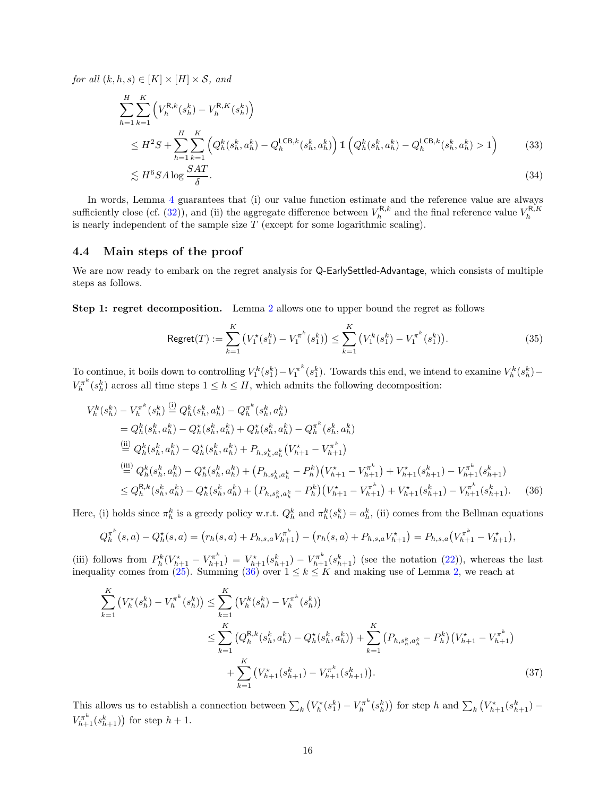for all  $(k, h, s) \in [K] \times [H] \times S$ , and

$$
\sum_{h=1}^{H} \sum_{k=1}^{K} \left( V_h^{R,k}(s_h^k) - V_h^{R,K}(s_h^k) \right)
$$
\n
$$
\leq H^2 S + \sum_{h=1}^{H} \sum_{k=1}^{K} \left( Q_h^k(s_h^k, a_h^k) - Q_h^{\mathsf{LCB},k}(s_h^k, a_h^k) \right) \mathbb{1} \left( Q_h^k(s_h^k, a_h^k) - Q_h^{\mathsf{LCB},k}(s_h^k, a_h^k) > 1 \right) \tag{33}
$$

<span id="page-15-2"></span>
$$
\lesssim H^6 S A \log \frac{SAT}{\delta}.\tag{34}
$$

In words, Lemma [4](#page-14-2) guarantees that (i) our value function estimate and the reference value are always sufficiently close (cf. [\(32\)](#page-14-5)), and (ii) the aggregate difference between  $V_h^{R,k}$  and the final reference value  $V_h^{R,K}$ <br>is nearly independent of the sample size T (except for some logarithmic scaling).

### <span id="page-15-0"></span>4.4 Main steps of the proof

We are now ready to embark on the regret analysis for Q-EarlySettled-Advantage, which consists of multiple steps as follows.

Step 1: regret decomposition. Lemma [2](#page-14-0) allows one to upper bound the regret as follows

<span id="page-15-1"></span>
$$
\text{Regret}(T) := \sum_{k=1}^{K} \left( V_1^*(s_1^k) - V_1^{\pi^k}(s_1^k) \right) \le \sum_{k=1}^{K} \left( V_1^k(s_1^k) - V_1^{\pi^k}(s_1^k) \right). \tag{35}
$$

To continue, it boils down to controlling  $V_1^k(s_1^k) - V_1^{\pi^k}(s_1^k)$ . Towards this end, we intend to examine  $V_h^k(s_h^k)$  –  $V_h^{\pi^k}(s_h^k)$  across all time steps  $1 \leq h \leq H$ , which admits the following decomposition:

$$
V_{h}^{k}(s_{h}^{k}) - V_{h}^{\pi^{k}}(s_{h}^{k}) \stackrel{\text{(i)}}{=} Q_{h}^{k}(s_{h}^{k}, a_{h}^{k}) - Q_{h}^{\pi^{k}}(s_{h}^{k}, a_{h}^{k})
$$
\n
$$
= Q_{h}^{k}(s_{h}^{k}, a_{h}^{k}) - Q_{h}^{\star}(s_{h}^{k}, a_{h}^{k}) + Q_{h}^{\star}(s_{h}^{k}, a_{h}^{k}) - Q_{h}^{\pi^{k}}(s_{h}^{k}, a_{h}^{k})
$$
\n
$$
\stackrel{\text{(ii)}}{=} Q_{h}^{k}(s_{h}^{k}, a_{h}^{k}) - Q_{h}^{\star}(s_{h}^{k}, a_{h}^{k}) + P_{h,s_{h}^{k}, a_{h}^{k}}(V_{h+1}^{\star} - V_{h+1}^{\pi^{k}})
$$
\n
$$
\stackrel{\text{(iii)}}{=} Q_{h}^{k}(s_{h}^{k}, a_{h}^{k}) - Q_{h}^{\star}(s_{h}^{k}, a_{h}^{k}) + (P_{h,s_{h}^{k}, a_{h}^{k}} - P_{h}^{k})(V_{h+1}^{\star} - V_{h+1}^{\pi^{k}}) + V_{h+1}^{\star}(s_{h+1}^{k}) - V_{h+1}^{\pi^{k}}(s_{h+1}^{k})
$$
\n
$$
\leq Q_{h}^{R,k}(s_{h}^{k}, a_{h}^{k}) - Q_{h}^{\star}(s_{h}^{k}, a_{h}^{k}) + (P_{h,s_{h}^{k}, a_{h}^{k}} - P_{h}^{k})(V_{h+1}^{\star} - V_{h+1}^{\pi^{k}}) + V_{h+1}^{\star}(s_{h+1}^{k}) - V_{h+1}^{\pi^{k}}(s_{h+1}^{k}). \quad (36)
$$

Here, (i) holds since  $\pi_h^k$  is a greedy policy w.r.t.  $Q_h^k$  and  $\pi_h^k(s_h^k) = a_h^k$ , (ii) comes from the Bellman equations

$$
Q_h^{\pi^k}(s, a) - Q_h^{\star}(s, a) = (r_h(s, a) + P_{h, s, a} V_{h+1}^{\pi^k}) - (r_h(s, a) + P_{h, s, a} V_{h+1}^{\star}) = P_{h, s, a} (V_{h+1}^{\pi^k} - V_{h+1}^{\star}),
$$

(iii) follows from  $P_h^k(V_{h+1}^* - V_{h+1}^{\pi^k}) = V_{h+1}^*(s_{h+1}^k) - V_{h+1}^{\pi^k}(s_{h+1}^k)$  (see the notation [\(22\)](#page-13-4)), whereas the last inequality comes from [\(25\)](#page-13-2). Summing [\(36\)](#page-15-1) over  $1 \leq k \leq K$  and making use of Lemma [2,](#page-14-0) we reach at

<span id="page-15-3"></span>
$$
\sum_{k=1}^{K} \left( V_{h}^{\star}(s_{h}^{k}) - V_{h}^{\pi^{k}}(s_{h}^{k}) \right) \leq \sum_{k=1}^{K} \left( V_{h}^{k}(s_{h}^{k}) - V_{h}^{\pi^{k}}(s_{h}^{k}) \right)
$$
\n
$$
\leq \sum_{k=1}^{K} \left( Q_{h}^{\mathsf{R},k}(s_{h}^{k}, a_{h}^{k}) - Q_{h}^{\star}(s_{h}^{k}, a_{h}^{k}) \right) + \sum_{k=1}^{K} \left( P_{h,s_{h}^{k},a_{h}^{k}} - P_{h}^{k} \right) \left( V_{h+1}^{\star} - V_{h+1}^{\pi^{k}} \right)
$$
\n
$$
+ \sum_{k=1}^{K} \left( V_{h+1}^{\star}(s_{h+1}^{k}) - V_{h+1}^{\pi^{k}}(s_{h+1}^{k}) \right). \tag{37}
$$

This allows us to establish a connection between  $\sum_{k} (V_h^{\star}(s_1^k) - V_h^{\pi^k}(s_h^k))$  for step h and  $\sum_{k} (V_{h+1}^{\star}(s_{h+1}^k) V_{h+1}^{\pi^k}(s_{h+1}^k)$  for step  $h+1$ .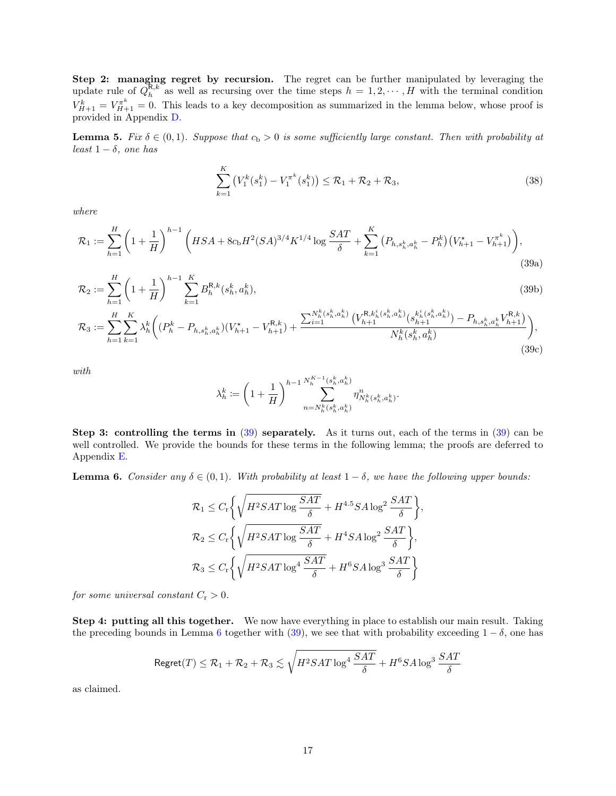Step 2: managing regret by recursion. The regret can be further manipulated by leveraging the update rule of  $Q_h^{\mathbf{R},k}$  as well as recursing over the time steps  $h = 1, 2, \cdots, H$  with the terminal condition  $V_{H+1}^k = V_{H+1}^{\pi^k} = 0$ . This leads to a key decomposition as summarized in the lemma below, whose proof is provided in Appendix [D.](#page-40-0)

<span id="page-16-0"></span>**Lemma 5.** Fix  $\delta \in (0,1)$ . Suppose that  $c_b > 0$  is some sufficiently large constant. Then with probability at least  $1 - \delta$ , one has

<span id="page-16-3"></span>
$$
\sum_{k=1}^{K} \left( V_1^k(s_1^k) - V_1^{\pi^k}(s_1^k) \right) \le \mathcal{R}_1 + \mathcal{R}_2 + \mathcal{R}_3,
$$
\n(38)

<span id="page-16-2"></span>where

$$
\mathcal{R}_1 := \sum_{h=1}^H \left( 1 + \frac{1}{H} \right)^{h-1} \left( HSA + 8c_b H^2 (SA)^{3/4} K^{1/4} \log \frac{SAT}{\delta} + \sum_{k=1}^K \left( P_{h,s_h^k,a_h^k} - P_h^k \right) \left( V_{h+1}^* - V_{h+1}^{\pi^k} \right) \right),\tag{39a}
$$

$$
\mathcal{R}_2 := \sum_{h=1}^H \left( 1 + \frac{1}{H} \right)^{h-1} \sum_{k=1}^K B_h^{R,k}(s_h^k, a_h^k),\tag{39b}
$$

$$
\mathcal{R}_{3} := \sum_{h=1}^{H} \sum_{k=1}^{K} \lambda_{h}^{k} \bigg( (P_{h}^{k} - P_{h,s_{h}^{k},a_{h}^{k}})(V_{h+1}^{*} - V_{h+1}^{R,k}) + \frac{\sum_{i=1}^{N_{h}^{k}(s_{h}^{k},a_{h}^{k})} (V_{h+1}^{R,k_{h}^{i}(s_{h}^{k},a_{h}^{k})}(s_{h+1}^{k_{h}^{i}(s_{h}^{k},a_{h}^{k})}) - P_{h,s_{h}^{k},a_{h}^{k}}V_{h+1}^{R,k})}{N_{h}^{k}(s_{h}^{k},a_{h}^{k})} \bigg), \tag{39c}
$$

with

<span id="page-16-5"></span><span id="page-16-4"></span>
$$
\lambda_h^k := \left(1 + \frac{1}{H}\right)^{h-1} \sum_{n=N_h^k(s_h^k, a_h^k)}^{N_h^{K-1}(s_h^k, a_h^k)} \eta_{N_h^k(s_h^k, a_h^k)}^n.
$$

Step 3: controlling the terms in  $(39)$  separately. As it turns out, each of the terms in  $(39)$  can be well controlled. We provide the bounds for these terms in the following lemma; the proofs are deferred to Appendix [E.](#page-42-0)

<span id="page-16-1"></span>**Lemma 6.** Consider any  $\delta \in (0,1)$ . With probability at least  $1 - \delta$ , we have the following upper bounds:

$$
\begin{aligned} \mathcal{R}_1 &\leq C_{\rm r} \bigg\{ \sqrt{H^2SAT \log \frac{SAT}{\delta}} + H^{4.5}SA \log^2 \frac{SAT}{\delta} \bigg\}, \\ \mathcal{R}_2 &\leq C_{\rm r} \bigg\{ \sqrt{H^2SAT \log \frac{SAT}{\delta}} + H^4SA \log^2 \frac{SAT}{\delta} \bigg\}, \\ \mathcal{R}_3 &\leq C_{\rm r} \bigg\{ \sqrt{H^2SAT \log^4 \frac{SAT}{\delta}} + H^6SA \log^3 \frac{SAT}{\delta} \bigg\} \end{aligned}
$$

for some universal constant  $C_r > 0$ .

Step 4: putting all this together. We now have everything in place to establish our main result. Taking the preceding bounds in Lemma [6](#page-16-1) together with [\(39\)](#page-16-2), we see that with probability exceeding  $1 - \delta$ , one has

$$
\mathsf{Regret}(T)\leq \mathcal{R}_1+\mathcal{R}_2+\mathcal{R}_3 \lesssim \sqrt{H^2SAT\log^4\frac{SAT}{\delta}}+H^6SA\log^3\frac{SAT}{\delta}
$$

as claimed.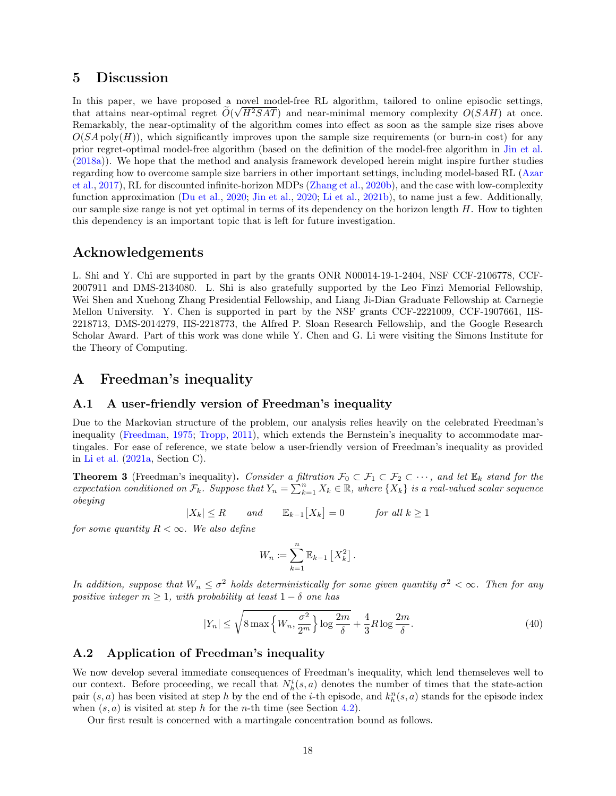# <span id="page-17-0"></span>5 Discussion

In this paper, we have proposed a novel model-free RL algorithm, tailored to online episodic settings, that attains near-optimal regret  $O(\sqrt{H^2SAT})$  and near-minimal memory complexity  $O(SAH)$  at once. Remarkably, the near-optimality of the algorithm comes into effect as soon as the sample size rises above  $O(SA \text{ poly}(H))$ , which significantly improves upon the sample size requirements (or burn-in cost) for any prior regret-optimal model-free algorithm (based on the definition of the model-free algorithm in [Jin et al.](#page-57-2) [\(2018a\)](#page-57-2)). We hope that the method and analysis framework developed herein might inspire further studies regarding how to overcome sample size barriers in other important settings, including model-based RL [\(Azar](#page-56-4) [et al.,](#page-56-4) [2017\)](#page-56-4), RL for discounted infinite-horizon MDPs [\(Zhang et al.,](#page-59-4) [2020b\)](#page-59-4), and the case with low-complexity function approximation [\(Du et al.,](#page-56-18) [2020;](#page-56-18) [Jin et al.,](#page-57-17) [2020;](#page-57-17) [Li et al.,](#page-57-18) [2021b\)](#page-57-18), to name just a few. Additionally, our sample size range is not yet optimal in terms of its dependency on the horizon length  $H$ . How to tighten this dependency is an important topic that is left for future investigation.

# Acknowledgements

L. Shi and Y. Chi are supported in part by the grants ONR N00014-19-1-2404, NSF CCF-2106778, CCF-2007911 and DMS-2134080. L. Shi is also gratefully supported by the Leo Finzi Memorial Fellowship, Wei Shen and Xuehong Zhang Presidential Fellowship, and Liang Ji-Dian Graduate Fellowship at Carnegie Mellon University. Y. Chen is supported in part by the NSF grants CCF-2221009, CCF-1907661, IIS-2218713, DMS-2014279, IIS-2218773, the Alfred P. Sloan Research Fellowship, and the Google Research Scholar Award. Part of this work was done while Y. Chen and G. Li were visiting the Simons Institute for the Theory of Computing.

# <span id="page-17-1"></span>A Freedman's inequality

### <span id="page-17-2"></span>A.1 A user-friendly version of Freedman's inequality

Due to the Markovian structure of the problem, our analysis relies heavily on the celebrated Freedman's inequality [\(Freedman,](#page-57-19) [1975;](#page-57-19) [Tropp,](#page-58-18) [2011\)](#page-58-18), which extends the Bernstein's inequality to accommodate martingales. For ease of reference, we state below a user-friendly version of Freedman's inequality as provided in [Li et al.](#page-57-6) [\(2021a,](#page-57-6) Section C).

<span id="page-17-4"></span>**Theorem 3** (Freedman's inequality). Consider a filtration  $\mathcal{F}_0 \subset \mathcal{F}_1 \subset \mathcal{F}_2 \subset \cdots$ , and let  $\mathbb{E}_k$  stand for the expectation conditioned on  $\mathcal{F}_k$ . Suppose that  $Y_n = \sum_{k=1}^n X_k \in \mathbb{R}$ , where  $\{X_k\}$  is a real-valued scalar sequence obeying

$$
|X_k| \le R \qquad \text{and} \qquad \mathbb{E}_{k-1}[X_k] = 0 \qquad \text{for all } k \ge 1
$$

for some quantity  $R < \infty$ . We also define

$$
W_n \coloneqq \sum_{k=1}^n \mathbb{E}_{k-1} \left[ X_k^2 \right].
$$

In addition, suppose that  $W_n \leq \sigma^2$  holds deterministically for some given quantity  $\sigma^2 < \infty$ . Then for any positive integer  $m \geq 1$ , with probability at least  $1 - \delta$  one has

$$
|Y_n| \le \sqrt{8 \max \left\{ W_n, \frac{\sigma^2}{2^m} \right\} \log \frac{2m}{\delta}} + \frac{4}{3} R \log \frac{2m}{\delta}.
$$
\n
$$
(40)
$$

### <span id="page-17-3"></span>A.2 Application of Freedman's inequality

We now develop several immediate consequences of Freedman's inequality, which lend themseleves well to our context. Before proceeding, we recall that  $N_h^i(s, a)$  denotes the number of times that the state-action pair  $(s, a)$  has been visited at step h by the end of the i-th episode, and  $k_h^n(s, a)$  stands for the episode index when  $(s, a)$  is visited at step h for the n-th time (see Section [4.2\)](#page-12-0).

Our first result is concerned with a martingale concentration bound as follows.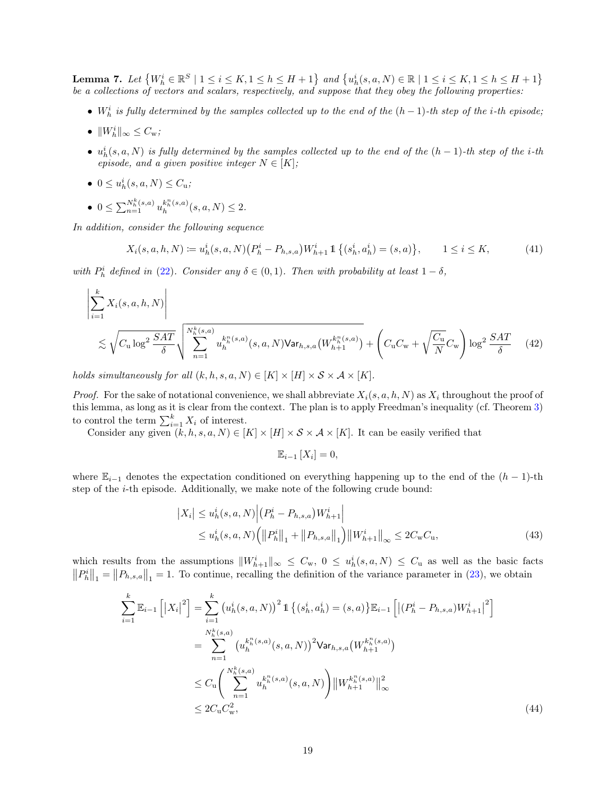<span id="page-18-2"></span>**Lemma 7.** Let  $\{W_h^i \in \mathbb{R}^S \mid 1 \le i \le K, 1 \le h \le H + 1\}$  and  $\{u_h^i(s, a, N) \in \mathbb{R} \mid 1 \le i \le K, 1 \le h \le H + 1\}$ be a collections of vectors and scalars, respectively, and suppose that they obey the following properties:

- $W_h^i$  is fully determined by the samples collected up to the end of the  $(h-1)$ -th step of the i-th episode;
- $||W_h^i||_{\infty} \leq C_{\rm w};$
- $u_h^i(s, a, N)$  is fully determined by the samples collected up to the end of the  $(h-1)$ -th step of the i-th episode, and a given positive integer  $N \in [K]$ ;
- $0 \le u_h^i(s, a, N) \le C_u;$
- $0 \le \sum_{n=1}^{N_h^k(s,a)} u_h^{k_h^n(s,a)}(s,a,N) \le 2.$

In addition, consider the following sequence

$$
X_i(s, a, h, N) := u_h^i(s, a, N) \left( P_h^i - P_{h, s, a} \right) W_{h+1}^i \mathbb{1} \left\{ (s_h^i, a_h^i) = (s, a) \right\}, \qquad 1 \le i \le K,
$$
 (41)

with  $P_h^i$  defined in [\(22\)](#page-13-4). Consider any  $\delta \in (0,1)$ . Then with probability at least  $1-\delta$ ,

$$
\left| \sum_{i=1}^{k} X_{i}(s, a, h, N) \right|
$$
  
\$\lesssim \sqrt{C\_{u} \log^{2} \frac{SAT}{\delta}} \sqrt{\sum\_{n=1}^{N\_{h}^{k}(s, a)} u\_{h}^{k\_{h}^{n}(s, a)}(s, a, N) \text{Var}\_{h, s, a}(W\_{h+1}^{k\_{h}^{n}(s, a)})} + \left(C\_{u} C\_{w} + \sqrt{\frac{C\_{u}}{N}} C\_{w}\right) \log^{2} \frac{SAT}{\delta} \quad (42)\$

holds simultaneously for all  $(k, h, s, a, N) \in [K] \times [H] \times S \times A \times [K]$ .

*Proof.* For the sake of notational convenience, we shall abbreviate  $X_i(s, a, h, N)$  as  $X_i$  throughout the proof of this lemma, as long as it is clear from the context. The plan is to apply Freedman's inequality (cf. Theorem [3\)](#page-17-4) to control the term  $\sum_{i=1}^{k} X_i$  of interest.

Consider any given  $(k, h, s, a, N) \in [K] \times [H] \times S \times A \times [K]$ . It can be easily verified that

<span id="page-18-1"></span><span id="page-18-0"></span>
$$
\mathbb{E}_{i-1}[X_i] = 0,
$$

where  $\mathbb{E}_{i-1}$  denotes the expectation conditioned on everything happening up to the end of the  $(h-1)$ -th step of the i-th episode. Additionally, we make note of the following crude bound:

$$
\begin{aligned} \left| X_i \right| &\leq u_h^i(s, a, N) \left| \left( P_h^i - P_{h, s, a} \right) W_{h+1}^i \right| \\ &\leq u_h^i(s, a, N) \left( \left\| P_h^i \right\|_1 + \left\| P_{h, s, a} \right\|_1 \right) \left\| W_{h+1}^i \right\|_\infty \leq 2C_{\rm w} C_{\rm u}, \end{aligned} \tag{43}
$$

which results from the assumptions  $||W_{h+1}^i||_{\infty} \leq C_{w}$ ,  $0 \leq u_h^i(s, a, N) \leq C_{u}$  as well as the basic facts  $||P_h^i||_1 = ||P_{h,s,a}||_1 = 1$ . To continue, recalling the definition of the variance parameter in [\(23\)](#page-13-5), we obtain

$$
\sum_{i=1}^{k} \mathbb{E}_{i-1} \left[ \left| X_{i} \right|^{2} \right] = \sum_{i=1}^{k} \left( u_{h}^{i}(s, a, N) \right)^{2} \mathbb{1} \left\{ (s_{h}^{i}, a_{h}^{i}) = (s, a) \right\} \mathbb{E}_{i-1} \left[ \left| (P_{h}^{i} - P_{h, s, a}) W_{h+1}^{i} \right|^{2} \right]
$$
\n
$$
= \sum_{n=1}^{N_{h}^{k}(s, a)} \left( u_{h}^{k_{h}^{n}(s, a)}(s, a, N) \right)^{2} \mathsf{Var}_{h, s, a} \left( W_{h+1}^{k_{h}^{n}(s, a)} \right)
$$
\n
$$
\leq C_{\mathbf{u}} \left( \sum_{n=1}^{N_{h}^{k}(s, a)} u_{h}^{k_{h}^{n}(s, a)}(s, a, N) \right) \left\| W_{h+1}^{k_{h}^{n}(s, a)} \right\|_{\infty}^{2}
$$
\n
$$
\leq 2C_{\mathbf{u}} C_{\mathbf{w}}^{2}, \tag{44}
$$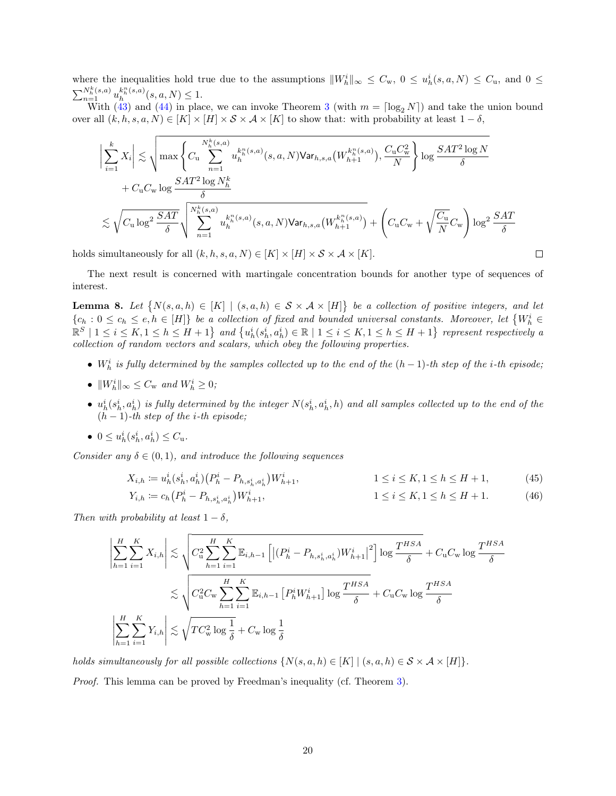where the inequalities hold true due to the assumptions  $||W_h^i||_{\infty} \leq C_{\rm w}$ ,  $0 \leq u_h^i(s, a, N) \leq C_{\rm u}$ , and  $0 \leq$  $\sum_{n=1}^{N_h^k(s,a)} u_h^{k_h^n(s,a)}(s,a,N) \leq 1.$ 

With  $(43)$  and  $(44)$  in place, we can invoke Theorem [3](#page-17-4) (with  $m = \lceil \log_2 N \rceil$ ) and take the union bound over all  $(k, h, s, a, N) \in [K] \times [H] \times S \times A \times [K]$  to show that: with probability at least  $1 - \delta$ ,

$$
\label{eq:bound} \begin{split} \bigg|\sum_{i=1}^k X_i\bigg|&\lesssim \sqrt{\max\left\{C_\mathrm{u}\sum_{n=1}^{N_h^k(s,a)}u_h^{k_h^n(s,a)}(s,a,N)\text{Var}_{h,s,a}\big(W_{h+1}^{k_h^n(s,a)}\big),\frac{C_\mathrm{u}C_\mathrm{w}^2}{N}\right\}\log\frac{SAT^2\log N}{\delta}}\\ &+C_\mathrm{u}C_\mathrm{w}\log\frac{SAT^2\log N_h^k}{\delta}\\ &\lesssim \sqrt{C_\mathrm{u}\log^2\frac{SAT}{\delta}}\sqrt{\sum_{n=1}^{N_h^k(s,a)}u_h^{k_h^n(s,a)}(s,a,N)\text{Var}_{h,s,a}\big(W_{h+1}^{k_h^n(s,a)}\big)}+\left(C_\mathrm{u}C_\mathrm{w}+\sqrt{\frac{C_\mathrm{u}}{N}}C_\mathrm{w}\right)\log^2\frac{SAT}{\delta}} \end{split}
$$

holds simultaneously for all  $(k, h, s, a, N) \in [K] \times [H] \times S \times A \times [K]$ .

The next result is concerned with martingale concentration bounds for another type of sequences of interest.

 $\Box$ 

<span id="page-19-0"></span>**Lemma 8.** Let  $\{N(s, a, h) \in [K] \mid (s, a, h) \in S \times A \times [H]\}$  be a collection of positive integers, and let  ${c_h : 0 \leq c_h \leq e, h \in [H]}$  be a collection of fixed and bounded universal constants. Moreover, let  ${W_h^i \in \mathbb{R}^d}$  $\mathbb{R}^S \mid 1 \leq i \leq K, 1 \leq h \leq H+1$  and  $\{u_h^i(s_h^i, a_h^i) \in \mathbb{R} \mid 1 \leq i \leq K, 1 \leq h \leq H+1\}$  represent respectively a collection of random vectors and scalars, which obey the following properties.

- $W_h^i$  is fully determined by the samples collected up to the end of the  $(h-1)$ -th step of the i-th episode;
- $||W_h^i||_{\infty} \leq C_{\rm w}$  and  $W_h^i \geq 0$ ;
- $u_h^i(s_h^i, a_h^i)$  is fully determined by the integer  $N(s_h^i, a_h^i, h)$  and all samples collected up to the end of the  $(h-1)$ -th step of the i-th episode;
- $0 \leq u_h^i(s_h^i, a_h^i) \leq C_u$ .

Consider any  $\delta \in (0,1)$ , and introduce the following sequences

$$
X_{i,h} \coloneqq u_h^i(s_h^i, a_h^i) \left( P_h^i - P_{h,s_h^i, a_h^i} \right) W_{h+1}^i, \qquad 1 \le i \le K, 1 \le h \le H+1,\tag{45}
$$

$$
Y_{i,h} := c_h \left( P_h^i - P_{h,s_h^i,a_h^i} \right) W_{h+1}^i, \qquad 1 \le i \le K, 1 \le h \le H+1. \tag{46}
$$

Then with probability at least  $1 - \delta$ ,

$$
\left|\sum_{h=1}^{H}\sum_{i=1}^{K}X_{i,h}\right| \lesssim \sqrt{C_{\text{u}}^2\sum_{h=1}^{H}\sum_{i=1}^{K}\mathbb{E}_{i,h-1}\left[\left|\left(P_h^i - P_{h,s_h^i,a_h^i}\right)W_{h+1}^i\right|^2\right] \log \frac{T^{HSA}}{\delta}} + C_{\text{u}}C_{\text{w}}\log \frac{T^{HSA}}{\delta}
$$
  

$$
\lesssim \sqrt{C_{\text{u}}^2C_{\text{w}}\sum_{h=1}^{H}\sum_{i=1}^{K}\mathbb{E}_{i,h-1}\left[P_h^iW_{h+1}^i\right] \log \frac{T^{HSA}}{\delta}} + C_{\text{u}}C_{\text{w}}\log \frac{T^{HSA}}{\delta}
$$
  

$$
\left|\sum_{h=1}^{H}\sum_{i=1}^{K}Y_{i,h}\right| \lesssim \sqrt{TC_{\text{w}}^2 \log \frac{1}{\delta}} + C_{\text{w}}\log \frac{1}{\delta}
$$

holds simultaneously for all possible collections  $\{N(s, a, h) \in [K] \mid (s, a, h) \in S \times A \times [H]\}.$ Proof. This lemma can be proved by Freedman's inequality (cf. Theorem [3\)](#page-17-4).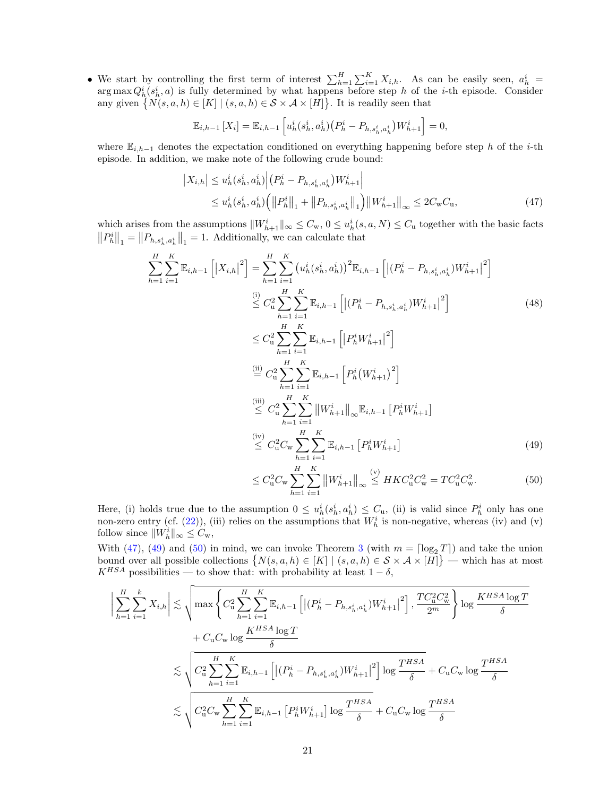• We start by controlling the first term of interest  $\sum_{h=1}^{H} \sum_{i=1}^{K} X_{i,h}$ . As can be easily seen,  $a_h^i$  $\arg \max Q_h^i(s_h^i, a)$  is fully determined by what happens before step h of the i-th episode. Consider any given  $\{N(s, a, h) \in [K] \mid (s, a, h) \in \mathcal{S} \times \mathcal{A} \times [H]\}.$  It is readily seen that

$$
\mathbb{E}_{i,h-1}[X_i] = \mathbb{E}_{i,h-1}\left[u^i_h(s^i_h,a^i_h)(P^i_h - P_{h,s^i_h,a^i_h})W^i_{h+1}\right] = 0,
$$

where  $\mathbb{E}_{i,h-1}$  denotes the expectation conditioned on everything happening before step h of the i-th episode. In addition, we make note of the following crude bound:

<span id="page-20-0"></span>
$$
\left| X_{i,h} \right| \leq u_h^i(s_h^i, a_h^i) \left| \left( P_h^i - P_{h,s_h^i, a_h^i} \right) W_{h+1}^i \right|
$$
  
 
$$
\leq u_h^i(s_h^i, a_h^i) \left( \left\| P_h^i \right\|_1 + \left\| P_{h,s_h^i, a_h^i} \right\|_1 \right) \left\| W_{h+1}^i \right\|_\infty \leq 2C_{\mathbf{w}} C_{\mathbf{u}}, \tag{47}
$$

which arises from the assumptions  $||W_{h+1}^i||_{\infty} \leq C_{w}$ ,  $0 \leq u_h^i(s, a, N) \leq C_{u}$  together with the basic facts  $||P_h^i||_1 = ||P_{h,s_h^i,a_h^i}||_1 = 1.$  Additionally, we can calculate that

$$
\sum_{h=1}^{H} \sum_{i=1}^{K} \mathbb{E}_{i,h-1} \left[ |X_{i,h}|^{2} \right] = \sum_{h=1}^{H} \sum_{i=1}^{K} \left( u_{h}^{i}(s_{h}^{i}, a_{h}^{i}) \right)^{2} \mathbb{E}_{i,h-1} \left[ | (P_{h}^{i} - P_{h,s_{h}^{i}, a_{h}^{i}}) W_{h+1}^{i} |^{2} \right]
$$
\n
$$
\stackrel{\text{(i)}}{\leq} C_{u}^{2} \sum_{h=1}^{H} \sum_{i=1}^{K} \mathbb{E}_{i,h-1} \left[ | (P_{h}^{i} - P_{h,s_{h}^{i}, a_{h}^{i}}) W_{h+1}^{i} |^{2} \right]
$$
\n
$$
\leq C_{u}^{2} \sum_{h=1}^{H} \sum_{i=1}^{K} \mathbb{E}_{i,h-1} \left[ | P_{h}^{i} W_{h+1}^{i} |^{2} \right]
$$
\n
$$
\stackrel{\text{(ii)}}{\leq} C_{u}^{2} \sum_{h=1}^{H} \sum_{i=1}^{K} \mathbb{E}_{i,h-1} \left[ P_{h}^{i} (W_{h+1}^{i})^{2} \right]
$$
\n
$$
\stackrel{\text{(iii)}}{\leq} C_{u}^{2} \sum_{h=1}^{H} \sum_{i=1}^{K} \| W_{h+1}^{i} \|_{\infty} \mathbb{E}_{i,h-1} \left[ P_{h}^{i} W_{h+1}^{i} \right]
$$
\n
$$
\stackrel{\text{(iv)}}{\leq} C_{u}^{2} C_{w} \sum_{h=1}^{H} \sum_{i=1}^{K} \mathbb{E}_{i,h-1} \left[ P_{h}^{i} W_{h+1}^{i} \right]
$$
\n
$$
\leq C_{u}^{2} C_{w} \sum_{h=1}^{H} \sum_{i=1}^{K} \mathbb{E}_{i,h-1} \left[ P_{h}^{i} W_{h+1}^{i} \right]
$$
\n
$$
\leq C_{u}^{2} C_{w} \sum_{h=1}^{H} \sum_{i=1}^{K} \| W_{h+1}^{i} \|_{\infty} \leq HK C_{u}^{2} C_{w}^{2} = TC_{u}^{2} C
$$

Here, (i) holds true due to the assumption  $0 \le u_h^i(s_h^i, a_h^i) \le C_u$ , (ii) is valid since  $P_h^i$  only has one non-zero entry (cf.  $(22)$ ), (iii) relies on the assumptions that  $W<sub>h</sub><sup>i</sup>$  is non-negative, whereas (iv) and (v) follow since  $||W_h^i||_{\infty} \leq C_{\rm w}$ ,

<span id="page-20-2"></span><span id="page-20-1"></span> $i=1$ 

 $h=1$ 

With [\(47\)](#page-20-0), [\(49\)](#page-20-1) and [\(50\)](#page-20-2) in mind, we can invoke Theorem [3](#page-17-4) (with  $m = \lceil \log_2 T \rceil$ ) and take the union bound over all possible collections  $\{N(s, a, h) \in [K] \mid (s, a, h) \in S \times A \times [H]\}$  — which has at most  $K^{HSA}$  possibilities — to show that: with probability at least  $1 - \delta$ ,

$$
\left| \sum_{h=1}^{H} \sum_{i=1}^{k} X_{i,h} \right| \lesssim \sqrt{\max_{h=1}^{H} \sum_{i=1}^{K} \sum_{i=1}^{K} \mathbb{E}_{i,h-1} \left[ \left| (P_h^i - P_{h,s_h^i, a_h^i}) W_{h+1}^i \right|^2 \right], \frac{T C_u^2 C_w^2}{2^m} \right\} \log \frac{K^{HSA} \log T}{\delta}
$$
  
+  $C_u C_w \log \frac{K^{HSA} \log T}{\delta}$   

$$
\lesssim \sqrt{C_u^2 \sum_{h=1}^{H} \sum_{i=1}^{K} \mathbb{E}_{i,h-1} \left[ \left| (P_h^i - P_{h,s_h^i, a_h^i}) W_{h+1}^i \right|^2 \right] \log \frac{T^{HSA}}{\delta} + C_u C_w \log \frac{T^{HSA}}{\delta}}
$$
  

$$
\lesssim \sqrt{C_u^2 C_w \sum_{h=1}^{H} \sum_{i=1}^{K} \mathbb{E}_{i,h-1} \left[ P_h^i W_{h+1}^i \right] \log \frac{T^{HSA}}{\delta} + C_u C_w \log \frac{T^{HSA}}{\delta}}
$$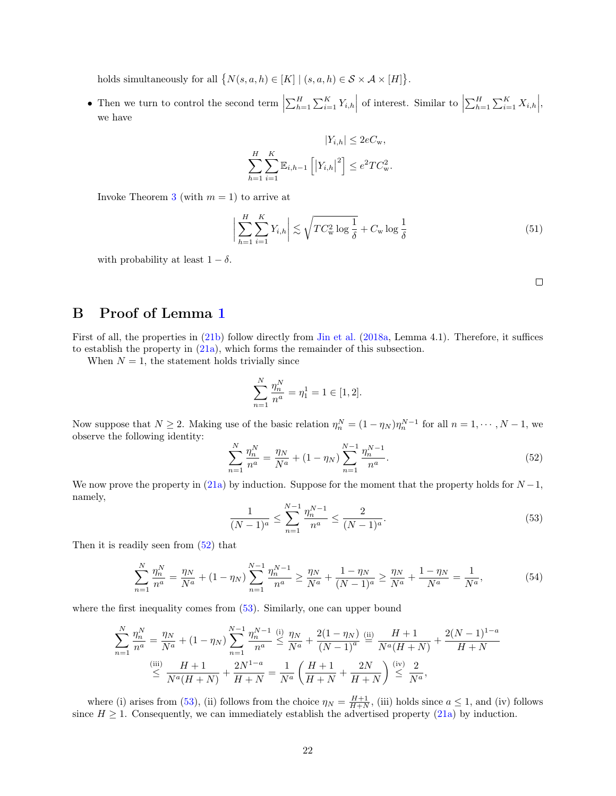holds simultaneously for all  $\{N(s, a, h) \in [K] \mid (s, a, h) \in S \times A \times [H]\}.$ 

• Then we turn to control the second term  $\left|\sum_{h=1}^H \sum_{i=1}^K Y_{i,h}\right|$  of interest. Similar to  $\left|\sum_{h=1}^H \sum_{i=1}^K X_{i,h}\right|$ , we have

$$
|Y_{i,h}| \le 2eC_{\mathbf{w}},
$$
  

$$
\sum_{h=1}^{H} \sum_{i=1}^{K} \mathbb{E}_{i,h-1} \left[ \left| Y_{i,h} \right|^2 \right] \le e^2 T C_{\mathbf{w}}^2.
$$

Invoke Theorem [3](#page-17-4) (with  $m = 1$ ) to arrive at

$$
\left| \sum_{h=1}^{H} \sum_{i=1}^{K} Y_{i,h} \right| \lesssim \sqrt{TC_{\mathbf{w}}^2 \log \frac{1}{\delta}} + C_{\mathbf{w}} \log \frac{1}{\delta}
$$
 (51)

with probability at least  $1 - \delta$ .

# <span id="page-21-0"></span>B Proof of Lemma [1](#page-12-1)

First of all, the properties in [\(21b\)](#page-12-6) follow directly from [Jin et al.](#page-57-2) [\(2018a,](#page-57-2) Lemma 4.1). Therefore, it suffices to establish the property in [\(21a\)](#page-12-7), which forms the remainder of this subsection.

When  $N = 1$ , the statement holds trivially since

$$
\sum_{n=1}^{N} \frac{\eta_n^N}{n^a} = \eta_1^1 = 1 \in [1, 2].
$$

Now suppose that  $N \ge 2$ . Making use of the basic relation  $\eta_n^N = (1 - \eta_N) \eta_n^{N-1}$  for all  $n = 1, \dots, N-1$ , we observe the following identity:

<span id="page-21-1"></span>
$$
\sum_{n=1}^{N} \frac{\eta_n^N}{n^a} = \frac{\eta_N}{N^a} + (1 - \eta_N) \sum_{n=1}^{N-1} \frac{\eta_n^{N-1}}{n^a}.
$$
\n(52)

We now prove the property in [\(21a\)](#page-12-7) by induction. Suppose for the moment that the property holds for  $N-1$ , namely,

<span id="page-21-2"></span>
$$
\frac{1}{(N-1)^a} \le \sum_{n=1}^{N-1} \frac{\eta_n^{N-1}}{n^a} \le \frac{2}{(N-1)^a}.
$$
\n(53)

Then it is readily seen from  $(52)$  that

$$
\sum_{n=1}^{N} \frac{\eta_n^N}{n^a} = \frac{\eta_N}{N^a} + (1 - \eta_N) \sum_{n=1}^{N-1} \frac{\eta_n^{N-1}}{n^a} \ge \frac{\eta_N}{N^a} + \frac{1 - \eta_N}{(N-1)^a} \ge \frac{\eta_N}{N^a} + \frac{1 - \eta_N}{N^a} = \frac{1}{N^a},\tag{54}
$$

where the first inequality comes from  $(53)$ . Similarly, one can upper bound

$$
\sum_{n=1}^{N} \frac{\eta_n^N}{n^a} = \frac{\eta_N}{N^a} + (1 - \eta_N) \sum_{n=1}^{N-1} \frac{\eta_n^{N-1}}{n^a} \stackrel{(i)}{\leq} \frac{\eta_N}{N^a} + \frac{2(1 - \eta_N)}{(N-1)^a} \stackrel{(ii)}{=} \frac{H+1}{N^a(H+N)} + \frac{2(N-1)^{1-a}}{H+N}
$$
  

$$
\stackrel{(iii)}{\leq} \frac{H+1}{N^a(H+N)} + \frac{2N^{1-a}}{H+N} = \frac{1}{N^a} \left( \frac{H+1}{H+N} + \frac{2N}{H+N} \right) \stackrel{(iv)}{\leq} \frac{2}{N^a},
$$

where (i) arises from [\(53\)](#page-21-2), (ii) follows from the choice  $\eta_N = \frac{H+1}{H+N}$ , (iii) holds since  $a \le 1$ , and (iv) follows since  $H \geq 1$ . Consequently, we can immediately establish the advertised property [\(21a\)](#page-12-7) by induction.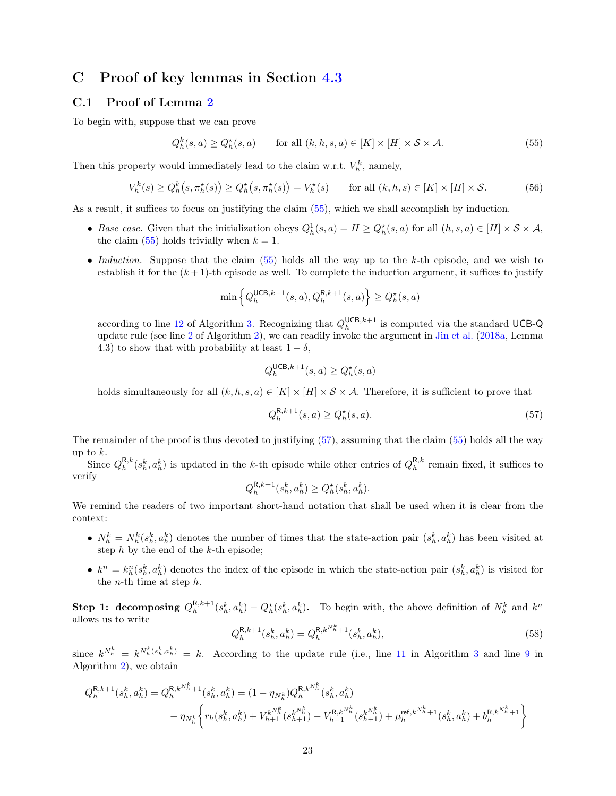# <span id="page-22-0"></span>C Proof of key lemmas in Section [4.3](#page-13-0)

### <span id="page-22-1"></span>C.1 Proof of Lemma [2](#page-14-0)

To begin with, suppose that we can prove

$$
Q_h^k(s, a) \ge Q_h^*(s, a) \qquad \text{for all } (k, h, s, a) \in [K] \times [H] \times \mathcal{S} \times \mathcal{A}.
$$
 (55)

Then this property would immediately lead to the claim w.r.t.  $V_h^k$ , namely,

<span id="page-22-5"></span>
$$
V_h^k(s) \ge Q_h^k(s, \pi_h^*(s)) \ge Q_h^*(s, \pi_h^*(s)) = V_h^*(s) \qquad \text{for all } (k, h, s) \in [K] \times [H] \times \mathcal{S}.
$$
 (56)

As a result, it suffices to focus on justifying the claim [\(55\)](#page-22-2), which we shall accomplish by induction.

- Base case. Given that the initialization obeys  $Q_h^1(s, a) = H \geq Q_h^*(s, a)$  for all  $(h, s, a) \in [H] \times S \times \mathcal{A}$ , the claim [\(55\)](#page-22-2) holds trivially when  $k = 1$ .
- Induction. Suppose that the claim  $(55)$  holds all the way up to the k-th episode, and we wish to establish it for the  $(k+1)$ -th episode as well. To complete the induction argument, it suffices to justify

<span id="page-22-2"></span>
$$
\min\left\{Q_h^{\mathsf{UCB},k+1}(s,a), Q_h^{\mathsf{R},k+1}(s,a)\right\} \ge Q_h^\star(s,a)
$$

according to line [12](#page-12-3) of Algorithm [3.](#page-12-2) Recognizing that  $Q_h^{\text{UCB},k+1}$  is computed via the standard UCB-Q update rule (see line [2](#page-10-8) of Algorithm [2\)](#page-10-1), we can readily invoke the argument in [Jin et al.](#page-57-2) [\(2018a,](#page-57-2) Lemma 4.3) to show that with probability at least  $1 - \delta$ ,

$$
Q_h^{\mathsf{UCB},k+1}(s,a) \ge Q_h^\star(s,a)
$$

holds simultaneously for all  $(k, h, s, a) \in [K] \times [H] \times S \times A$ . Therefore, it is sufficient to prove that

<span id="page-22-3"></span>
$$
Q_h^{\mathsf{R},k+1}(s,a) \ge Q_h^\star(s,a). \tag{57}
$$

The remainder of the proof is thus devoted to justifying [\(57\)](#page-22-3), assuming that the claim [\(55\)](#page-22-2) holds all the way up to  $k$ .

Since  $Q_h^{R,k}(s_h^k, a_h^k)$  is updated in the k-th episode while other entries of  $Q_h^{R,k}$  remain fixed, it suffices to verify

$$
Q_h^{\mathsf{R},k+1}(s_h^k, a_h^k) \ge Q_h^\star(s_h^k, a_h^k).
$$

We remind the readers of two important short-hand notation that shall be used when it is clear from the context:

- $N_h^k = N_h^k(s_h^k, a_h^k)$  denotes the number of times that the state-action pair  $(s_h^k, a_h^k)$  has been visited at step  $h$  by the end of the  $k$ -th episode;
- $k^n = k_h^n(s_h^k, a_h^k)$  denotes the index of the episode in which the state-action pair  $(s_h^k, a_h^k)$  is visited for the *n*-th time at step  $h$ .

**Step 1: decomposing**  $Q_h^{R,k+1}(s_h^k, a_h^k) - Q_h^*(s_h^k, a_h^k)$ . To begin with, the above definition of  $N_h^k$  and  $k^n$ allows us to write

<span id="page-22-4"></span>
$$
Q_h^{\mathsf{R},k+1}(s_h^k, a_h^k) = Q_h^{\mathsf{R},k^{N_h^k}+1}(s_h^k, a_h^k),\tag{58}
$$

since  $k^{N_h^k} = k^{N_h^k(s_h^k, a_h^k)} = k$ . According to the update rule (i.e., line [11](#page-12-8) in Algorithm [3](#page-12-2) and line [9](#page-10-9) in Algorithm [2\)](#page-10-1), we obtain

$$
\begin{split} Q^{\mathrm{R},k+1}_h(s_h^k,a_h^k) = Q^{\mathrm{R},k^{N_h^k}+1}_h(s_h^k,a_h^k) = (1-\eta_{N_h^k})Q^{\mathrm{R},k^{N_h^k}}_h(s_h^k,a_h^k) \\ &\quad + \eta_{N_h^k}\bigg\{r_h(s_h^k,a_h^k) + V_{h+1}^{k^{N_h^k}}(s_{h+1}^{k^{N_h^k}}) - V_{h+1}^{\mathrm{R},k^{N_h^k}}(s_{h+1}^{k^{N_h^k}}) + \mu_h^{\mathrm{ref},k^{N_h^k}+1}(s_h^k,a_h^k) + b_h^{\mathrm{R},k^{N_h^k}+1}\bigg\} \end{split}
$$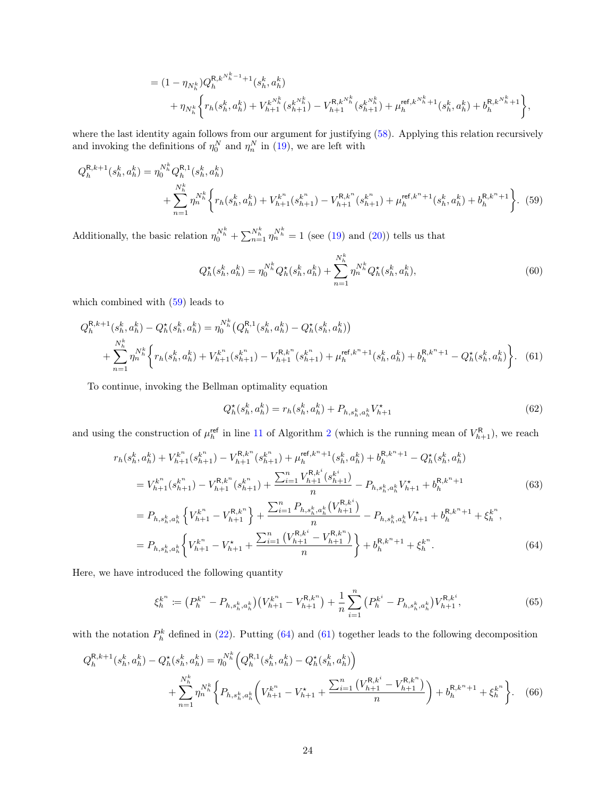$$
= (1 - \eta_{N_h^k}) Q_h^{R, k N_h^{k-1}+1}(s_h^k, a_h^k)
$$
  
+ 
$$
\eta_{N_h^k} \left\{ r_h(s_h^k, a_h^k) + V_{h+1}^{k N_h^k}(s_{h+1}^{k N_h^k}) - V_{h+1}^{R, k N_h^k}(s_{h+1}^{k N_h^k}) + \mu_h^{\text{ref}, k N_h^k+1}(s_h^k, a_h^k) + b_h^{R, k N_h^k+1} \right\},
$$

where the last identity again follows from our argument for justifying [\(58\)](#page-22-4). Applying this relation recursively and invoking the definitions of  $\eta_0^N$  and  $\eta_n^N$  in [\(19\)](#page-11-3), we are left with

$$
Q_h^{R,k+1}(s_h^k, a_h^k) = \eta_0^{N_h^k} Q_h^{R,1}(s_h^k, a_h^k)
$$
  
+ 
$$
\sum_{n=1}^{N_h^k} \eta_n^{N_h^k} \left\{ r_h(s_h^k, a_h^k) + V_{h+1}^{k^n}(s_{h+1}^{k^n}) - V_{h+1}^{R,k^n}(s_{h+1}^{k^n}) + \mu_h^{\text{ref},k^n+1}(s_h^k, a_h^k) + b_h^{R,k^n+1} \right\}.
$$
 (59)

Additionally, the basic relation  $\eta_0^{N_h^k} + \sum_{n=1}^{N_h^k} \eta_n^{N_h^k} = 1$  (see [\(19\)](#page-11-3) and [\(20\)](#page-11-4)) tells us that

<span id="page-23-6"></span><span id="page-23-0"></span>
$$
Q_h^{\star}(s_h^k, a_h^k) = \eta_0^{N_h^k} Q_h^{\star}(s_h^k, a_h^k) + \sum_{n=1}^{N_h^k} \eta_n^{N_h^k} Q_h^{\star}(s_h^k, a_h^k),\tag{60}
$$

which combined with [\(59\)](#page-23-0) leads to

$$
Q_{h}^{\mathsf{R},k+1}(s_{h}^{k}, a_{h}^{k}) - Q_{h}^{\star}(s_{h}^{k}, a_{h}^{k}) = \eta_{0}^{N_{h}^{k}}\left(Q_{h}^{\mathsf{R},1}(s_{h}^{k}, a_{h}^{k}) - Q_{h}^{\star}(s_{h}^{k}, a_{h}^{k})\right) + \sum_{n=1}^{N_{h}^{k}} \eta_{n}^{N_{h}^{k}}\left\{r_{h}(s_{h}^{k}, a_{h}^{k}) + V_{h+1}^{k^{n}}(s_{h+1}^{k^{n}}) - V_{h+1}^{\mathsf{R},k^{n}}(s_{h+1}^{k^{n}}) + \mu_{h}^{\mathsf{ref},k^{n}+1}(s_{h}^{k}, a_{h}^{k}) + b_{h}^{\mathsf{R},k^{n}+1} - Q_{h}^{\star}(s_{h}^{k}, a_{h}^{k})\right\}.
$$
 (61)

To continue, invoking the Bellman optimality equation

<span id="page-23-7"></span><span id="page-23-5"></span><span id="page-23-2"></span><span id="page-23-1"></span>
$$
Q_h^{\star}(s_h^k, a_h^k) = r_h(s_h^k, a_h^k) + P_{h,s_h^k, a_h^k} V_{h+1}^{\star}
$$
\n(62)

and using the construction of  $\mu_h^{\text{ref}}$  in line [11](#page-10-2) of Algorithm [2](#page-10-1) (which is the running mean of  $V_{h+1}^{\text{R}}$ ), we reach

$$
r_{h}(s_{h}^{k}, a_{h}^{k}) + V_{h+1}^{k^{n}}(s_{h+1}^{k^{n}}) - V_{h+1}^{R,k^{n}}(s_{h+1}^{k^{n}}) + \mu_{h}^{\text{ref},k^{n}+1}(s_{h}^{k}, a_{h}^{k}) + b_{h}^{R,k^{n}+1} - Q_{h}^{\star}(s_{h}^{k}, a_{h}^{k})
$$
  
\n
$$
= V_{h+1}^{k^{n}}(s_{h+1}^{k^{n}}) - V_{h+1}^{R,k^{n}}(s_{h+1}^{k^{n}}) + \frac{\sum_{i=1}^{n} V_{h+1}^{R,k^{i}}(s_{h+1}^{k^{i}})}{n} - P_{h,s_{h}^{k},a_{h}^{k}}V_{h+1}^{\star} + b_{h}^{R,k^{n}+1}
$$
  
\n
$$
= P_{h,s_{h}^{k},a_{h}^{k}}\left\{V_{h+1}^{k^{n}} - V_{h+1}^{R,k^{n}}\right\} + \frac{\sum_{i=1}^{n} P_{h,s_{h}^{k},a_{h}^{k}}(V_{h+1}^{R,k^{i}})}{n} - P_{h,s_{h}^{k},a_{h}^{k}}V_{h+1}^{\star} + b_{h}^{R,k^{n}+1} + \xi_{h}^{k^{n}},
$$
  
\n
$$
= P_{h,s_{h}^{k},a_{h}^{k}}\left\{V_{h+1}^{k^{n}} - V_{h+1}^{\star} + \frac{\sum_{i=1}^{n} \left(V_{h+1}^{R,k^{i}} - V_{h+1}^{R,k^{n}}\right)}{n}\right\} + b_{h}^{R,k^{n}+1} + \xi_{h}^{k^{n}}.
$$
  
\n(64)

Here, we have introduced the following quantity

<span id="page-23-4"></span><span id="page-23-3"></span>
$$
\xi_h^{k^n} := \left(P_h^{k^n} - P_{h,s_h^k,a_h^k}\right) \left(V_{h+1}^{k^n} - V_{h+1}^{\mathsf{R},k^n}\right) + \frac{1}{n} \sum_{i=1}^n \left(P_h^{k^i} - P_{h,s_h^k,a_h^k}\right) V_{h+1}^{\mathsf{R},k^i},\tag{65}
$$

with the notation  $P_h^k$  defined in [\(22\)](#page-13-4). Putting [\(64\)](#page-23-1) and [\(61\)](#page-23-2) together leads to the following decomposition

$$
Q_{h}^{\mathsf{R},k+1}(s_{h}^{k}, a_{h}^{k}) - Q_{h}^{\star}(s_{h}^{k}, a_{h}^{k}) = \eta_{0}^{N_{h}^{k}} \left(Q_{h}^{\mathsf{R},1}(s_{h}^{k}, a_{h}^{k}) - Q_{h}^{\star}(s_{h}^{k}, a_{h}^{k})\right) + \sum_{n=1}^{N_{h}^{k}} \eta_{n}^{N_{h}^{k}} \left\{ P_{h,s_{h}^{k}, a_{h}^{k}} \left( V_{h+1}^{k^{n}} - V_{h+1}^{\star} + \frac{\sum_{i=1}^{n} \left( V_{h+1}^{\mathsf{R},k^{i}} - V_{h+1}^{\mathsf{R},k^{n}} \right)}{n} \right) + b_{h}^{\mathsf{R},k^{n}+1} + \xi_{h}^{k^{n}} \right\}.
$$
 (66)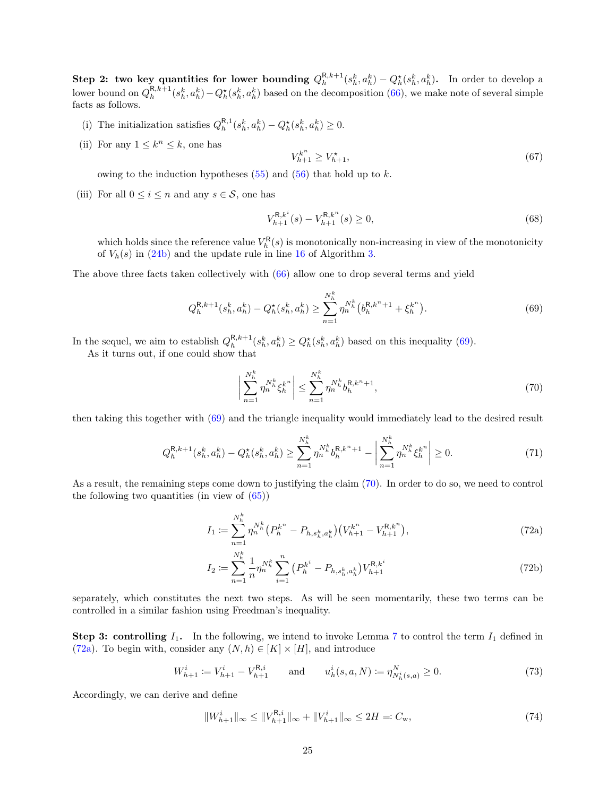Step 2: two key quantities for lower bounding  $Q_h^{R,k+1}(s_h^k, a_h^k) - Q_h^*(s_h^k, a_h^k)$ . In order to develop a lower bound on  $Q_h^{R,k+1}(s_h^k, a_h^k) - Q_h^*(s_h^k, a_h^k)$  based on the decomposition [\(66\)](#page-23-3), we make note of several simple facts as follows.

- (i) The initialization satisfies  $Q_h^{R,1}(s_h^k, a_h^k) Q_h^*(s_h^k, a_h^k) \geq 0$ .
- (ii) For any  $1 \leq k^n \leq k$ , one has

$$
V_{h+1}^{k^n} \ge V_{h+1}^\star,\tag{67}
$$

owing to the induction hypotheses  $(55)$  and  $(56)$  that hold up to k.

(iii) For all  $0 \leq i \leq n$  and any  $s \in \mathcal{S}$ , one has

$$
V_{h+1}^{\mathsf{R},k^{i}}(s) - V_{h+1}^{\mathsf{R},k^{n}}(s) \ge 0,
$$
\n(68)

which holds since the reference value  $V_h^{\mathsf{R}}(s)$  is monotonically non-increasing in view of the monotonicity of  $V_h(s)$  in [\(24b\)](#page-13-3) and the update rule in line [16](#page-9-3) of Algorithm [3.](#page-12-2)

The above three facts taken collectively with [\(66\)](#page-23-3) allow one to drop several terms and yield

<span id="page-24-0"></span>
$$
Q_h^{\mathsf{R},k+1}(s_h^k, a_h^k) - Q_h^\star(s_h^k, a_h^k) \ge \sum_{n=1}^{N_h^k} \eta_n^{N_h^k}(b_h^{\mathsf{R},k^n+1} + \xi_h^{k^n}).\tag{69}
$$

In the sequel, we aim to establish  $Q_h^{R,k+1}(s_h^k, a_h^k) \ge Q_h^*(s_h^k, a_h^k)$  based on this inequality [\(69\)](#page-24-0).

As it turns out, if one could show that

<span id="page-24-1"></span>
$$
\left| \sum_{n=1}^{N_h^k} \eta_n^{N_h^k} \xi_h^{k^n} \right| \le \sum_{n=1}^{N_h^k} \eta_n^{N_h^k} b_h^{R,k^n+1},\tag{70}
$$

then taking this together with [\(69\)](#page-24-0) and the triangle inequality would immediately lead to the desired result

$$
Q_h^{\mathsf{R},k+1}(s_h^k, a_h^k) - Q_h^{\star}(s_h^k, a_h^k) \ge \sum_{n=1}^{N_h^k} \eta_n^{N_h^k} b_h^{\mathsf{R},k^n+1} - \left| \sum_{n=1}^{N_h^k} \eta_n^{N_h^k} \xi_h^{k^n} \right| \ge 0. \tag{71}
$$

As a result, the remaining steps come down to justifying the claim [\(70\)](#page-24-1). In order to do so, we need to control the following two quantities (in view of  $(65)$ )

<span id="page-24-2"></span>
$$
I_1 \coloneqq \sum_{n=1}^{N_h^k} \eta_n^{N_h^k} \big( P_h^{k^n} - P_{h,s_h^k,a_h^k} \big) \big( V_{h+1}^{k^n} - V_{h+1}^{R,k^n} \big), \tag{72a}
$$

<span id="page-24-4"></span>
$$
I_2 := \sum_{n=1}^{N_h^k} \frac{1}{n} \eta_n^{N_h^k} \sum_{i=1}^n \left( P_h^{k^i} - P_{h,s_h^k,a_h^k} \right) V_{h+1}^{\mathbf{R},k^i}
$$
(72b)

separately, which constitutes the next two steps. As will be seen momentarily, these two terms can be controlled in a similar fashion using Freedman's inequality.

**Step 3: controlling**  $I_1$ . In the following, we intend to invoke Lemma [7](#page-18-2) to control the term  $I_1$  defined in [\(72a\)](#page-24-2). To begin with, consider any  $(N, h) \in [K] \times [H]$ , and introduce

$$
W_{h+1}^i := V_{h+1}^i - V_{h+1}^{\mathcal{R},i} \qquad \text{and} \qquad u_h^i(s,a,N) := \eta_{N_h^i(s,a)}^N \ge 0. \tag{73}
$$

Accordingly, we can derive and define

<span id="page-24-3"></span>
$$
||W_{h+1}^{i}||_{\infty} \le ||V_{h+1}^{\mathsf{R},i}||_{\infty} + ||V_{h+1}^{i}||_{\infty} \le 2H =: C_{\mathbf{w}},
$$
\n(74)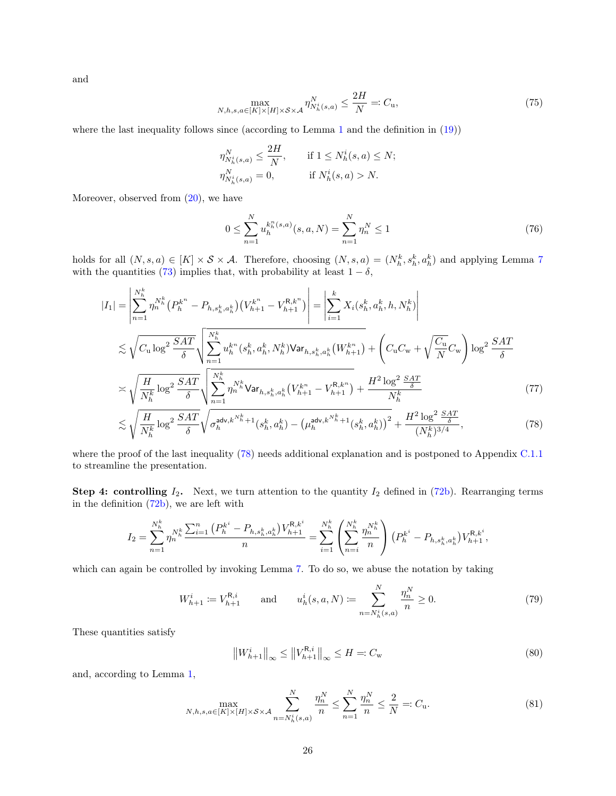and

<span id="page-25-3"></span>
$$
\max_{N,h,s,a \in [K] \times [H] \times \mathcal{S} \times \mathcal{A}} \eta_{N_h^i(s,a)}^N \le \frac{2H}{N} =: C_{\mathbf{u}},\tag{75}
$$

where the last inequality follows since (according to Lemma [1](#page-12-1) and the definition in [\(19\)](#page-11-3))

$$
\eta_{N_h^i(s,a)}^N \le \frac{2H}{N}, \quad \text{if } 1 \le N_h^i(s,a) \le N;
$$
  

$$
\eta_{N_h^i(s,a)}^N = 0, \quad \text{if } N_h^i(s,a) > N.
$$

Moreover, observed from  $(20)$ , we have

<span id="page-25-4"></span><span id="page-25-0"></span>
$$
0 \le \sum_{n=1}^{N} u_h^{k_h^n(s,a)}(s,a,N) = \sum_{n=1}^{N} \eta_n^N \le 1
$$
\n(76)

holds for all  $(N, s, a) \in [K] \times S \times A$ . Therefore, choosing  $(N, s, a) = (N_h^k, s_h^k, a_h^k)$  and applying Lemma [7](#page-18-2) with the quantities [\(73\)](#page-24-3) implies that, with probability at least  $1 - \delta$ ,

$$
|I_{1}| = \left| \sum_{n=1}^{N_{h}^{k}} \eta_{n}^{N_{h}^{k}} (P_{h}^{k^{n}} - P_{h,s_{h}^{k},a_{h}^{k}}) (V_{h+1}^{k^{n}} - V_{h+1}^{R,k^{n}}) \right| = \left| \sum_{i=1}^{k} X_{i}(s_{h}^{k}, a_{h}^{k}, h, N_{h}^{k}) \right|
$$
  

$$
\lesssim \sqrt{C_{u} \log^{2} \frac{SAT}{\delta}} \sqrt{\sum_{n=1}^{N_{h}^{k}} u_{h}^{k^{n}}(s_{h}^{k}, a_{h}^{k}, N_{h}^{k}) \text{Var}_{h,s_{h}^{k},a_{h}^{k}} (W_{h+1}^{k^{n}})} + \left(C_{u}C_{w} + \sqrt{\frac{C_{u}}{N}} C_{w}\right) \log^{2} \frac{SAT}{\delta}
$$
  

$$
\asymp \sqrt{\frac{H}{N_{h}^{k}} \log^{2} \frac{SAT}{\delta}} \sqrt{\sum_{n=1}^{N_{h}^{k}} \eta_{n}^{N_{h}^{k}} \text{Var}_{h,s_{h}^{k},a_{h}^{k}} (V_{h+1}^{k^{n}} - V_{h+1}^{R,k^{n}})} + \frac{H^{2} \log^{2} \frac{SAT}{\delta}}{N_{h}^{k}} \tag{77}
$$

$$
\lesssim \sqrt{\frac{H}{N_h^k} \log^2 \frac{SAT}{\delta}} \sqrt{\sigma_h^{\text{adv}, k^{N_h^k} + 1} (s_h^k, a_h^k) - (\mu_h^{\text{adv}, k^{N_h^k} + 1} (s_h^k, a_h^k))^2} + \frac{H^2 \log^2 \frac{SAT}{\delta}}{(N_h^k)^{3/4}},
$$
(78)

where the proof of the last inequality [\(78\)](#page-25-0) needs additional explanation and is postponed to Appendix [C.1.1](#page-27-0) to streamline the presentation.

**Step 4: controlling**  $I_2$ . Next, we turn attention to the quantity  $I_2$  defined in [\(72b\)](#page-24-4). Rearranging terms in the definition [\(72b\)](#page-24-4), we are left with

$$
I_2 = \sum_{n=1}^{N_h^k} \eta_n^{N_h^k} \frac{\sum_{i=1}^n (P_h^{k^i} - P_{h,s_h^k,a_h^k}) V_{h+1}^{R,k^i}}{n} = \sum_{i=1}^{N_h^k} \left( \sum_{n=i}^{N_h^k} \frac{\eta_n^{N_h^k}}{n} \right) (P_h^{k^i} - P_{h,s_h^k,a_h^k}) V_{h+1}^{R,k^i},
$$

which can again be controlled by invoking Lemma [7.](#page-18-2) To do so, we abuse the notation by taking

$$
W_{h+1}^{i} := V_{h+1}^{\mathsf{R},i} \qquad \text{and} \qquad u_h^{i}(s,a,N) := \sum_{n=N_h^{i}(s,a)}^{N} \frac{\eta_n^N}{n} \ge 0.
$$
 (79)

These quantities satisfy

<span id="page-25-2"></span><span id="page-25-1"></span>
$$
\left\|W_{h+1}^{i}\right\|_{\infty} \leq \left\|V_{h+1}^{\mathsf{R},i}\right\|_{\infty} \leq H =: C_{\mathbf{w}} \tag{80}
$$

and, according to Lemma [1,](#page-12-1)

$$
\max_{N,h,s,a \in [K] \times [H] \times S \times A} \sum_{n=N_h^i(s,a)}^{N} \frac{\eta_n^N}{n} \le \sum_{n=1}^{N} \frac{\eta_n^N}{n} \le \frac{2}{N} =: C_u.
$$
\n(81)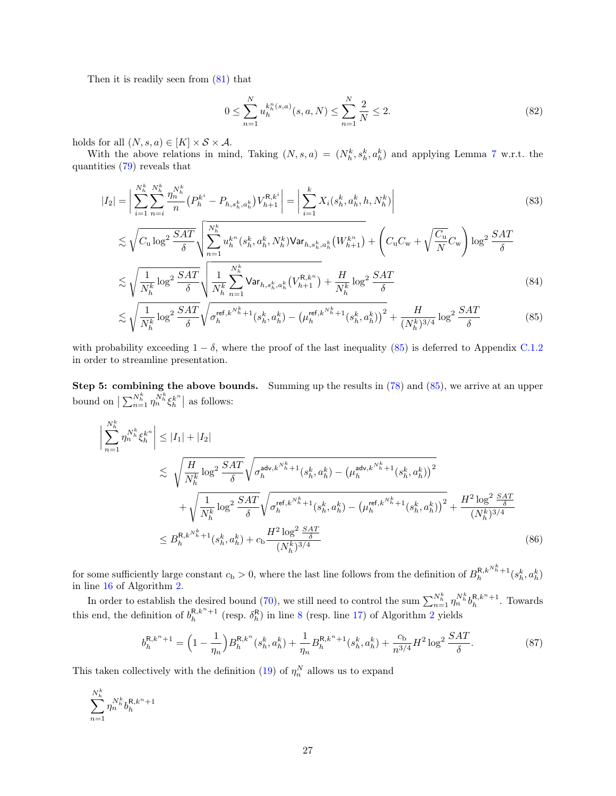Then it is readily seen from [\(81\)](#page-25-1) that

<span id="page-26-3"></span><span id="page-26-2"></span><span id="page-26-0"></span>
$$
0 \le \sum_{n=1}^{N} u_h^{k_h^n(s,a)}(s,a,N) \le \sum_{n=1}^{N} \frac{2}{N} \le 2.
$$
\n(82)

holds for all  $(N, s, a) \in [K] \times S \times A$ .

With the above relations in mind, Taking  $(N, s, a) = (N_h^k, s_h^k, a_h^k)$  and applying Lemma [7](#page-18-2) w.r.t. the quantities [\(79\)](#page-25-2) reveals that

$$
|I_2| = \left| \sum_{i=1}^{N_h^k} \sum_{n=i}^{N_h^k} \frac{\eta_n^{N_h^k}}{n} \left( P_h^{k^i} - P_{h,s_h^k,a_h^k} \right) V_{h+1}^{R,k^i} \right| = \left| \sum_{i=1}^k X_i(s_h^k, a_h^k, h, N_h^k) \right|
$$
\n
$$
\left| \sum_{i=1}^K \sum_{n=i}^{N_h^k} \sqrt{P_h^{k^i} \left( \sum_{j=1}^K \sum_{j=1}^K \eta_j^{N_h^k} \right)} \right|
$$
\n
$$
\left| \sum_{i=1}^K \sum_{j=1}^K \eta_j^{N_h^k} \right|
$$
\n
$$
\left| \sum_{j=1}^K \sum_{j=1}^K \eta_j^{N_h^k} \right|
$$
\n
$$
\left| \sum_{j=1}^K \sum_{j=1}^K \eta_j^{N_h^k} \right|
$$
\n
$$
\left| \sum_{j=1}^K \sum_{j=1}^K \eta_j^{N_h^k} \right|
$$
\n
$$
\left| \sum_{j=1}^K \sum_{j=1}^K \eta_j^{N_h^k} \right|
$$
\n
$$
\left| \sum_{j=1}^K \sum_{j=1}^K \eta_j^{N_h^k} \right|
$$
\n
$$
\left| \sum_{j=1}^K \sum_{j=1}^K \eta_j^{N_h^k} \right|
$$
\n
$$
\left| \sum_{j=1}^K \sum_{j=1}^K \eta_j^{N_h^k} \right|
$$
\n
$$
\left| \sum_{j=1}^K \sum_{j=1}^K \eta_j^{N_h^k} \right|
$$
\n
$$
\left| \sum_{j=1}^K \sum_{j=1}^K \eta_j^{N_h^k} \right|
$$
\n
$$
\left| \sum_{j=1}^K \sum_{j=1}^K \eta_j^{N_h^k} \right|
$$
\n
$$
\left| \sum_{j=1}^K \sum_{j=1}^K \sum_{j=1}^K \eta_j^{N_h^k} \right|
$$
\n
$$
\left| \sum_{j=1}^K \sum_{j=1}^K \eta_j^{N_h^k} \right|
$$

$$
\lesssim \sqrt{C_{\rm u} \log^2 \frac{SAT}{\delta}} \sqrt{\sum_{n=1}^{N_h^k} u_h^{k^n} (s_h^k, a_h^k, N_h^k) \text{Var}_{h, s_h^k, a_h^k} (W_{h+1}^{k^n})} + \left(C_{\rm u} C_{\rm w} + \sqrt{\frac{C_{\rm u}}{N}} C_{\rm w}\right) \log^2 \frac{SAT}{\delta}
$$
\n
$$
\lesssim \sqrt{\frac{1}{N_h^k} \log^2 \frac{SAT}{\delta}} \sqrt{\frac{1}{N_h^k} \sum_{n=1}^{N_h^k} \text{Var}_{h, s_h^k, a_h^k} (V_{h+1}^{R,k^n})} + \frac{H}{N_h^k} \log^2 \frac{SAT}{\delta}
$$
\n
$$
(84)
$$

$$
\lesssim \sqrt{\frac{1}{N_h^k} \log^2 \frac{SAT}{\delta}} \sqrt{\sigma_h^{\text{ref},k^{N_h^k}+1}(s_h^k, a_h^k) - (\mu_h^{\text{ref},k^{N_h^k}+1}(s_h^k, a_h^k))^2} + \frac{H}{(N_h^k)^{3/4}} \log^2 \frac{SAT}{\delta} \tag{85}
$$

with probability exceeding  $1 - \delta$ , where the proof of the last inequality [\(85\)](#page-26-0) is deferred to Appendix [C.1.2](#page-30-0) in order to streamline presentation.

Step 5: combining the above bounds. Summing up the results in  $(78)$  and  $(85)$ , we arrive at an upper bound on  $\left| \sum_{n=1}^{N_h^k} \eta_n^{N_h^k} \xi_h^{k^n} \right|$  as follows:

$$
\begin{split}\n\left| \sum_{n=1}^{N_h^k} \eta_n^{N_h^k} \xi_h^{k^n} \right| &\leq |I_1| + |I_2| \\
&\lesssim \sqrt{\frac{H}{N_h^k} \log^2 \frac{SAT}{\delta}} \sqrt{\sigma_h^{\text{adv}, k^{N_h^k} + 1} (s_h^k, a_h^k) - (\mu_h^{\text{adv}, k^{N_h^k} + 1} (s_h^k, a_h^k))^2} \\
&\quad + \sqrt{\frac{1}{N_h^k} \log^2 \frac{SAT}{\delta}} \sqrt{\sigma_h^{\text{ref}, k^{N_h^k} + 1} (s_h^k, a_h^k) - (\mu_h^{\text{ref}, k^{N_h^k} + 1} (s_h^k, a_h^k))^2} + \frac{H^2 \log^2 \frac{SAT}{\delta}}{(N_h^k)^{3/4}} \\
&\leq B_h^{R, k^{N_h^k} + 1} (s_h^k, a_h^k) + c_b \frac{H^2 \log^2 \frac{SAT}{\delta}}{(N_h^k)^{3/4}}\n\end{split} \tag{86}
$$

for some sufficiently large constant  $c_b > 0$ , where the last line follows from the definition of  $B_h^{R,k}^{N_h^k+1}(s_h^k, a_h^k)$ in line [16](#page-10-10) of Algorithm [2.](#page-10-1)

In order to establish the desired bound [\(70\)](#page-24-1), we still need to control the sum  $\sum_{n=1}^{N_h^k} \eta_n^{N_h^k} b_h^{R,k^n+1}$ . Towards this end, the definition of  $b_h^{R,k^n+1}$  (resp.  $\delta_h^R$ ) in line [8](#page-10-4) (resp. line [17\)](#page-10-11) of Algorithm [2](#page-10-1) yields

<span id="page-26-1"></span>
$$
b_h^{R,k^n+1} = \left(1 - \frac{1}{\eta_n}\right) B_h^{R,k^n} (s_h^k, a_h^k) + \frac{1}{\eta_n} B_h^{R,k^n+1} (s_h^k, a_h^k) + \frac{c_b}{n^{3/4}} H^2 \log^2 \frac{SAT}{\delta}.
$$
 (87)

This taken collectively with the definition [\(19\)](#page-11-3) of  $\eta_n^N$  allows us to expand

$$
\sum_{n=1}^{N_h^k} \eta^{N_h^k}_n b_h^{\mathsf{R},k^n+1}
$$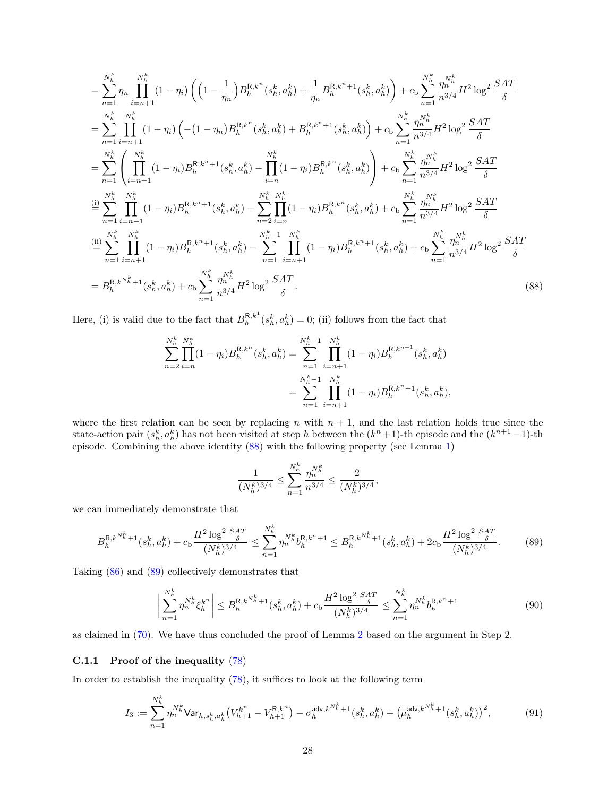$$
= \sum_{n=1}^{N_h^k} \prod_{i=n+1}^{N_h^k} (1 - \eta_i) \left( \left( 1 - \frac{1}{\eta_n} \right) B_h^{R,k^n}(s_h^k, a_h^k) + \frac{1}{\eta_n} B_h^{R,k^n+1}(s_h^k, a_h^k) \right) + c_b \sum_{n=1}^{N_h^k} \frac{\eta_n^{N_h^k}}{n^{3/4}} H^2 \log^2 \frac{SAT}{\delta}
$$
  
\n
$$
= \sum_{n=1}^{N_h^k} \prod_{i=n+1}^{N_h^k} (1 - \eta_i) \left( -(1 - \eta_n) B_h^{R,k^n}(s_h^k, a_h^k) + B_h^{R,k^n+1}(s_h^k, a_h^k) \right) + c_b \sum_{n=1}^{N_h^k} \frac{\eta_n^{N_h^k}}{n^{3/4}} H^2 \log^2 \frac{SAT}{\delta}
$$
  
\n
$$
= \sum_{n=1}^{N_h^k} \left( \prod_{i=n+1}^{N_h^k} (1 - \eta_i) B_h^{R,k^n+1}(s_h^k, a_h^k) - \prod_{i=n}^{N_h^k} (1 - \eta_i) B_h^{R,k^n}(s_h^k, a_h^k) \right) + c_b \sum_{n=1}^{N_h^k} \frac{\eta_n^{N_h^k}}{n^{3/4}} H^2 \log^2 \frac{SAT}{\delta}
$$
  
\n
$$
\stackrel{\text{(i)}}{=} \sum_{n=1}^{N_h^k} \prod_{i=n+1}^{N_h^k} (1 - \eta_i) B_h^{R,k^n+1}(s_h^k, a_h^k) - \sum_{n=2}^{N_h^k} \prod_{i=n+1}^{N_h^k} (1 - \eta_i) B_h^{R,k^n+1}(s_h^k, a_h^k) + c_b \sum_{n=1}^{N_h^k} \frac{\eta_n^{N_h^k}}{n^{3/4}} H^2 \log^2 \frac{SAT}{\delta}
$$
  
\n
$$
\stackrel{\text{(ii)}}{=} \sum_{n=1}^{N_h^k} \prod_{i=n+1}^{N_h^k} (1 - \eta_i) B_h^{R,k^n+1}(s_h^k, a_h^k) - \sum_{n=1}^{N_h^k} \prod_{i=n+1}^{N_h^k} (1 - \eta_i) B_h^{R,k^n+1}(s_h^k, a_h^k)
$$

Here, (i) is valid due to the fact that  $B_h^{R,k} (s_h^k, a_h^k) = 0$ ; (ii) follows from the fact that

$$
\sum_{n=2}^{N_h^k} \prod_{i=n}^{N_h^k} (1 - \eta_i) B_h^{R, k^n}(s_h^k, a_h^k) = \sum_{n=1}^{N_h^k - 1} \prod_{i=n+1}^{N_h^k} (1 - \eta_i) B_h^{R, k^{n+1}}(s_h^k, a_h^k)
$$

$$
= \sum_{n=1}^{N_h^k - 1} \prod_{i=n+1}^{N_h^k} (1 - \eta_i) B_h^{R, k^n + 1}(s_h^k, a_h^k),
$$

where the first relation can be seen by replacing n with  $n + 1$ , and the last relation holds true since the state-action pair  $(s_h^k, a_h^k)$  has not been visited at step h between the  $(k^n+1)$ -th episode and the  $(k^{n+1}-1)$ -th episode. Combining the above identity [\(88\)](#page-27-1) with the following property (see Lemma [1\)](#page-12-1)

<span id="page-27-3"></span><span id="page-27-1"></span>
$$
\frac{1}{(N_h^k)^{3/4}} \le \sum_{n=1}^{N_h^k} \frac{\eta_n^{N_h^k}}{n^{3/4}} \le \frac{2}{(N_h^k)^{3/4}},
$$

we can immediately demonstrate that

<span id="page-27-2"></span>
$$
B_h^{\mathsf{R},k^{N_h^k}+1}(s_h^k, a_h^k) + c_\mathsf{b} \frac{H^2 \log^2 \frac{SAT}{\delta}}{(N_h^k)^{3/4}} \le \sum_{n=1}^{N_h^k} \eta_n^{N_h^k} b_h^{\mathsf{R},k^n+1} \le B_h^{\mathsf{R},k^{N_h^k}+1}(s_h^k, a_h^k) + 2c_\mathsf{b} \frac{H^2 \log^2 \frac{SAT}{\delta}}{(N_h^k)^{3/4}}.\tag{89}
$$

Taking [\(86\)](#page-26-1) and [\(89\)](#page-27-2) collectively demonstrates that

$$
\left| \sum_{n=1}^{N_h^k} \eta_n^{N_h^k} \xi_h^{k^n} \right| \le B_h^{\mathsf{R},k^{N_h^k}+1}(s_h^k, a_h^k) + c_\mathsf{b} \frac{H^2 \log^2 \frac{SAT}{\delta}}{(N_h^k)^{3/4}} \le \sum_{n=1}^{N_h^k} \eta_n^{N_h^k} b_h^{\mathsf{R},k^n+1} \tag{90}
$$

as claimed in [\(70\)](#page-24-1). We have thus concluded the proof of Lemma [2](#page-14-0) based on the argument in Step 2.

#### <span id="page-27-0"></span>C.1.1 Proof of the inequality [\(78\)](#page-25-0)

In order to establish the inequality [\(78\)](#page-25-0), it suffices to look at the following term

$$
I_3 := \sum_{n=1}^{N_h^k} \eta_n^{N_h^k} \mathsf{Var}_{h, s_h^k, a_h^k} \big( V_{h+1}^{k^n} - V_{h+1}^{\mathsf{R}, k^n} \big) - \sigma_h^{\mathsf{adv}, k^{N_h^k} + 1} (s_h^k, a_h^k) + \big( \mu_h^{\mathsf{adv}, k^{N_h^k} + 1} (s_h^k, a_h^k) \big)^2, \tag{91}
$$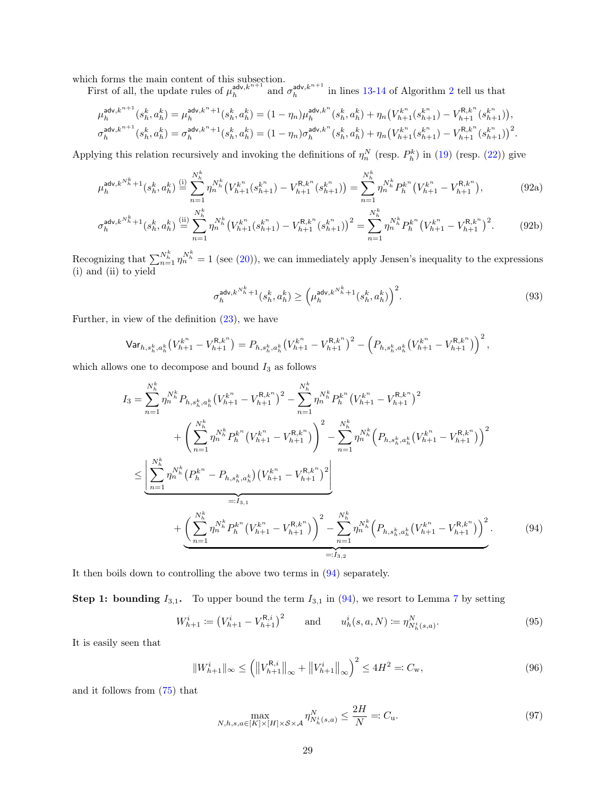which forms the main content of this subsection.

First of all, the update rules of  $\mu_h^{\text{adv},k^{n+1}}$  and  $\sigma_h^{\text{adv},k^{n+1}}$  in lines [13-](#page-10-12)[14](#page-10-13) of Algorithm [2](#page-10-1) tell us that

$$
\mu^{{\rm adv},k^{n+1}}_{h}(s^k_h,a^k_h)=\mu^{{\rm adv},k^n+1}_{h}(s^k_h,a^k_h)= (1-\eta_n)\mu^{{\rm adv},k^n}_{h}(s^k_h,a^k_h)+\eta_n\big(V^{k^n}_{h+1}(s^{k^n}_{h+1})-V^{R,k^n}_{h+1}(s^{k^n}_{h+1})\big),\\ \sigma^{{\rm adv},k^{n+1}}_{h}(s^k_h,a^k_h)=\sigma^{{\rm adv},k^n+1}_{h}(s^k_h,a^k_h)= (1-\eta_n)\sigma^{{\rm adv},k^n}_{h}(s^k_h,a^k_h)+\eta_n\big(V^{k^n}_{h+1}(s^{k^n}_{h+1})-V^{R,k^n}_{h+1}(s^{k^n}_{h+1})\big)^2.
$$

Applying this relation recursively and invoking the definitions of  $\eta_n^N$  (resp.  $P_h^k$ ) in [\(19\)](#page-11-3) (resp. [\(22\)](#page-13-4)) give

$$
\mu_h^{\text{adv},k^{N_h^k}+1}(s_h^k, a_h^k) \stackrel{\text{(i)}}{=} \sum_{n=1}^{N_h^k} \eta_n^{N_h^k} \big(V_{h+1}^{k^n}(s_{h+1}^{k^n}) - V_{h+1}^{R,k^n}(s_{h+1}^{k^n})\big) = \sum_{n=1}^{N_h^k} \eta_n^{N_h^k} P_h^{k^n} \big(V_{h+1}^{k^n} - V_{h+1}^{R,k^n}\big),\tag{92a}
$$

$$
\sigma_h^{\text{adv},k^{N_h^k}+1}(s_h^k, a_h^k) \stackrel{\text{(ii)}}{=} \sum_{n=1}^{N_h^k} \eta_n^{N_h^k} \big(V_{h+1}^{k^n}(s_{h+1}^{k^n}) - V_{h+1}^{R,k^n}(s_{h+1}^{k^n})\big)^2 = \sum_{n=1}^{N_h^k} \eta_n^{N_h^k} P_h^{k^n} \big(V_{h+1}^{k^n} - V_{h+1}^{R,k^n}\big)^2. \tag{92b}
$$

Recognizing that  $\sum_{n=1}^{N_h^k} \eta_n^{N_h^k} = 1$  (see [\(20\)](#page-11-4)), we can immediately apply Jensen's inequality to the expressions (i) and (ii) to yield

<span id="page-28-5"></span><span id="page-28-4"></span>
$$
\sigma_h^{\text{adv}, k^{N_h^k} + 1}(s_h^k, a_h^k) \ge \left(\mu_h^{\text{adv}, k^{N_h^k} + 1}(s_h^k, a_h^k)\right)^2. \tag{93}
$$

Further, in view of the definition [\(23\)](#page-13-5), we have

$$
\mathsf{Var}_{h,s_h^k,a_h^k}\big(V_{h+1}^{k^n} - V_{h+1}^{R,k^n}\big) = P_{h,s_h^k,a_h^k}\big(V_{h+1}^{k^n} - V_{h+1}^{R,k^n}\big)^2 - \left(P_{h,s_h^k,a_h^k}\big(V_{h+1}^{k^n} - V_{h+1}^{R,k^n}\big)\right)^2,
$$

which allows one to decompose and bound  $I_3$  as follows

$$
I_{3} = \sum_{n=1}^{N_{h}^{k}} \eta_{n}^{N_{h}^{k}} P_{h,s_{h}^{k},a_{h}^{k}} (V_{h+1}^{k^{n}} - V_{h+1}^{R,k^{n}})^{2} - \sum_{n=1}^{N_{h}^{k}} \eta_{n}^{N_{h}^{k}} P_{h}^{k^{n}} (V_{h+1}^{k^{n}} - V_{h+1}^{R,k^{n}})^{2}
$$
  
+ 
$$
\left(\sum_{n=1}^{N_{h}^{k}} \eta_{n}^{N_{h}^{k}} P_{h}^{k^{n}} (V_{h+1}^{k^{n}} - V_{h+1}^{R,k^{n}})\right)^{2} - \sum_{n=1}^{N_{h}^{k}} \eta_{n}^{N_{h}^{k}} \left(P_{h,s_{h}^{k},a_{h}^{k}} (V_{h+1}^{k^{n}} - V_{h+1}^{R,k^{n}})\right)^{2}
$$
  

$$
\leq \underbrace{\left[\sum_{n=1}^{N_{h}^{k}} \eta_{n}^{N_{h}^{k}} (P_{h}^{k^{n}} - P_{h,s_{h}^{k},a_{h}^{k}}) (V_{h+1}^{k^{n}} - V_{h+1}^{R,k^{n}})^{2}\right]}_{=:I_{3,1}}
$$
  
+ 
$$
\underbrace{\left(\sum_{n=1}^{N_{h}^{k}} \eta_{n}^{N_{h}^{k}} P_{h}^{k^{n}} (V_{h+1}^{k^{n}} - V_{h+1}^{R,k^{n}})\right)^{2} - \sum_{n=1}^{N_{h}^{k}} \eta_{n}^{N_{h}^{k}} (P_{h,s_{h}^{k},a_{h}^{k}} (V_{h+1}^{k^{n}} - V_{h+1}^{R,k^{n}}))^{2}}_{=:I_{3,2}}.
$$
  
(94)

It then boils down to controlling the above two terms in [\(94\)](#page-28-0) separately.

**Step 1: bounding**  $I_{3,1}$ . To upper bound the term  $I_{3,1}$  in [\(94\)](#page-28-0), we resort to Lemma [7](#page-18-2) by setting

$$
W_{h+1}^i := (V_{h+1}^i - V_{h+1}^{\mathsf{R},i})^2 \qquad \text{and} \qquad u_h^i(s, a, N) := \eta_{N_h^i(s, a)}^N. \tag{95}
$$

It is easily seen that

$$
||W_{h+1}^{i}||_{\infty} \le (||V_{h+1}^{R,i}||_{\infty} + ||V_{h+1}^{i}||_{\infty})^{2} \le 4H^{2} =: C_{w},
$$
\n(96)

and it follows from [\(75\)](#page-25-3) that

<span id="page-28-3"></span><span id="page-28-2"></span><span id="page-28-1"></span><span id="page-28-0"></span>
$$
\max_{N,h,s,a\in[K]\times[H]\times\mathcal{S}\times\mathcal{A}}\eta_{N_h^i(s,a)}^N \le \frac{2H}{N}=:C_{\mathbf{u}}.\tag{97}
$$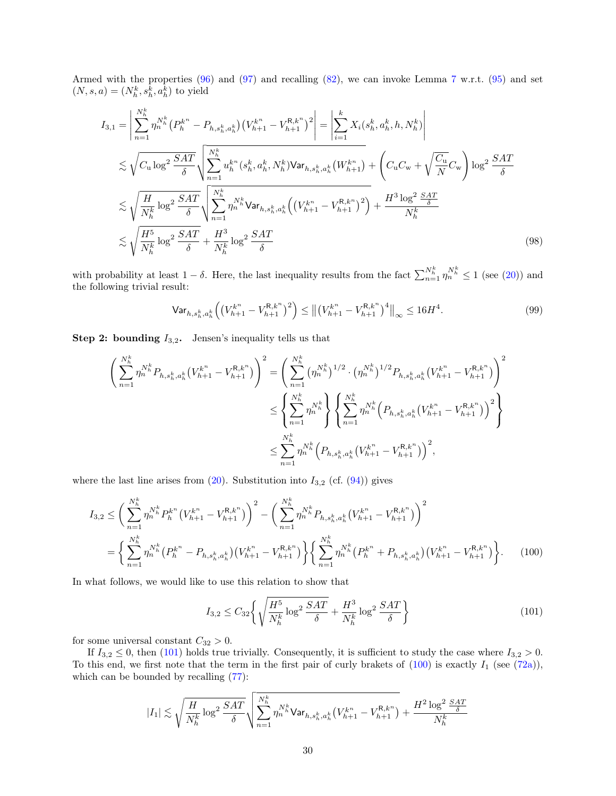Armed with the properties [\(96\)](#page-28-1) and [\(97\)](#page-28-2) and recalling [\(82\)](#page-26-2), we can invoke Lemma [7](#page-18-2) w.r.t. [\(95\)](#page-28-3) and set  $(N, s, a) = (N_h^k, s_h^k, a_h^k)$  to yield

$$
I_{3,1} = \left| \sum_{n=1}^{N_h^k} \eta_n^{N_h^k} (P_h^{k^n} - P_{h,s_h^k,a_h^k}) (V_{h+1}^{k^n} - V_{h+1}^{R,k^n})^2 \right| = \left| \sum_{i=1}^k X_i(s_h^k, a_h^k, h, N_h^k) \right|
$$
  
\n
$$
\lesssim \sqrt{C_u \log^2 \frac{SAT}{\delta}} \sqrt{\sum_{n=1}^{N_h^k} u_h^{k^n} (s_h^k, a_h^k, N_h^k) \text{Var}_{h,s_h^k,a_h^k} (W_{h+1}^{k^n}) + \left(C_u C_w + \sqrt{\frac{C_u}{N}} C_w\right) \log^2 \frac{SAT}{\delta}}
$$
  
\n
$$
\lesssim \sqrt{\frac{H}{N_h^k} \log^2 \frac{SAT}{\delta}} \sqrt{\sum_{n=1}^{N_h^k} \eta_n^{N_h^k} \text{Var}_{h,s_h^k,a_h^k} \left( \left(V_{h+1}^{k^n} - V_{h+1}^{R,k^n} \right)^2 \right) + \frac{H^3 \log^2 \frac{SAT}{\delta}}{N_h^k}}
$$
  
\n
$$
\lesssim \sqrt{\frac{H^5}{N_h^k} \log^2 \frac{SAT}{\delta}} + \frac{H^3}{N_h^k} \log^2 \frac{SAT}{\delta}
$$
 (98)

with probability at least  $1-\delta$ . Here, the last inequality results from the fact  $\sum_{n=1}^{N_h^k} \eta_n^{N_h^k} \le 1$  (see [\(20\)](#page-11-4)) and the following trivial result:

<span id="page-29-2"></span>
$$
\mathsf{Var}_{h,s_h^k,a_h^k} \left( \left( V_{h+1}^{k^n} - V_{h+1}^{R,k^n} \right)^2 \right) \le \left\| \left( V_{h+1}^{k^n} - V_{h+1}^{R,k^n} \right)^4 \right\|_\infty \le 16H^4. \tag{99}
$$

**Step 2: bounding**  $I_{3,2}$ . Jensen's inequality tells us that

$$
\begin{split} \left(\sum_{n=1}^{N_h^k} \eta_n^{N_h^k} P_{h,s_h^k,a_h^k} \big( V_{h+1}^{k^n} - V_{h+1}^{R,k^n} \big) \right)^2 &= \left(\sum_{n=1}^{N_h^k} \big( \eta_n^{N_h^k} \big)^{1/2} \cdot \big( \eta_n^{N_h^k} \big)^{1/2} P_{h,s_h^k,a_h^k} \big( V_{h+1}^{k^n} - V_{h+1}^{R,k^n} \big) \right)^2 \\ &\leq \left\{ \sum_{n=1}^{N_h^k} \eta_n^{N_h^k} \right\} \left\{ \sum_{n=1}^{N_h^k} \eta_n^{N_h^k} \big( P_{h,s_h^k,a_h^k} \big( V_{h+1}^{k^n} - V_{h+1}^{R,k^n} \big) \big)^2 \right\} \\ &\leq \sum_{n=1}^{N_h^k} \eta_n^{N_h^k} \big( P_{h,s_h^k,a_h^k} \big( V_{h+1}^{k^n} - V_{h+1}^{R,k^n} \big) \big)^2, \end{split}
$$

where the last line arises from  $(20)$ . Substitution into  $I_{3,2}$  (cf.  $(94)$ ) gives

$$
I_{3,2} \leq \left(\sum_{n=1}^{N_h^k} \eta_n^{N_h^k} P_h^{k^n} \left(V_{h+1}^{k^n} - V_{h+1}^{R,k^n}\right)\right)^2 - \left(\sum_{n=1}^{N_h^k} \eta_n^{N_h^k} P_{h,s_h^k,a_h^k} \left(V_{h+1}^{k^n} - V_{h+1}^{R,k^n}\right)\right)^2
$$

$$
= \left\{\sum_{n=1}^{N_h^k} \eta_n^{N_h^k} \left(P_h^{k^n} - P_{h,s_h^k,a_h^k}\right) \left(V_{h+1}^{k^n} - V_{h+1}^{R,k^n}\right)\right\} \left\{\sum_{n=1}^{N_h^k} \eta_n^{N_h^k} \left(P_h^{k^n} + P_{h,s_h^k,a_h^k}\right) \left(V_{h+1}^{k^n} - V_{h+1}^{R,k^n}\right)\right\}.
$$
 (100)

In what follows, we would like to use this relation to show that

<span id="page-29-1"></span><span id="page-29-0"></span>
$$
I_{3,2} \leq C_{32} \left\{ \sqrt{\frac{H^5}{N_h^k} \log^2 \frac{SAT}{\delta}} + \frac{H^3}{N_h^k} \log^2 \frac{SAT}{\delta} \right\}
$$
 (101)

for some universal constant  $C_{32} > 0$ .

If  $I_{3,2} \leq 0$ , then [\(101\)](#page-29-0) holds true trivially. Consequently, it is sufficient to study the case where  $I_{3,2} > 0$ . To this end, we first note that the term in the first pair of curly brakets of  $(100)$  is exactly  $I_1$  (see  $(72a)$ ), which can be bounded by recalling  $(77)$ :

$$
|I_1| \lesssim \sqrt{\frac{H}{N_h^k} \log^2 \frac{SAT}{\delta}} \sqrt{\sum_{n=1}^{N_h^k} \eta_n^{N_h^k} \text{Var}_{h, s_h^k, a_h^k} \big( V_{h+1}^{k^n} - V_{h+1}^{R, k^n} \big)} + \frac{H^2 \log^2 \frac{SAT}{\delta}}{N_h^k}
$$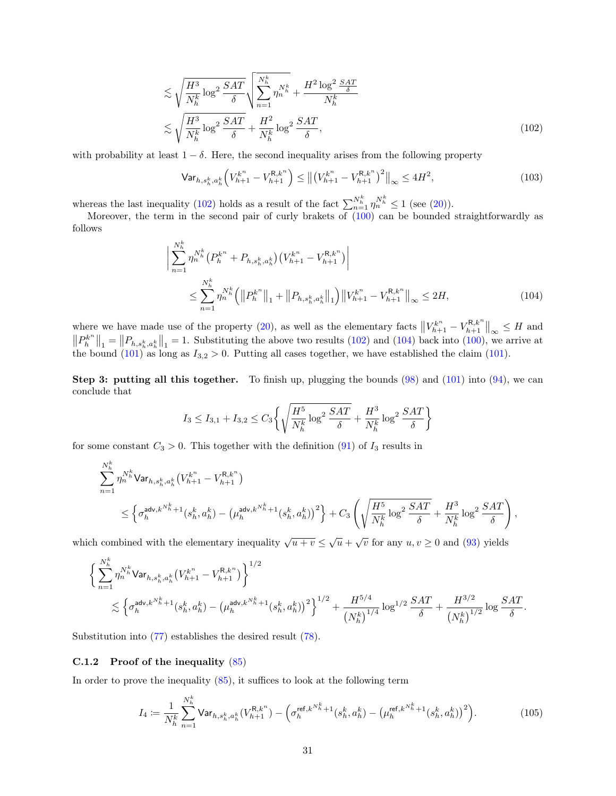$$
\lesssim \sqrt{\frac{H^3}{N_h^k} \log^2 \frac{SAT}{\delta}} \sqrt{\sum_{n=1}^{N_h^k} \eta_n^{N_h^k} + \frac{H^2 \log^2 \frac{SAT}{\delta}}{N_h^k}}
$$
\n
$$
\lesssim \sqrt{\frac{H^3}{N_h^k} \log^2 \frac{SAT}{\delta}} + \frac{H^2}{N_h^k} \log^2 \frac{SAT}{\delta},
$$
\n(102)

with probability at least  $1 - \delta$ . Here, the second inequality arises from the following property

<span id="page-30-1"></span>
$$
\text{Var}_{h,s_h^k,a_h^k} \left( V_{h+1}^{k^n} - V_{h+1}^{R,k^n} \right) \le \left\| \left( V_{h+1}^{k^n} - V_{h+1}^{R,k^n} \right)^2 \right\|_{\infty} \le 4H^2,
$$
\n(103)

whereas the last inequality [\(102\)](#page-30-1) holds as a result of the fact  $\sum_{n=1}^{N_h^k} \eta_n^{N_h^k} \le 1$  (see [\(20\)](#page-11-4)).

Moreover, the term in the second pair of curly brakets of [\(100\)](#page-29-1) can be bounded straightforwardly as follows

<span id="page-30-2"></span>
$$
\left| \sum_{n=1}^{N_h^k} \eta_n^{N_h^k} \left( P_h^{k^n} + P_{h,s_h^k,a_h^k} \right) \left( V_{h+1}^{k^n} - V_{h+1}^{R,k^n} \right) \right|
$$
  

$$
\leq \sum_{n=1}^{N_h^k} \eta_n^{N_h^k} \left( \left\| P_h^{k^n} \right\|_1 + \left\| P_{h,s_h^k,a_h^k} \right\|_1 \right) \left\| V_{h+1}^{k^n} - V_{h+1}^{R,k^n} \right\|_{\infty} \leq 2H,
$$
 (104)

where we have made use of the property [\(20\)](#page-11-4), as well as the elementary facts  $||V_{h+1}^{k^n} - V_{h+1}^{R,k^n}||_{\infty} \leq H$  and  $||P_h^{k^n}||_1 = ||P_{h,s_h^k,a_h^k}||_1 = 1$ . Substituting the above two results [\(102\)](#page-30-1) and [\(104\)](#page-30-2) back into [\(100\)](#page-29-1), we arrive at the bound  $(101)$  as long as  $I_{3,2} > 0$ . Putting all cases together, we have established the claim (101).

**Step 3: putting all this together.** To finish up, plugging the bounds  $(98)$  and  $(101)$  into  $(94)$ , we can conclude that

$$
I_3 \le I_{3,1} + I_{3,2} \le C_3 \left\{ \sqrt{\frac{H^5}{N_h^k} \log^2 \frac{SAT}{\delta}} + \frac{H^3}{N_h^k} \log^2 \frac{SAT}{\delta} \right\}
$$

for some constant  $C_3 > 0$ . This together with the definition [\(91\)](#page-27-3) of  $I_3$  results in

$$
\sum_{n=1}^{N_h^k} \eta_n^{N_h^k} \text{Var}_{h, s_h^k, a_h^k} (V_{h+1}^{k^n} - V_{h+1}^{R, k^n})
$$
\n
$$
\leq \left\{ \sigma_h^{\text{adv}, k^{N_h^k}+1} (s_h^k, a_h^k) - \left(\mu_h^{\text{adv}, k^{N_h^k}+1} (s_h^k, a_h^k) \right)^2 \right\} + C_3 \left( \sqrt{\frac{H^5}{N_h^k} \log^2 \frac{SAT}{\delta}} + \frac{H^3}{N_h^k} \log^2 \frac{SAT}{\delta} \right),
$$

which combined with the elementary inequality  $\sqrt{u+v} \leq \sqrt{u} + \sqrt{v}$  for any  $u, v \geq 0$  and [\(93\)](#page-28-4) yields

$$
\label{eq:4.13} \begin{split} & \bigg\{ \sum_{n=1}^{N_h^k} \eta^{N_h^k}_n \mathrm{Var}_{h,s_h^k,a_h^k}\big( V_{h+1}^{k^n} - V_{h+1}^{\mathrm{R},k^n} \big) \bigg\}^{1/2} \\ & \lesssim \Big\{ \sigma_h^{\mathsf{adv},k^{N_h^k}+1}(s_h^k,a_h^k) - \big(\mu_h^{\mathsf{adv},k^{N_h^k}+1}(s_h^k,a_h^k)\big)^2 \Big\}^{1/2} + \frac{H^{5/4}}{\big(N_h^k\big)^{1/4}} \log^{1/2} \frac{SAT}{\delta} + \frac{H^{3/2}}{\big(N_h^k\big)^{1/2}} \log \frac{SAT}{\delta}. \end{split}
$$

Substitution into [\(77\)](#page-25-4) establishes the desired result [\(78\)](#page-25-0).

#### <span id="page-30-0"></span>C.1.2 Proof of the inequality [\(85\)](#page-26-0)

In order to prove the inequality  $(85)$ , it suffices to look at the following term

<span id="page-30-3"></span>
$$
I_4 := \frac{1}{N_h^k} \sum_{n=1}^{N_h^k} \text{Var}_{h, s_h^k, a_h^k}(V_{h+1}^{\mathbf{R}, k^n}) - \left(\sigma_h^{\text{ref}, k^{N_h^k}+1}(s_h^k, a_h^k) - \left(\mu_h^{\text{ref}, k^{N_h^k}+1}(s_h^k, a_h^k)\right)^2\right). \tag{105}
$$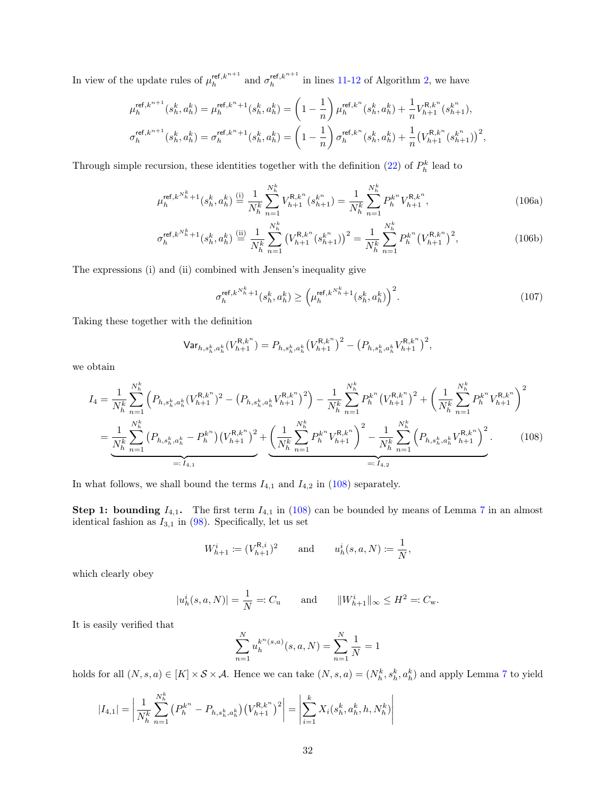In view of the update rules of  $\mu_h^{\text{ref},k^{n+1}}$  and  $\sigma_h^{\text{ref},k^{n+1}}$  in lines [11-](#page-10-2)[12](#page-10-14) of Algorithm [2,](#page-10-1) we have

$$
\mu_h^{\text{ref},k^{n+1}}(s_h^k, a_h^k) = \mu_h^{\text{ref},k^{n}+1}(s_h^k, a_h^k) = \left(1 - \frac{1}{n}\right)\mu_h^{\text{ref},k^{n}}(s_h^k, a_h^k) + \frac{1}{n}V_{h+1}^{\text{R},k^{n}}(s_{h+1}^k),
$$
\n
$$
\sigma_h^{\text{ref},k^{n+1}}(s_h^k, a_h^k) = \sigma_h^{\text{ref},k^{n}+1}(s_h^k, a_h^k) = \left(1 - \frac{1}{n}\right)\sigma_h^{\text{ref},k^{n}}(s_h^k, a_h^k) + \frac{1}{n}\left(V_{h+1}^{\text{R},k^{n}}(s_{h+1}^k)\right)^2,
$$

Through simple recursion, these identities together with the definition [\(22\)](#page-13-4) of  $P_h^k$  lead to

$$
\mu_h^{\text{ref},k^{N_h^k}+1}(s_h^k, a_h^k) \stackrel{\text{(i)}}{=} \frac{1}{N_h^k} \sum_{n=1}^{N_h^k} V_{h+1}^{\text{R},k^n}(s_{h+1}^{k^n}) = \frac{1}{N_h^k} \sum_{n=1}^{N_h^k} P_h^{k^n} V_{h+1}^{\text{R},k^n},\tag{106a}
$$

$$
\sigma_h^{\text{ref},k^{N_h^k}+1}(s_h^k, a_h^k) \stackrel{\text{(ii)}}{=} \frac{1}{N_h^k} \sum_{n=1}^{N_h^k} \left( V_{h+1}^{\mathcal{R},k^n}(s_{h+1}^{k^n}) \right)^2 = \frac{1}{N_h^k} \sum_{n=1}^{N_h^k} P_h^{k^n} \left( V_{h+1}^{\mathcal{R},k^n} \right)^2, \tag{106b}
$$

The expressions (i) and (ii) combined with Jensen's inequality give

<span id="page-31-2"></span><span id="page-31-1"></span><span id="page-31-0"></span>
$$
\sigma_h^{\text{ref},k^{N_h^k}+1}(s_h^k, a_h^k) \ge \left(\mu_h^{\text{ref},k^{N_h^k}+1}(s_h^k, a_h^k)\right)^2. \tag{107}
$$

Taking these together with the definition

$$
\mathrm{Var}_{h,s_h^k,a_h^k}(V_{h+1}^{\mathrm{R},k^n}) = P_{h,s_h^k,a_h^k}\big(V_{h+1}^{\mathrm{R},k^n}\big)^2 - \big(P_{h,s_h^k,a_h^k}V_{h+1}^{\mathrm{R},k^n}\big)^2,
$$

we obtain

$$
I_{4} = \frac{1}{N_{h}^{k}} \sum_{n=1}^{N_{h}^{k}} \left( P_{h,s_{h}^{k},a_{h}^{k}} (V_{h+1}^{R,k^{n}})^{2} - \left( P_{h,s_{h}^{k},a_{h}^{k}} V_{h+1}^{R,k^{n}} \right)^{2} \right) - \frac{1}{N_{h}^{k}} \sum_{n=1}^{N_{h}^{k}} P_{h}^{k^{n}} \left( V_{h+1}^{R,k^{n}} \right)^{2} + \left( \frac{1}{N_{h}^{k}} \sum_{n=1}^{N_{h}^{k}} P_{h}^{k^{n}} V_{h+1}^{R,k^{n}} \right)^{2}
$$

$$
= \underbrace{\frac{1}{N_{h}^{k}} \sum_{n=1}^{N_{h}^{k}} \left( P_{h,s_{h}^{k},a_{h}^{k}} - P_{h}^{k^{n}} \right) \left( V_{h+1}^{R,k^{n}} \right)^{2}}_{=: I_{4,1}} + \underbrace{\left( \frac{1}{N_{h}^{k}} \sum_{n=1}^{N_{h}^{k}} P_{h}^{k^{n}} V_{h+1}^{R,k^{n}} \right)^{2} - \frac{1}{N_{h}^{k}} \sum_{n=1}^{N_{h}^{k}} \left( P_{h,s_{h}^{k},a_{h}^{k}} V_{h+1}^{R,k^{n}} \right)^{2}}_{=: I_{4,2}}.
$$
 (108)

In what follows, we shall bound the terms  $I_{4,1}$  and  $I_{4,2}$  in [\(108\)](#page-31-0) separately.

**Step 1: bounding**  $I_{4,1}$ **.** The first term  $I_{4,1}$  in [\(108\)](#page-31-0) can be bounded by means of Lemma [7](#page-18-2) in an almost identical fashion as  $I_{3,1}$  in [\(98\)](#page-29-2). Specifically, let us set

$$
W_{h+1}^i \coloneqq (V_{h+1}^{\mathsf{R},i})^2
$$
 and  $u_h^i(s,a,N) \coloneqq \frac{1}{N}$ ,

which clearly obey

$$
|u_h^i(s, a, N)| = \frac{1}{N} =: C_u
$$
 and  $||W_{h+1}^i||_{\infty} \le H^2 =: C_w$ .

It is easily verified that

$$
\sum_{n=1}^{N} u_h^{k^n(s,a)}(s,a,N) = \sum_{n=1}^{N} \frac{1}{N} = 1
$$

holds for all  $(N, s, a) \in [K] \times S \times A$ . Hence we can take  $(N, s, a) = (N_h^k, s_h^k, a_h^k)$  and apply Lemma [7](#page-18-2) to yield

$$
|I_{4,1}| = \left| \frac{1}{N_h^k} \sum_{n=1}^{N_h^k} \left( P_h^{k^n} - P_{h,s_h^k,a_h^k} \right) \left( V_{h+1}^{R,k^n} \right)^2 \right| = \left| \sum_{i=1}^k X_i(s_h^k, a_h^k, h, N_h^k) \right|
$$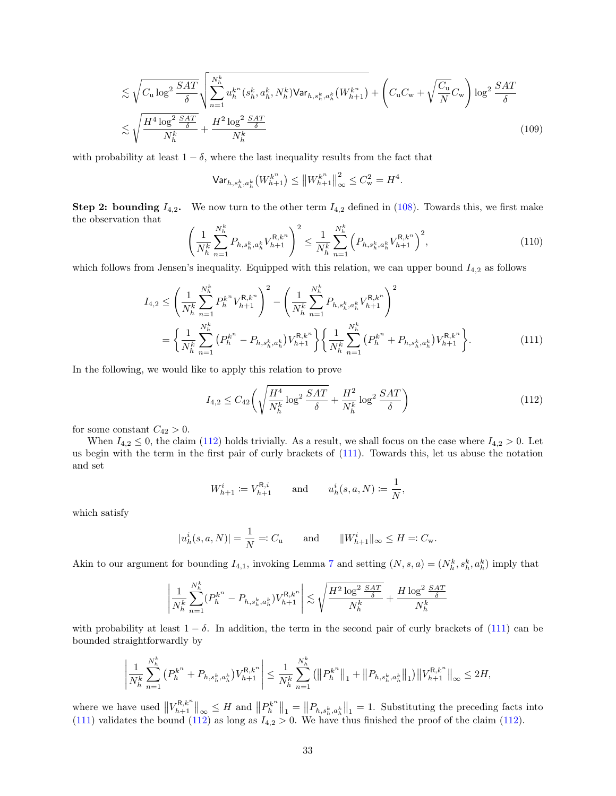$$
\lesssim \sqrt{C_{\mathbf{u}} \log^2 \frac{SAT}{\delta}} \sqrt{\sum_{n=1}^{N_h^k} u_h^{k^n} (s_h^k, a_h^k, N_h^k) \text{Var}_{h, s_h^k, a_h^k} (W_{h+1}^{k^n})} + \left(C_{\mathbf{u}} C_{\mathbf{w}} + \sqrt{\frac{C_{\mathbf{u}}}{N}} C_{\mathbf{w}}\right) \log^2 \frac{SAT}{\delta}
$$
\n
$$
\lesssim \sqrt{\frac{H^4 \log^2 \frac{SAT}{\delta}}{N_h^k}} + \frac{H^2 \log^2 \frac{SAT}{\delta}}{N_h^k}
$$
\n(109)

with probability at least  $1 - \delta$ , where the last inequality results from the fact that

<span id="page-32-2"></span>
$$
\mathsf{Var}_{h,s_h^k,a_h^k}\big(W_{h+1}^{k^n}\big) \leq \big\|W_{h+1}^{k^n}\big\|_{\infty}^2 \leq C_{\mathbf{w}}^2 = H^4.
$$

**Step 2: bounding**  $I_{4,2}$ . We now turn to the other term  $I_{4,2}$  defined in [\(108\)](#page-31-0). Towards this, we first make the observation that

$$
\left(\frac{1}{N_h^k} \sum_{n=1}^{N_h^k} P_{h,s_h^k,a_h^k} V_{h+1}^{\mathcal{R},k^n}\right)^2 \le \frac{1}{N_h^k} \sum_{n=1}^{N_h^k} \left(P_{h,s_h^k,a_h^k} V_{h+1}^{\mathcal{R},k^n}\right)^2,\tag{110}
$$

which follows from Jensen's inequality. Equipped with this relation, we can upper bound  $I_{4,2}$  as follows

$$
I_{4,2} \leq \left(\frac{1}{N_h^k} \sum_{n=1}^{N_h^k} P_h^{k^n} V_{h+1}^{R,k^n}\right)^2 - \left(\frac{1}{N_h^k} \sum_{n=1}^{N_h^k} P_{h,s_h^k,a_h^k} V_{h+1}^{R,k^n}\right)^2
$$
  

$$
= \left\{\frac{1}{N_h^k} \sum_{n=1}^{N_h^k} \left(P_h^{k^n} - P_{h,s_h^k,a_h^k}\right) V_{h+1}^{R,k^n} \right\} \left\{\frac{1}{N_h^k} \sum_{n=1}^{N_h^k} \left(P_h^{k^n} + P_{h,s_h^k,a_h^k}\right) V_{h+1}^{R,k^n} \right\}.
$$
 (111)

In the following, we would like to apply this relation to prove

<span id="page-32-1"></span><span id="page-32-0"></span>
$$
I_{4,2} \le C_{42} \left( \sqrt{\frac{H^4}{N_h^k} \log^2 \frac{SAT}{\delta}} + \frac{H^2}{N_h^k} \log^2 \frac{SAT}{\delta} \right)
$$
 (112)

for some constant  $C_{42} > 0$ .

When  $I_{4,2} \leq 0$ , the claim [\(112\)](#page-32-0) holds trivially. As a result, we shall focus on the case where  $I_{4,2} > 0$ . Let us begin with the term in the first pair of curly brackets of [\(111\)](#page-32-1). Towards this, let us abuse the notation and set

$$
W_{h+1}^i := V_{h+1}^{\mathsf{R},i}
$$
 and  $u_h^i(s, a, N) := \frac{1}{N}$ ,

which satisfy

$$
|u_h^i(s, a, N)| = \frac{1}{N} =: C_{\mathbf{u}}
$$
 and  $||W_{h+1}^i||_{\infty} \le H =: C_{\mathbf{w}}$ .

Akin to our argument for bounding  $I_{4,1}$ , invoking Lemma [7](#page-18-2) and setting  $(N, s, a) = (N_h^k, s_h^k, a_h^k)$  imply that

$$
\left|\frac{1}{N^k_h}\sum_{n=1}^{N^k_h}(P^{k^n}_h-P_{h,s^k_h,a^k_h})V^{R,k^n}_{h+1}\right|\lesssim \sqrt{\frac{H^2\log^2\frac{SAT}{\delta}}{N^k_h}}+\frac{H\log^2\frac{SAT}{\delta}}{N^k_h}
$$

with probability at least  $1 - \delta$ . In addition, the term in the second pair of curly brackets of [\(111\)](#page-32-1) can be bounded straightforwardly by

$$
\left| \frac{1}{N_h^k} \sum_{n=1}^{N_h^k} \left( P_h^{k^n} + P_{h, s_h^k, a_h^k} \right) V_{h+1}^{R, k^n} \right| \leq \frac{1}{N_h^k} \sum_{n=1}^{N_h^k} \left( \left\| P_h^{k^n} \right\|_1 + \left\| P_{h, s_h^k, a_h^k} \right\|_1 \right) \left\| V_{h+1}^{R, k^n} \right\|_\infty \leq 2H,
$$

where we have used  $||V_{h+1}^{\mathsf{R},k^n}||_{\infty} \leq H$  and  $||P_h^{k^n}||_1 = ||P_{h,s_h^k,a_h^k}||_1 = 1$ . Substituting the preceding facts into [\(111\)](#page-32-1) validates the bound [\(112\)](#page-32-0) as long as  $I_{4,2} > 0$ . We have thus finished the proof of the claim (112).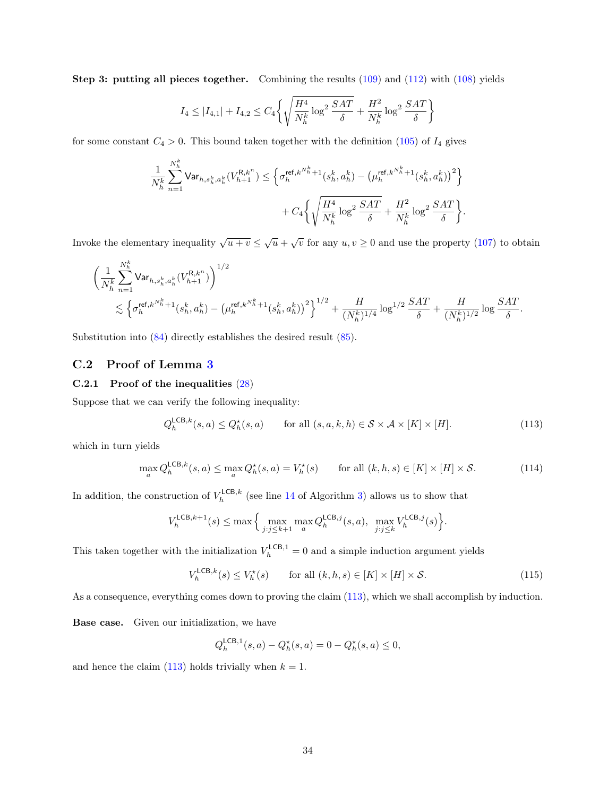Step 3: putting all pieces together. Combining the results  $(109)$  and  $(112)$  with  $(108)$  yields

$$
I_4 \le |I_{4,1}| + I_{4,2} \le C_4 \left\{ \sqrt{\frac{H^4}{N_h^k} \log^2 \frac{SAT}{\delta}} + \frac{H^2}{N_h^k} \log^2 \frac{SAT}{\delta} \right\}
$$

for some constant  $C_4 > 0$ . This bound taken together with the definition [\(105\)](#page-30-3) of  $I_4$  gives

$$
\label{eq:11} \begin{split} \frac{1}{N_h^k}\sum_{n=1}^{N_h^k} \textsf{Var}_{h,s_h^k,a_h^k}(V_{h+1}^{\mathsf{R},k^n}) &\leq \Big\{\sigma^{\mathsf{ref},k^{N_h^k}+1}_h(s_h^k,a_h^k)-\big(\mu^{\mathsf{ref},k^{N_h^k}+1}_h(s_h^k,a_h^k)\big)^2\Big\}\\ &\qquad \qquad + C_4\bigg\{\sqrt{\frac{H^4}{N_h^k}\log^2\frac{SAT}{\delta}}+\frac{H^2}{N_h^k}\log^2\frac{SAT}{\delta}\bigg\}. \end{split}
$$

Invoke the elementary inequality  $\sqrt{u+v} \leq \sqrt{u} + \sqrt{v}$  for any  $u, v \geq 0$  and use the property [\(107\)](#page-31-1) to obtain

$$
\begin{aligned}&\bigg(\frac{1}{N^k_h}\sum_{n=1}^{N^k_h}\mathrm{Var}_{h,s^k_h,a^k_h}(V^{ \mathsf{R},k^n}_{h+1})\bigg)^{1/2}\\&\lesssim \Big\{\sigma^{\mathsf{ref},k^{N^k_h}_h+1}_h(s^k_h,a^k_h)-\big(\mu^{\mathsf{ref},k^{N^k_h}_h+1}_h(s^k_h,a^k_h)\big)^2\Big\}^{1/2}+\frac{H}{(N^k_h)^{1/4}}\log^{1/2}\frac{SAT}{\delta}+\frac{H}{(N^k_h)^{1/2}}\log\frac{SAT}{\delta}. \end{aligned}
$$

Substitution into [\(84\)](#page-26-3) directly establishes the desired result [\(85\)](#page-26-0).

### <span id="page-33-0"></span>C.2 Proof of Lemma [3](#page-14-1)

#### C.2.1 Proof of the inequalities [\(28\)](#page-14-4)

Suppose that we can verify the following inequality:

<span id="page-33-1"></span>
$$
Q_h^{\mathsf{LCB},k}(s,a) \le Q_h^{\star}(s,a) \qquad \text{for all } (s,a,k,h) \in \mathcal{S} \times \mathcal{A} \times [K] \times [H]. \tag{113}
$$

which in turn yields

$$
\max_{a} Q_{h}^{\mathsf{LCB},k}(s,a) \leq \max_{a} Q_{h}^{\star}(s,a) = V_{h}^{\star}(s) \qquad \text{for all } (k,h,s) \in [K] \times [H] \times \mathcal{S}.
$$
 (114)

In addition, the construction of  $V_h^{\text{LCB},k}$  (see line [14](#page-12-5) of Algorithm [3\)](#page-12-2) allows us to show that

$$
V^{\mathsf{LCB},k+1}_h(s) \leq \max \Big\{ \max_{j:j\leq k+1} \max_a Q^{\mathsf{LCB},j}_h(s,a),\ \max_{j:j\leq k} V^{\mathsf{LCB},j}_h(s) \Big\}
$$

This taken together with the initialization  $V_h^{\text{LCB},1} = 0$  and a simple induction argument yields

$$
V_h^{\mathsf{LCB},k}(s) \le V_h^{\star}(s) \qquad \text{for all } (k,h,s) \in [K] \times [H] \times \mathcal{S}.
$$
 (115)

.

As a consequence, everything comes down to proving the claim [\(113\)](#page-33-1), which we shall accomplish by induction.

Base case. Given our initialization, we have

$$
Q_h^{\mathsf{LCB},1}(s,a) - Q_h^{\star}(s,a) = 0 - Q_h^{\star}(s,a) \le 0,
$$

and hence the claim [\(113\)](#page-33-1) holds trivially when  $k = 1$ .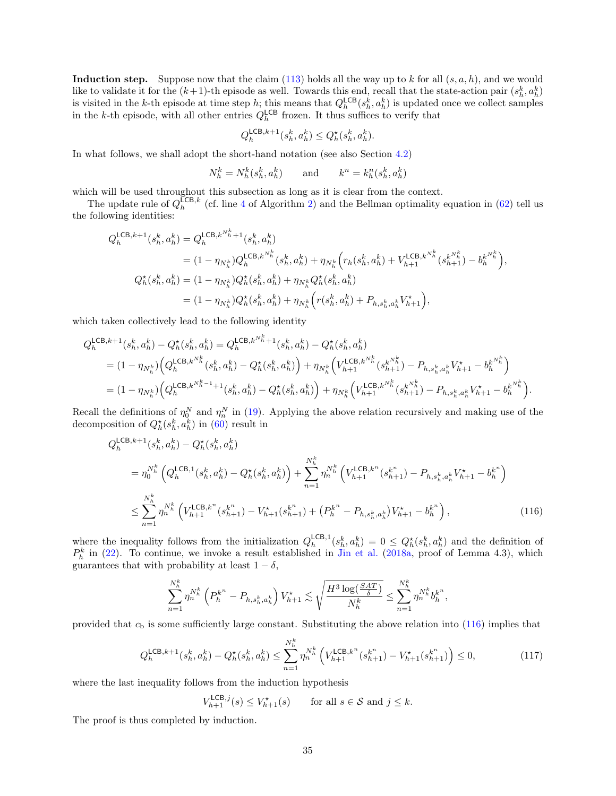Induction step. Suppose now that the claim [\(113\)](#page-33-1) holds all the way up to k for all  $(s, a, h)$ , and we would like to validate it for the  $(k+1)$ -th episode as well. Towards this end, recall that the state-action pair  $(s_h^k, a_h^k)$ is visited in the k-th episode at time step h; this means that  $Q_h^{\mathsf{LCB}}(s_h^k, a_h^k)$  is updated once we collect samples in the k-th episode, with all other entries  $Q_h^{\text{LCB}}$  frozen. It thus suffices to verify that

$$
Q_h^{\mathsf{LCB},k+1}(s_h^k, a_h^k) \le Q_h^{\star}(s_h^k, a_h^k).
$$

In what follows, we shall adopt the short-hand notation (see also Section [4.2\)](#page-12-0)

$$
N_h^k = N_h^k(s_h^k, a_h^k) \qquad \text{and} \qquad k^n = k_h^n(s_h^k, a_h^k)
$$

which will be used throughout this subsection as long as it is clear from the context.

The update rule of  $Q_h^{\text{ICB},k}$  (cf. line [4](#page-10-15) of Algorithm [2\)](#page-10-1) and the Bellman optimality equation in [\(62\)](#page-23-5) tell us the following identities:

$$
\begin{split} Q^{\mathsf{LCB},k+1}_h(s_h^k,a_h^k) &= Q^{\mathsf{LCB},k^{N_h^k}+1}_h(s_h^k,a_h^k) \\ &= (1-\eta_{N_h^k})Q^{\mathsf{LCB},k^{N_h^k}}_h(s_h^k,a_h^k) + \eta_{N_h^k}\Big(r_h(s_h^k,a_h^k) + V_{h+1}^{\mathsf{LCB},k^{N_h^k}}(s_{h+1}^{k^{N_h^k}}) - b_h^{k^{N_h^k}}\Big),\\ Q_h^\star(s_h^k,a_h^k) &= (1-\eta_{N_h^k})Q_h^\star(s_h^k,a_h^k) + \eta_{N_h^k}Q_h^\star(s_h^k,a_h^k) \\ &= (1-\eta_{N_h^k})Q_h^\star(s_h^k,a_h^k) + \eta_{N_h^k}\Big(r(s_h^k,a_h^k) + P_{h,s_h^k,a_h^k}V_{h+1}^\star\Big), \end{split}
$$

which taken collectively lead to the following identity

$$
\begin{split} Q^{\mathsf{LCB},k+1}_h(s_h^k,a_h^k) - Q^{\star}_h(s_h^k,a_h^k) &= Q^{\mathsf{LCB},k^{N_h^k}+1}_h(s_h^k,a_h^k) - Q^{\star}_h(s_h^k,a_h^k) \\ &= (1-\eta_{N_h^k})\Big(Q^{\mathsf{LCB},k^{N_h^k}}_h(s_h^k,a_h^k) - Q^{\star}_h(s_h^k,a_h^k)\Big) + \eta_{N_h^k}\Big(V^{\mathsf{LCB},k^{N_h^k}}_{h+1}(s_{h+1}^{k^{N_h^k}}) - P_{h,s_h^k,a_h^k}V_{h+1}^{\star} - b_h^{k^{N_h^k}}\Big) \\ &= (1-\eta_{N_h^k})\Big(Q^{\mathsf{LCB},k^{N_h^k-1}+1}_h(s_h^k,a_h^k) - Q^{\star}_h(s_h^k,a_h^k)\Big) + \eta_{N_h^k}\Big(V^{\mathsf{LCB},k^{N_h^k}}_{h+1}(s_{h+1}^{k^{N_h^k}}) - P_{h,s_h^k,a_h^k}V_{h+1}^{\star} - b_h^{k^{N_h^k}}\Big). \end{split}
$$

Recall the definitions of  $\eta_0^N$  and  $\eta_n^N$  in [\(19\)](#page-11-3). Applying the above relation recursively and making use of the decomposition of  $Q_h^*(s_h^k, a_h^k)$  in [\(60\)](#page-23-6) result in

$$
Q_{h}^{\mathsf{LCB},k+1}(s_{h}^{k}, a_{h}^{k}) - Q_{h}^{\star}(s_{h}^{k}, a_{h}^{k})
$$
\n
$$
= \eta_{0}^{N_{h}^{k}} \left(Q_{h}^{\mathsf{LCB},1}(s_{h}^{k}, a_{h}^{k}) - Q_{h}^{\star}(s_{h}^{k}, a_{h}^{k})\right) + \sum_{n=1}^{N_{h}^{k}} \eta_{n}^{N_{h}^{k}} \left(V_{h+1}^{\mathsf{LCB},k^{n}}(s_{h+1}^{k^{n}}) - P_{h,s_{h}^{k},a_{h}^{k}}V_{h+1}^{\star} - b_{h}^{k^{n}}\right)
$$
\n
$$
\leq \sum_{n=1}^{N_{h}^{k}} \eta_{n}^{N_{h}^{k}} \left(V_{h+1}^{\mathsf{LCB},k^{n}}(s_{h+1}^{k^{n}}) - V_{h+1}^{\star}(s_{h+1}^{k^{n}}) + \left(P_{h}^{k^{n}} - P_{h,s_{h}^{k},a_{h}^{k}}\right)V_{h+1}^{\star} - b_{h}^{k^{n}}\right), \tag{116}
$$

where the inequality follows from the initialization  $Q_h^{\mathsf{LCB},1}(s_h^k, a_h^k) = 0 \leq Q_h^{\star}(s_h^k, a_h^k)$  and the definition of  $P_h^k$  in [\(22\)](#page-13-4). To continue, we invoke a result established in [Jin et al.](#page-57-2) [\(2018a,](#page-57-2) proof of Lemma 4.3), which guarantees that with probability at least  $1 - \delta$ ,

<span id="page-34-0"></span>
$$
\sum_{n=1}^{N_h^k} \eta_n^{N_h^k} \left( P_h^{k^n} - P_{h, s_h^k, a_h^k} \right) V_{h+1}^{\star} \lesssim \sqrt{\frac{H^3 \log(\frac{SAT}{\delta})}{N_h^k}} \le \sum_{n=1}^{N_h^k} \eta_n^{N_h^k} b_h^{k^n},
$$

provided that  $c<sub>b</sub>$  is some sufficiently large constant. Substituting the above relation into [\(116\)](#page-34-0) implies that

$$
Q_h^{\mathsf{LCB},k+1}(s_h^k, a_h^k) - Q_h^\star(s_h^k, a_h^k) \le \sum_{n=1}^{N_h^k} \eta_n^{N_h^k} \left( V_{h+1}^{\mathsf{LCB},k^n}(s_{h+1}^{k^n}) - V_{h+1}^\star(s_{h+1}^{k^n}) \right) \le 0,\tag{117}
$$

where the last inequality follows from the induction hypothesis

$$
V_{h+1}^{\mathsf{LCB},j}(s) \le V_{h+1}^{\star}(s) \qquad \text{for all } s \in \mathcal{S} \text{ and } j \le k.
$$

The proof is thus completed by induction.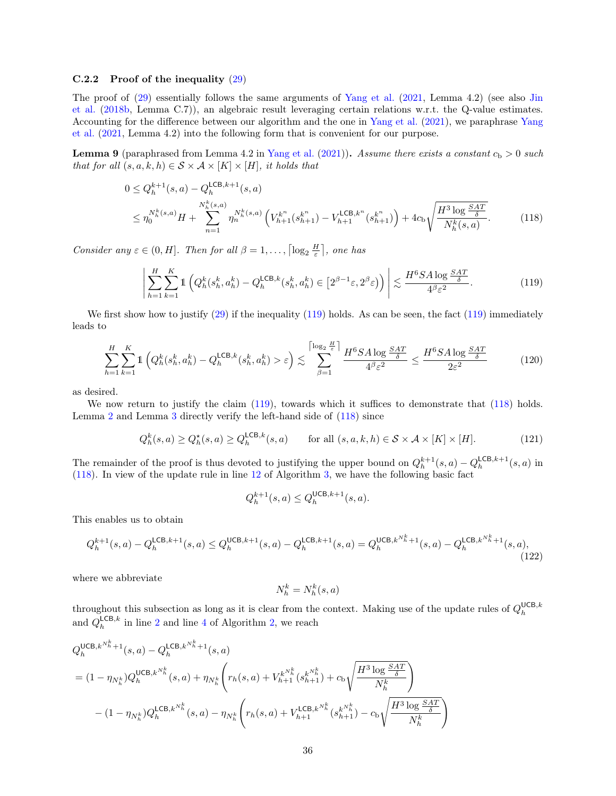#### C.2.2 Proof of the inequality [\(29\)](#page-14-3)

The proof of [\(29\)](#page-14-3) essentially follows the same arguments of [Yang et al.](#page-59-0) [\(2021,](#page-59-0) Lemma 4.2) (see also [Jin](#page-57-20) [et al.](#page-57-20) [\(2018b,](#page-57-20) Lemma C.7)), an algebraic result leveraging certain relations w.r.t. the Q-value estimates. Accounting for the difference between our algorithm and the one in [Yang et al.](#page-59-0) [\(2021\)](#page-59-0), we paraphrase [Yang](#page-59-0) [et al.](#page-59-0) [\(2021,](#page-59-0) Lemma 4.2) into the following form that is convenient for our purpose.

**Lemma 9** (paraphrased from Lemma 4.2 in [Yang et al.](#page-59-0)  $(2021)$ ). Assume there exists a constant  $c_b > 0$  such that for all  $(s, a, k, h) \in S \times A \times [K] \times [H]$ , it holds that

$$
0 \leq Q_h^{k+1}(s, a) - Q_h^{\mathsf{LCB}, k+1}(s, a)
$$
  
\n
$$
\leq \eta_0^{N_h^k(s, a)} H + \sum_{n=1}^{N_h^k(s, a)} \eta_n^{N_h^k(s, a)} \left( V_{h+1}^{k^n}(s_{h+1}^{k^n}) - V_{h+1}^{\mathsf{LCB}, k^n}(s_{h+1}^{k^n}) \right) + 4c_{\mathsf{b}} \sqrt{\frac{H^3 \log \frac{SAT}{\delta}}{N_h^k(s, a)}}.
$$
 (118)

Consider any  $\varepsilon \in (0, H]$ . Then for all  $\beta = 1, \ldots, \lceil \log_2 \frac{H}{\varepsilon} \rceil$ , one has

<span id="page-35-1"></span><span id="page-35-0"></span>
$$
\left| \sum_{h=1}^{H} \sum_{k=1}^{K} \mathbb{1} \left( Q_h^k(s_h^k, a_h^k) - Q_h^{\mathsf{LCB},k}(s_h^k, a_h^k) \in \left[ 2^{\beta - 1} \varepsilon, 2^{\beta} \varepsilon \right) \right) \right| \lesssim \frac{H^6 S A \log \frac{SAT}{\delta}}{4^{\beta} \varepsilon^2}.
$$
 (119)

We first show how to justify  $(29)$  if the inequality  $(119)$  holds. As can be seen, the fact  $(119)$  immediately leads to

$$
\sum_{h=1}^{H} \sum_{k=1}^{K} \mathbb{1} \left( Q_h^k(s_h^k, a_h^k) - Q_h^{\mathsf{LCB},k}(s_h^k, a_h^k) > \varepsilon \right) \lesssim \sum_{\beta=1}^{\lceil \log_2 \frac{H}{\varepsilon} \rceil} \frac{H^6 S A \log \frac{S A T}{\delta}}{4^{\beta} \varepsilon^2} \le \frac{H^6 S A \log \frac{S A T}{\delta}}{2 \varepsilon^2} \tag{120}
$$

as desired.

We now return to justify the claim [\(119\)](#page-35-0), towards which it suffices to demonstrate that [\(118\)](#page-35-1) holds. Lemma [2](#page-14-0) and Lemma [3](#page-14-1) directly verify the left-hand side of [\(118\)](#page-35-1) since

$$
Q_h^k(s, a) \ge Q_h^*(s, a) \ge Q_h^{\mathsf{LCB}, k}(s, a) \qquad \text{for all } (s, a, k, h) \in \mathcal{S} \times \mathcal{A} \times [K] \times [H]. \tag{121}
$$

The remainder of the proof is thus devoted to justifying the upper bound on  $Q_h^{k+1}(s, a) - Q_h^{\text{LCB}, k+1}(s, a)$  in [\(118\)](#page-35-1). In view of the update rule in line [12](#page-12-3) of Algorithm [3,](#page-12-2) we have the following basic fact

$$
Q_h^{k+1}(s,a) \leq Q_h^{\mathsf{UCB},k+1}(s,a).
$$

This enables us to obtain

$$
Q_h^{k+1}(s,a) - Q_h^{\mathsf{LCB},k+1}(s,a) \le Q_h^{\mathsf{UCB},k+1}(s,a) - Q_h^{\mathsf{LCB},k+1}(s,a) = Q_h^{\mathsf{UCB},k^{N_h^k}+1}(s,a) - Q_h^{\mathsf{LCB},k^{N_h^k}+1}(s,a),\tag{122}
$$

where we abbreviate

<span id="page-35-2"></span>
$$
N_h^k = N_h^k(s, \boldsymbol{a})
$$

throughout this subsection as long as it is clear from the context. Making use of the update rules of  $Q_h^{\text{UCB},k}$ and  $Q_h^{\mathsf{LCB},k}$  in line [2](#page-10-8) and line [4](#page-10-15) of Algorithm [2,](#page-10-1) we reach

$$
Q_{h}^{\text{UCB},k^{N_{h}^{k}}+1}(s,a) - Q_{h}^{\text{LCB},k^{N_{h}^{k}}+1}(s,a)
$$
  
=  $(1 - \eta_{N_{h}^{k}})Q_{h}^{\text{UCB},k^{N_{h}^{k}}}(s,a) + \eta_{N_{h}^{k}} \left(r_{h}(s,a) + V_{h+1}^{k^{N_{h}^{k}}}(s_{h+1}^{k^{N_{h}^{k}}}) + c_{b}\sqrt{\frac{H^{3}\log\frac{SAT}{\delta}}{N_{h}^{k}}}\right)$   
 $- (1 - \eta_{N_{h}^{k}})Q_{h}^{\text{LCB},k^{N_{h}^{k}}}(s,a) - \eta_{N_{h}^{k}} \left(r_{h}(s,a) + V_{h+1}^{\text{LCB},k^{N_{h}^{k}}}(s_{h+1}^{k^{N_{h}^{k}}}) - c_{b}\sqrt{\frac{H^{3}\log\frac{SAT}{\delta}}{N_{h}^{k}}}\right)$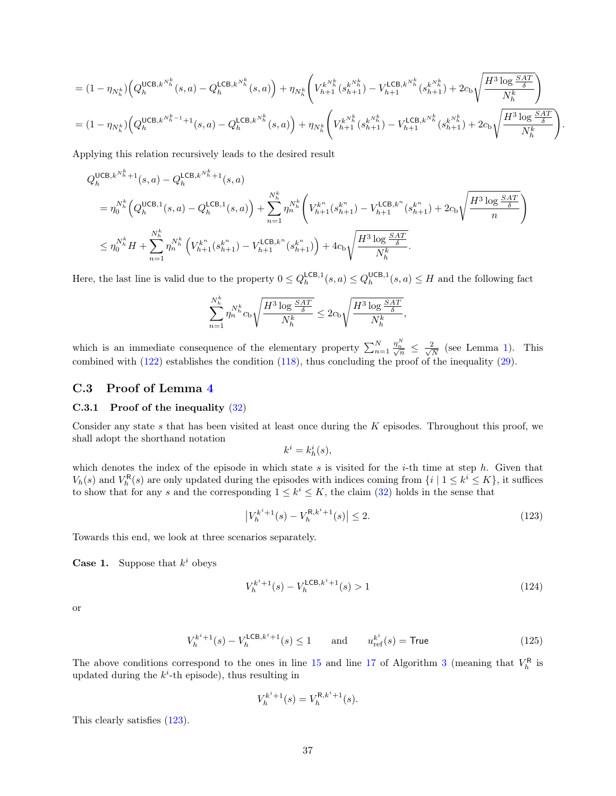$$
= (1 - \eta_{N_h^k}) \Big( Q_h^{\text{UCB},k^{N_h^k}}(s,a) - Q_h^{\text{LCB},k^{N_h^k}}(s,a) \Big) + \eta_{N_h^k} \Bigg( V_{h+1}^{k^{N_h^k}}(s_k^{k^{N_h^k}}) - V_{h+1}^{\text{LCB},k^{N_h^k}}(s_k^{k^{N_h^k}}) + 2c_b \sqrt{\frac{H^3 \log \frac{SAT}{\delta}}{N_h^k}} \Bigg) = (1 - \eta_{N_h^k}) \Big( Q_h^{\text{UCB},k^{N_h^k-1}+1}(s,a) - Q_h^{\text{LCB},k^{N_h^k}}(s,a) \Big) + \eta_{N_h^k} \Bigg( V_{h+1}^{k^{N_h^k}}(s_k^{k^{N_h^k}}) - V_{h+1}^{\text{LCB},k^{N_h^k}}(s_k^{k^{N_h^k}}) + 2c_b \sqrt{\frac{H^3 \log \frac{SAT}{\delta}}{N_h^k}} \Bigg).
$$

Applying this relation recursively leads to the desired result

$$
\begin{split} &Q_{h}^{\mathsf{UCB},k^{N_{h}^{k}}+1}(s,a)-Q_{h}^{\mathsf{LCB},k^{N_{h}^{k}}+1}(s,a)\\ &=\eta_{0}^{N_{h}^{k}}\Big(Q_{h}^{\mathsf{UCB},1}(s,a)-Q_{h}^{\mathsf{LCB},1}(s,a)\Big)+\sum_{n=1}^{N_{h}^{k}}\eta_{n}^{N_{h}^{k}}\Big(V_{h+1}^{k^{n}}(s_{h+1}^{k^{n}})-V_{h+1}^{\mathsf{LCB},k^{n}}(s_{h+1}^{k^{n}})+2c_{\mathsf{D}}\sqrt{\frac{H^{3}\log\frac{SAT}{\delta}}{n}}\Big)\\ &\leq\eta_{0}^{N_{h}^{k}}H+\sum_{n=1}^{N_{h}^{k}}\eta_{n}^{N_{h}^{k}}\Big(V_{h+1}^{k^{n}}(s_{h+1}^{k^{n}})-V_{h+1}^{\mathsf{LCB},k^{n}}(s_{h+1}^{k^{n}})\Big)+4c_{\mathsf{D}}\sqrt{\frac{H^{3}\log\frac{SAT}{\delta}}{N_{h}^{k}}}.\end{split}
$$

Here, the last line is valid due to the property  $0 \le Q_h^{\mathsf{LCB},1}(s,a) \le Q_h^{\mathsf{UCB},1}(s,a) \le H$  and the following fact

$$
\sum_{n=1}^{N_h^k} \eta_n^{N_h^k} c_{\text{b}} \sqrt{\frac{H^3 \log \frac{SAT}{\delta}}{N_h^k}} \leq 2c_{\text{b}} \sqrt{\frac{H^3 \log \frac{SAT}{\delta}}{N_h^k}},
$$

which is an immediate consequence of the elementary property  $\sum_{n=1}^{N}$  $\frac{\eta^N_n}{\sqrt{n}} \leq \frac{2}{\sqrt{l}}$  $\frac{2}{\overline{N}}$  (see Lemma [1\)](#page-12-1). This combined with [\(122\)](#page-35-2) establishes the condition [\(118\)](#page-35-1), thus concluding the proof of the inequality [\(29\)](#page-14-3).

### <span id="page-36-0"></span>C.3 Proof of Lemma [4](#page-14-2)

#### C.3.1 Proof of the inequality [\(32\)](#page-14-5)

Consider any state s that has been visited at least once during the K episodes. Throughout this proof, we shall adopt the shorthand notation

<span id="page-36-2"></span><span id="page-36-1"></span>
$$
k^i = k^i_h(s),
$$

which denotes the index of the episode in which state  $s$  is visited for the *i*-th time at step  $h$ . Given that  $V_h(s)$  and  $V_h^{\mathsf{R}}(s)$  are only updated during the episodes with indices coming from  $\{i \mid 1 \leq k^i \leq K\}$ , it suffices to show that for any s and the corresponding  $1 \leq k^i \leq K$ , the claim [\(32\)](#page-14-5) holds in the sense that

$$
\left| V_h^{k^i+1}(s) - V_h^{\mathsf{R},k^i+1}(s) \right| \le 2. \tag{123}
$$

Towards this end, we look at three scenarios separately.

**Case 1.** Suppose that  $k^i$  obeys

$$
V_h^{k^i+1}(s) - V_h^{\text{LCB},k^i+1}(s) > 1\tag{124}
$$

or

$$
V_h^{k^i+1}(s) - V_h^{\mathsf{LCB},k^i+1}(s) \le 1 \qquad \text{and} \qquad u_{\text{ref}}^{k^i}(s) = \textsf{True} \tag{125}
$$

The above conditions correspond to the ones in line [15](#page-12-9) and line [17](#page-12-10) of Algorithm [3](#page-12-2) (meaning that  $V_h^{\rm R}$  is updated during the  $k^{i}$ -th episode), thus resulting in

<span id="page-36-3"></span>
$$
V_h^{k^i+1}(s) = V_h^{\mathsf{R},k^i+1}(s).
$$

This clearly satisfies [\(123\)](#page-36-1).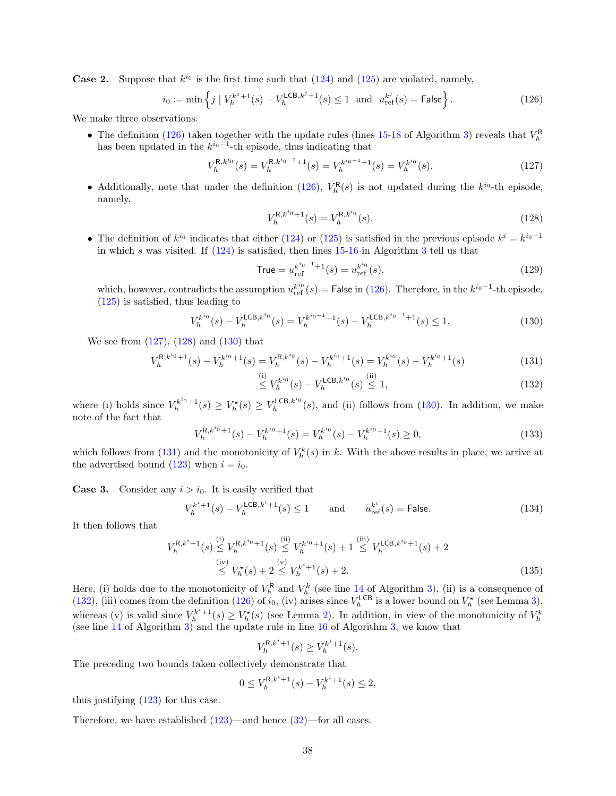**Case 2.** Suppose that  $k^{i_0}$  is the first time such that  $(124)$  and  $(125)$  are violated, namely,

$$
i_0 := \min\left\{ j \mid V_h^{k^j+1}(s) - V_h^{\mathsf{LCB}, k^j+1}(s) \le 1 \text{ and } u_{\text{ref}}^{k^j}(s) = \mathsf{False} \right\}.
$$
 (126)

We make three observations.

• The definition [\(126\)](#page-37-0) taken together with the update rules (lines [15-](#page-12-9)[18](#page-12-11) of Algorithm [3\)](#page-12-2) reveals that  $V_h^{\text{R}}$  has been updated in the  $k^{i_0-1}$ -th episode, thus indicating that

$$
V_h^{\mathsf{R},k^{i_0}}(s) = V_h^{\mathsf{R},k^{i_0-1}+1}(s) = V_h^{k^{i_0-1}+1}(s) = V_h^{k^{i_0}}(s).
$$
\n(127)

• Additionally, note that under the definition [\(126\)](#page-37-0),  $V_h^{\text{R}}(s)$  is not updated during the  $k^{i_0}$ -th episode, namely,

<span id="page-37-2"></span><span id="page-37-1"></span><span id="page-37-0"></span>
$$
V_h^{\mathsf{R},k^{i_0}+1}(s) = V_h^{\mathsf{R},k^{i_0}}(s). \tag{128}
$$

• The definition of  $k^{i_0}$  indicates that either [\(124\)](#page-36-2) or [\(125\)](#page-36-3) is satisfied in the previous episode  $k^i = k^{i_0-1}$ in which s was visited. If  $(124)$  is satisfied, then lines  $15-16$  $15-16$  in Algorithm [3](#page-12-2) tell us that

<span id="page-37-3"></span>
$$
True = u_{ref}^{k^{i_0 - 1} + 1}(s) = u_{ref}^{k^{i_0}}(s),
$$
\n(129)

which, however, contradicts the assumption  $u_{\text{ref}}^{k^{i_0}}(s) = \text{False in (126)}$  $u_{\text{ref}}^{k^{i_0}}(s) = \text{False in (126)}$  $u_{\text{ref}}^{k^{i_0}}(s) = \text{False in (126)}$ . Therefore, in the  $k^{i_0-1}$ -th episode, [\(125\)](#page-36-3) is satisfied, thus leading to

$$
V_h^{k^{i_0}}(s) - V_h^{\mathsf{LCB},k^{i_0}}(s) = V_h^{k^{i_0-1}+1}(s) - V_h^{\mathsf{LCB},k^{i_0-1}+1}(s) \le 1.
$$
\n(130)

We see from [\(127\)](#page-37-1), [\(128\)](#page-37-2) and [\(130\)](#page-37-3) that

$$
V_h^{\mathsf{R},k^{i_0}+1}(s) - V_h^{k^{i_0}+1}(s) = V_h^{\mathsf{R},k^{i_0}}(s) - V_h^{k^{i_0}+1}(s) = V_h^{k^{i_0}}(s) - V_h^{k^{i_0}+1}(s)
$$
\n(131)

<span id="page-37-5"></span><span id="page-37-4"></span>
$$
\stackrel{\text{(i)}}{\leq} V_h^{k^{i_0}}(s) - V_h^{\mathsf{LCB}, k^{i_0}}(s) \stackrel{\text{(ii)}}{\leq} 1,\tag{132}
$$

where (i) holds since  $V_h^{k^{i_0}+1}(s) \geq V_h^{\star}(s) \geq V_h^{\text{LCB},k^{i_0}}(s)$ , and (ii) follows from [\(130\)](#page-37-3). In addition, we make note of the fact that

$$
V_h^{R,k^{i_0}+1}(s) - V_h^{k^{i_0}+1}(s) = V_h^{k^{i_0}}(s) - V_h^{k^{i_0}+1}(s) \ge 0,
$$
\n(133)

which follows from [\(131\)](#page-37-4) and the monotonicity of  $V_h^k(s)$  in k. With the above results in place, we arrive at the advertised bound [\(123\)](#page-36-1) when  $i = i_0$ .

**Case 3.** Consider any  $i > i_0$ . It is easily verified that

$$
V_h^{k^i+1}(s) - V_h^{\mathsf{LCB}, k^i+1}(s) \le 1 \qquad \text{and} \qquad u_{\text{ref}}^{k^i}(s) = \mathsf{False}.
$$
 (134)

It then follows that

$$
V_h^{\mathsf{R},k^i+1}(s) \stackrel{\text{(i)}}{\leq} V_h^{\mathsf{R},k^{i_0}+1}(s) \stackrel{\text{(ii)}}{\leq} V_h^{k^{i_0}+1}(s) + 1 \stackrel{\text{(iii)}}{\leq} V_h^{\mathsf{LCB},k^{i_0}+1}(s) + 2
$$
\n
$$
\stackrel{\text{(iv)}}{\leq} V_h^{\star}(s) + 2 \stackrel{\text{(v)}}{\leq} V_h^{k^i+1}(s) + 2. \tag{135}
$$

Here, (i) holds due to the monotonicity of  $V_h^{\mathsf{R}}$  and  $V_h^k$  (see line [14](#page-12-5) of Algorithm [3\)](#page-12-2), (ii) is a consequence of [\(132\)](#page-37-5), (iii) comes from the definition [\(126\)](#page-37-0) of  $i_0$ , (iv) arises since  $V_h^{\text{LCB}}$  is a lower bound on  $V_h^{\star}$  (see Lemma [3\)](#page-14-1), whereas (v) is valid since  $V_h^{k^i+1}(s) \ge V_h^*(s)$  (see Lemma [2\)](#page-14-0). In addition, in view of the monotonicity of  $V_h^k$  (see line [14](#page-12-5) of Algorithm [3\)](#page-12-2) and the update rule in line [16](#page-12-12) of Algorithm [3,](#page-12-2) we know that

$$
V_h^{\mathsf{R},k^i+1}(s) \ge V_h^{k^i+1}(s).
$$

The preceding two bounds taken collectively demonstrate that

$$
0 \le V_h^{R,k^i+1}(s) - V_h^{k^i+1}(s) \le 2,
$$

thus justifying [\(123\)](#page-36-1) for this case.

Therefore, we have established  $(123)$ —and hence  $(32)$ —for all cases.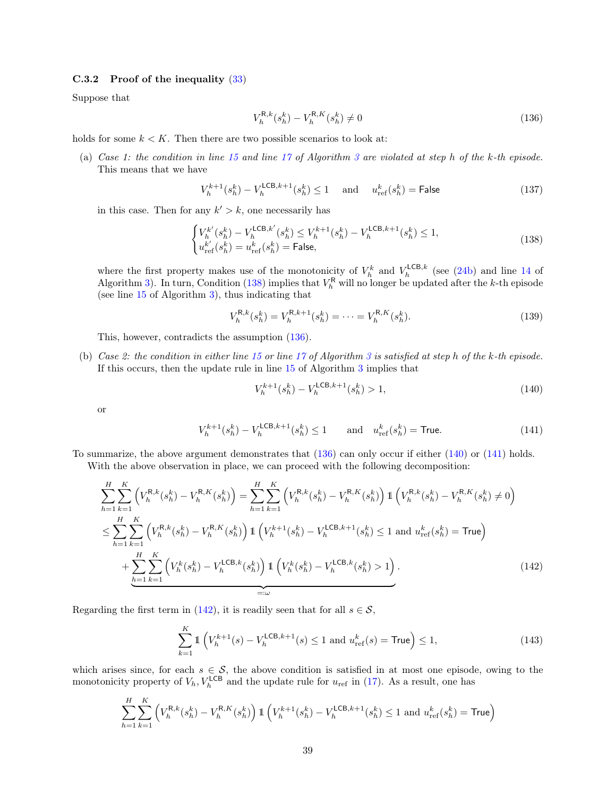#### C.3.2 Proof of the inequality [\(33\)](#page-15-2)

Suppose that

<span id="page-38-1"></span><span id="page-38-0"></span>
$$
V_h^{\mathsf{R},k}(s_h^k) - V_h^{\mathsf{R},K}(s_h^k) \neq 0 \tag{136}
$$

holds for some  $k < K$ . Then there are two possible scenarios to look at:

(a) Case 1: the condition in line [15](#page-12-9) and line [17](#page-12-10) of Algorithm [3](#page-12-2) are violated at step h of the k-th episode. This means that we have

$$
V_h^{k+1}(s_h^k) - V_h^{\text{LCB},k+1}(s_h^k) \le 1 \quad \text{ and } \quad u_{\text{ref}}^k(s_h^k) = \text{False}
$$
 (137)

in this case. Then for any  $k' > k$ , one necessarily has

$$
\begin{cases} V_h^{k'}(s_h^k) - V_h^{\mathsf{LCB},k'}(s_h^k) \le V_h^{k+1}(s_h^k) - V_h^{\mathsf{LCB},k+1}(s_h^k) \le 1, \\ u_{\text{ref}}^{k'}(s_h^k) = u_{\text{ref}}^k(s_h^k) = \text{False}, \end{cases} \tag{138}
$$

where the first property makes use of the monotonicity of  $V_h^k$  and  $V_h^{\text{LCB},k}$  (see [\(24b\)](#page-13-3) and line [14](#page-12-5) of Algorithm [3\)](#page-12-2). In turn, Condition [\(138\)](#page-38-0) implies that  $V_h^{\mathsf{R}}$  will no longer be updated after the k-th episode (see line [15](#page-12-9) of Algorithm [3\)](#page-12-2), thus indicating that

$$
V_h^{\mathsf{R},k}(s_h^k) = V_h^{\mathsf{R},k+1}(s_h^k) = \dots = V_h^{\mathsf{R},K}(s_h^k). \tag{139}
$$

This, however, contradicts the assumption [\(136\)](#page-38-1).

(b) Case 2: the condition in either line [15](#page-12-9) or line [17](#page-12-10) of Algorithm [3](#page-12-2) is satisfied at step h of the k-th episode. If this occurs, then the update rule in line [15](#page-12-9) of Algorithm [3](#page-12-2) implies that

<span id="page-38-4"></span><span id="page-38-3"></span><span id="page-38-2"></span>
$$
V_h^{k+1}(s_h^k) - V_h^{\text{LCB},k+1}(s_h^k) > 1,\tag{140}
$$

or

$$
V_h^{k+1}(s_h^k) - V_h^{\text{LCB},k+1}(s_h^k) \le 1 \qquad \text{and} \quad u_{\text{ref}}^k(s_h^k) = \text{True.} \tag{141}
$$

To summarize, the above argument demonstrates that [\(136\)](#page-38-1) can only occur if either [\(140\)](#page-38-2) or [\(141\)](#page-38-3) holds. With the above observation in place, we can proceed with the following decomposition:

$$
\sum_{h=1}^{H} \sum_{k=1}^{K} \left( V_{h}^{\text{R},k}(s_{h}^{k}) - V_{h}^{\text{R},K}(s_{h}^{k}) \right) = \sum_{h=1}^{H} \sum_{k=1}^{K} \left( V_{h}^{\text{R},k}(s_{h}^{k}) - V_{h}^{\text{R},K}(s_{h}^{k}) \right) \mathbb{1} \left( V_{h}^{\text{R},k}(s_{h}^{k}) - V_{h}^{\text{R},K}(s_{h}^{k}) \neq 0 \right)
$$
\n
$$
\leq \sum_{h=1}^{H} \sum_{k=1}^{K} \left( V_{h}^{\text{R},k}(s_{h}^{k}) - V_{h}^{\text{R},K}(s_{h}^{k}) \right) \mathbb{1} \left( V_{h}^{k+1}(s_{h}^{k}) - V_{h}^{\text{LCB},k+1}(s_{h}^{k}) \leq 1 \text{ and } u_{\text{ref}}^{k}(s_{h}^{k}) = \text{True} \right)
$$
\n
$$
+ \sum_{h=1}^{H} \sum_{k=1}^{K} \left( V_{h}^{k}(s_{h}^{k}) - V_{h}^{\text{LCB},k}(s_{h}^{k}) \right) \mathbb{1} \left( V_{h}^{k}(s_{h}^{k}) - V_{h}^{\text{LCB},k}(s_{h}^{k}) > 1 \right).
$$
\n(142)

Regarding the first term in [\(142\)](#page-38-4), it is readily seen that for all  $s \in \mathcal{S}$ ,

$$
\sum_{k=1}^{K} \mathbb{1} \left( V_h^{k+1}(s) - V_h^{\mathsf{LCB}, k+1}(s) \le 1 \text{ and } u_{\text{ref}}^k(s) = \mathsf{True} \right) \le 1,\tag{143}
$$

which arises since, for each  $s \in \mathcal{S}$ , the above condition is satisfied in at most one episode, owing to the monotonicity property of  $V_h$ ,  $V_h^{\text{LCB}}$  and the update rule for  $u_{\text{ref}}$  in [\(17\)](#page-12-10). As a result, one has

$$
\sum_{h=1}^{H} \sum_{k=1}^{K} \left( V_h^{\mathsf{R},k}(s_h^k) - V_h^{\mathsf{R},K}(s_h^k) \right) \mathbb{1} \left( V_h^{k+1}(s_h^k) - V_h^{\mathsf{LCB},k+1}(s_h^k) \le 1 \text{ and } u_{\text{ref}}^k(s_h^k) = \textsf{True} \right)
$$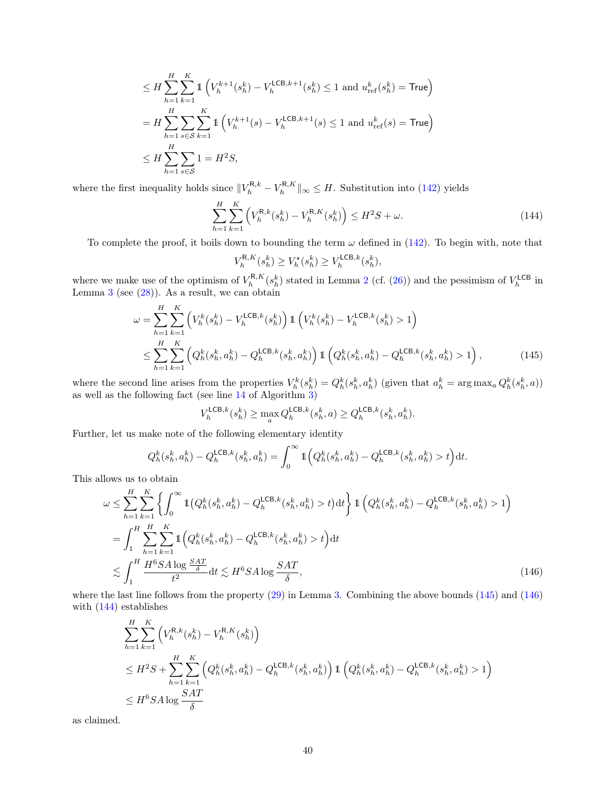$$
\leq H \sum_{h=1}^{H} \sum_{k=1}^{K} \mathbb{1} \left( V_h^{k+1}(s_h^k) - V_h^{\text{LCB},k+1}(s_h^k) \leq 1 \text{ and } u_{\text{ref}}^k(s_h^k) = \text{True} \right)
$$
  
=  $H \sum_{h=1}^{H} \sum_{s \in S} \sum_{k=1}^{K} \mathbb{1} \left( V_h^{k+1}(s) - V_h^{\text{LCB},k+1}(s) \leq 1 \text{ and } u_{\text{ref}}^k(s) = \text{True} \right)$   

$$
\leq H \sum_{h=1}^{H} \sum_{s \in S} 1 = H^2 S,
$$

where the first inequality holds since  $||V_h^{R,k} - V_h^{R,K}||_{\infty} \leq H$ . Substitution into [\(142\)](#page-38-4) yields

$$
\sum_{h=1}^{H} \sum_{k=1}^{K} \left( V_h^{\mathsf{R},k}(s_h^k) - V_h^{\mathsf{R},K}(s_h^k) \right) \le H^2 S + \omega.
$$
 (144)

To complete the proof, it boils down to bounding the term  $\omega$  defined in [\(142\)](#page-38-4). To begin with, note that

<span id="page-39-2"></span><span id="page-39-0"></span>
$$
V_h^{\mathsf{R},K}(s_h^k) \ge V_h^{\star}(s_h^k) \ge V_h^{\mathsf{LCB},k}(s_h^k),
$$

where we make use of the optimism of  $V_h^{R,K}(s_h^k)$  stated in Lemma [2](#page-14-0) (cf. [\(26\)](#page-14-6)) and the pessimism of  $V_h^{\text{LCB}}$  in Lemma  $3$  (see  $(28)$ ). As a result, we can obtain

$$
\omega = \sum_{h=1}^{H} \sum_{k=1}^{K} \left( V_h^k(s_h^k) - V_h^{\text{LCB},k}(s_h^k) \right) \mathbb{1} \left( V_h^k(s_h^k) - V_h^{\text{LCB},k}(s_h^k) > 1 \right)
$$
  

$$
\leq \sum_{h=1}^{H} \sum_{k=1}^{K} \left( Q_h^k(s_h^k, a_h^k) - Q_h^{\text{LCB},k}(s_h^k, a_h^k) \right) \mathbb{1} \left( Q_h^k(s_h^k, a_h^k) - Q_h^{\text{LCB},k}(s_h^k, a_h^k) > 1 \right), \tag{145}
$$

where the second line arises from the properties  $V_h^k(s_h^k) = Q_h^k(s_h^k, a_h^k)$  (given that  $a_h^k = \arg \max_a Q_h^k(s_h^k, a)$ ) as well as the following fact (see line [14](#page-12-5) of Algorithm [3\)](#page-12-2)

<span id="page-39-1"></span>
$$
V_h^{\mathsf{LCB},k}(s_h^k) \ge \max_{a} Q_h^{\mathsf{LCB},k}(s_h^k, a) \ge Q_h^{\mathsf{LCB},k}(s_h^k, a_h^k).
$$

Further, let us make note of the following elementary identity

$$
Q_h^k(s_h^k, a_h^k) - Q_h^{\mathsf{LCB},k}(s_h^k, a_h^k) = \int_0^\infty \mathbb{1}\Big(Q_h^k(s_h^k, a_h^k) - Q_h^{\mathsf{LCB},k}(s_h^k, a_h^k) > t\Big) \mathrm{d}t.
$$

This allows us to obtain

$$
\omega \leq \sum_{h=1}^{H} \sum_{k=1}^{K} \left\{ \int_{0}^{\infty} \mathbb{1} \left( Q_{h}^{k}(s_{h}^{k}, a_{h}^{k}) - Q_{h}^{\mathsf{LCB},k}(s_{h}^{k}, a_{h}^{k}) > t \right) dt \right\} \mathbb{1} \left( Q_{h}^{k}(s_{h}^{k}, a_{h}^{k}) - Q_{h}^{\mathsf{LCB},k}(s_{h}^{k}, a_{h}^{k}) > 1 \right)
$$
\n
$$
= \int_{1}^{H} \sum_{h=1}^{H} \sum_{k=1}^{K} \mathbb{1} \left( Q_{h}^{k}(s_{h}^{k}, a_{h}^{k}) - Q_{h}^{\mathsf{LCB},k}(s_{h}^{k}, a_{h}^{k}) > t \right) dt
$$
\n
$$
\lesssim \int_{1}^{H} \frac{H^{6} S A \log \frac{S A T}{\delta}}{t^{2}} dt \lesssim H^{6} S A \log \frac{S A T}{\delta}, \tag{146}
$$

where the last line follows from the property [\(29\)](#page-14-3) in Lemma [3.](#page-14-1) Combining the above bounds [\(145\)](#page-39-0) and [\(146\)](#page-39-1) with [\(144\)](#page-39-2) establishes

$$
\sum_{h=1}^{H} \sum_{k=1}^{K} \left( V_{h}^{\text{R},k}(s_{h}^{k}) - V_{h}^{\text{R},K}(s_{h}^{k}) \right)
$$
\n
$$
\leq H^{2}S + \sum_{h=1}^{H} \sum_{k=1}^{K} \left( Q_{h}^{k}(s_{h}^{k}, a_{h}^{k}) - Q_{h}^{\text{LCB},k}(s_{h}^{k}, a_{h}^{k}) \right) \mathbb{1} \left( Q_{h}^{k}(s_{h}^{k}, a_{h}^{k}) - Q_{h}^{\text{LCB},k}(s_{h}^{k}, a_{h}^{k}) > 1 \right)
$$
\n
$$
\leq H^{6}S A \log \frac{SAT}{\delta}
$$

as claimed.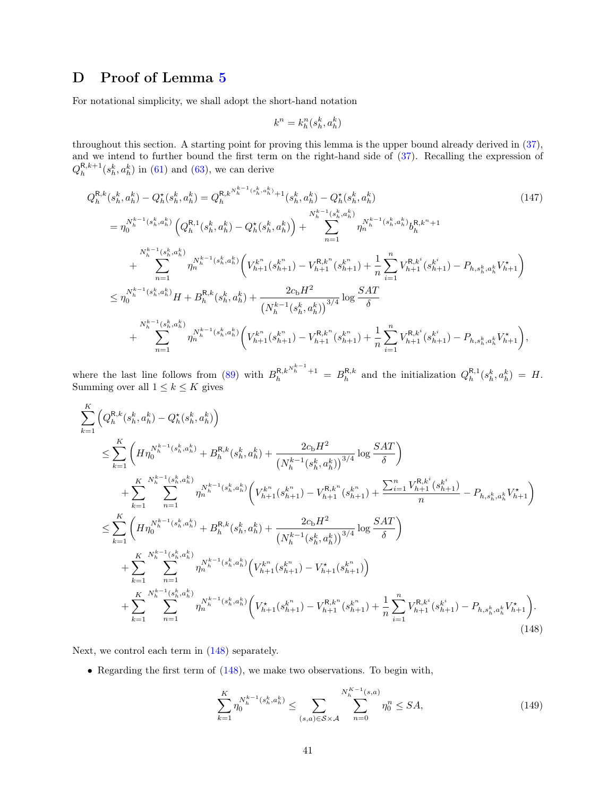# <span id="page-40-0"></span>D Proof of Lemma [5](#page-16-0)

For notational simplicity, we shall adopt the short-hand notation

$$
k^n = k_h^n(s_h^k, a_h^k)
$$

throughout this section. A starting point for proving this lemma is the upper bound already derived in [\(37\)](#page-15-3), and we intend to further bound the first term on the right-hand side of [\(37\)](#page-15-3). Recalling the expression of  $Q_h^{R,k+1}(s_h^k, a_h^k)$  in [\(61\)](#page-23-2) and [\(63\)](#page-23-7), we can derive

$$
Q_{h}^{R,k}(s_{h}^{k}, a_{h}^{k}) - Q_{h}^{*}(s_{h}^{k}, a_{h}^{k}) = Q_{h}^{R,k}^{N_{h}^{k-1}(s_{h}^{k}, a_{h}^{k})+1}(s_{h}^{k}, a_{h}^{k}) - Q_{h}^{*}(s_{h}^{k}, a_{h}^{k})
$$
\n
$$
= \eta_{0}^{N_{h}^{k-1}(s_{h}^{k}, a_{h}^{k})} \left(Q_{h}^{R,1}(s_{h}^{k}, a_{h}^{k}) - Q_{h}^{*}(s_{h}^{k}, a_{h}^{k})\right) + \sum_{n=1}^{N_{h}^{k-1}(s_{h}^{k}, a_{h}^{k})} \eta_{n}^{N_{h}^{k-1}(s_{h}^{k}, a_{h}^{k})} b_{h}^{R,k^{n}+1}
$$
\n
$$
+ \sum_{n=1}^{N_{h}^{k-1}(s_{h}^{k}, a_{h}^{k})} \eta_{n}^{N_{h}^{k-1}(s_{h}^{k}, a_{h}^{k})} \left(V_{h+1}^{k^{n}}(s_{h+1}^{k^{n}}) - V_{h+1}^{R,k^{n}}(s_{h+1}^{k^{n}}) + \frac{1}{n} \sum_{i=1}^{n} V_{h+1}^{R,k^{i}}(s_{h+1}^{k^{i}}) - P_{h,s_{h}^{k}, a_{h}^{k}} V_{h+1}^{k}\right)
$$
\n
$$
\leq \eta_{0}^{N_{h}^{k-1}(s_{h}^{k}, a_{h}^{k})} H + B_{h}^{R,k}(s_{h}^{k}, a_{h}^{k}) + \frac{2c_{b}H^{2}}{\left(N_{h}^{k-1}(s_{h}^{k}, a_{h}^{k})\right)^{3/4}} \log \frac{SAT}{\delta}
$$
\n
$$
+ \sum_{n=1}^{N_{h}^{k-1}(s_{h}^{k}, a_{h}^{k})} \eta_{n}^{N_{h}^{k-1}(s_{h}^{k}, a_{h}^{k})} \left(V_{h+1}^{k^{n}}(s_{h+1}^{k^{n}}) - V_{h+1}^{R,k^{n}}(s_{h+1}^{k^{n}}) + \frac{1}{n} \sum_{i=1}^{n} V_{h+1}^{R,k^{i}}(s_{h+
$$

where the last line follows from [\(89\)](#page-27-2) with  $B_h^{R,k}^{N_h^{k-1}+1} = B_h^{R,k}$  and the initialization  $Q_h^{R,1}(s_h^k, a_h^k) = H$ . Summing over all  $1 \leq k \leq K$  gives

$$
\sum_{k=1}^{K} \left( Q_{h}^{R,k}(s_{h}^{k}, a_{h}^{k}) - Q_{h}^{*}(s_{h}^{k}, a_{h}^{k}) \right)
$$
\n
$$
\leq \sum_{k=1}^{K} \left( H \eta_{0}^{N_{h}^{k-1}(s_{h}^{k}, a_{h}^{k})} + B_{h}^{R,k}(s_{h}^{k}, a_{h}^{k}) + \frac{2c_{b}H^{2}}{\left(N_{h}^{k-1}(s_{h}^{k}, a_{h}^{k})\right)^{3/4}} \log \frac{SAT}{\delta} \right)
$$
\n
$$
+ \sum_{k=1}^{K} \sum_{n=1}^{N_{h}^{k-1}(s_{h}^{k}, a_{h}^{k})} \eta_{n}^{N_{h}^{k-1}(s_{h}^{k}, a_{h}^{k})} \left( V_{h+1}^{k^{n}}(s_{h+1}^{k^{n}}) - V_{h+1}^{R,k^{n}}(s_{h+1}^{k^{n}}) + \frac{\sum_{i=1}^{n} V_{h+1}^{R,k^{i}}(s_{h+1}^{k^{i}})}{n} - P_{h,s_{h}^{k},a_{h}^{k}} V_{h+1}^{*} \right)
$$
\n
$$
\leq \sum_{k=1}^{K} \left( H \eta_{0}^{N_{h}^{k-1}(s_{h}^{k}, a_{h}^{k})} + B_{h}^{R,k}(s_{h}^{k}, a_{h}^{k}) + \frac{2c_{b}H^{2}}{\left(N_{h}^{k-1}(s_{h}^{k}, a_{h}^{k})\right)^{3/4}} \log \frac{SAT}{\delta} \right)
$$
\n
$$
+ \sum_{k=1}^{K} \sum_{n=1}^{N_{h}^{k-1}(s_{h}^{k}, a_{h}^{k})} \eta_{n}^{N_{h}^{k-1}(s_{h}^{k}, a_{h}^{k})} \left( V_{h+1}^{k^{n}}(s_{h+1}^{k^{n}}) - V_{h+1}^{k}(s_{h+1}^{k^{n}}) \right)
$$
\n
$$
+ \sum_{k=1}^{K} \sum_{n=1}^{N_{h}^{k-1}(s_{h}^{k}, a_{h}^{k})} \eta_{n}^{N_{h}^{k-1}(s_{h}^{k}, a_{h}^{k})} \left( V
$$

Next, we control each term in [\(148\)](#page-40-1) separately.

• Regarding the first term of [\(148\)](#page-40-1), we make two observations. To begin with,

<span id="page-40-1"></span>
$$
\sum_{k=1}^{K} \eta_0^{N_h^{k-1}(s_h^k, a_h^k)} \le \sum_{(s,a)\in S \times \mathcal{A}} \sum_{n=0}^{N_h^{K-1}(s,a)} \eta_0^n \le SA,\tag{149}
$$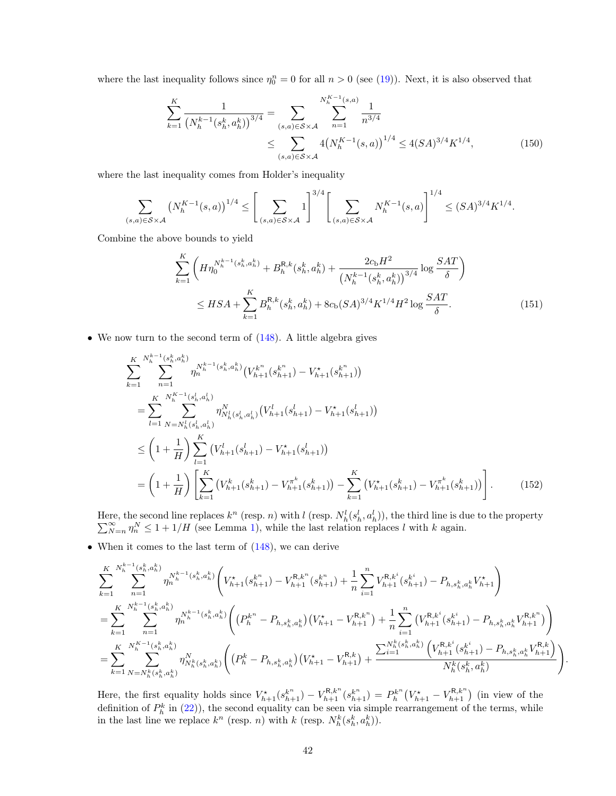where the last inequality follows since  $\eta_0^n = 0$  for all  $n > 0$  (see [\(19\)](#page-11-3)). Next, it is also observed that

<span id="page-41-0"></span>
$$
\sum_{k=1}^{K} \frac{1}{\left(N_h^{k-1}(s_h^k, a_h^k)\right)^{3/4}} = \sum_{(s,a)\in S\times\mathcal{A}} \sum_{n=1}^{N_h^{K-1}(s,a)} \frac{1}{n^{3/4}}
$$
\n
$$
\leq \sum_{(s,a)\in S\times\mathcal{A}} 4\left(N_h^{K-1}(s,a)\right)^{1/4} \leq 4(SA)^{3/4} K^{1/4},\tag{150}
$$

where the last inequality comes from Holder's inequality

$$
\sum_{(s,a)\in S\times\mathcal{A}} \left(N_h^{K-1}(s,a)\right)^{1/4} \le \left[\sum_{(s,a)\in S\times\mathcal{A}} 1\right]^{3/4} \left[\sum_{(s,a)\in S\times\mathcal{A}} N_h^{K-1}(s,a)\right]^{1/4} \le (SA)^{3/4} K^{1/4}.
$$

Combine the above bounds to yield

$$
\sum_{k=1}^{K} \left( H \eta_0^{N_h^{k-1}(s_h^k, a_h^k)} + B_h^{R,k}(s_h^k, a_h^k) + \frac{2c_b H^2}{\left(N_h^{k-1}(s_h^k, a_h^k)\right)^{3/4}} \log \frac{SAT}{\delta} \right)
$$
  

$$
\leq HSA + \sum_{k=1}^{K} B_h^{R,k}(s_h^k, a_h^k) + 8c_b(SA)^{3/4} K^{1/4} H^2 \log \frac{SAT}{\delta}.
$$
 (151)

• We now turn to the second term of  $(148)$ . A little algebra gives

$$
\sum_{k=1}^{K} \sum_{n=1}^{N_h^{k-1}(s_h^k, a_h^k)} \eta_n^{N_h^{k-1}(s_h^k, a_h^k)} \left( V_{h+1}^{k^n}(s_{h+1}^{k^n}) - V_{h+1}^*(s_{h+1}^{k^n}) \right)
$$
\n
$$
= \sum_{l=1}^{K} \sum_{N=N_h^l(s_h^l, a_h^l)}^{N_{h-1}(s_h^l, a_h^l)} \eta_{N_h^l(s_h^l, a_h^l)}^{N} \left( V_{h+1}^l(s_{h+1}^l) - V_{h+1}^*(s_{h+1}^l) \right)
$$
\n
$$
\leq \left( 1 + \frac{1}{H} \right) \sum_{l=1}^{K} \left( V_{h+1}^l(s_{h+1}^l) - V_{h+1}^*(s_{h+1}^l) \right)
$$
\n
$$
= \left( 1 + \frac{1}{H} \right) \left[ \sum_{k=1}^{K} \left( V_{h+1}^k(s_{h+1}^k) - V_{h+1}^{\pi^k}(s_{h+1}^k) \right) - \sum_{k=1}^{K} \left( V_{h+1}^*(s_{h+1}^k) - V_{h+1}^{\pi^k}(s_{h+1}^k) \right) \right]. \tag{152}
$$

Here, the second line replaces  $k^n$  (resp. *n*) with *l* (resp.  $N_h^l(s_h^l, a_h^l)$ <br> $\sum_{N=n}^{\infty} \eta_n^N \leq 1 + 1/H$  (see Lemma 1), while the last relation rep ere, the second line replaces  $k^n$  (resp. n) with l (resp.  $N_h^l(s_h^l, a_h^l)$ ), the third line is due to the property  $\sum_{N=n}^{\infty} \eta_n^N \leq 1 + 1/H$  (see Lemma [1\)](#page-12-1), while the last relation replaces l with k again.

• When it comes to the last term of  $(148)$ , we can derive

$$
\sum_{k=1}^{K} \sum_{n=1}^{N_{h}^{k-1}(s_{h}^{k}, a_{h}^{k})} \eta_{n}^{N_{h}^{k-1}(s_{h}^{k}, a_{h}^{k})} \left( V_{h+1}^{\star}(s_{h+1}^{k^{n}}) - V_{h+1}^{R, k^{n}}(s_{h+1}^{k^{n}}) + \frac{1}{n} \sum_{i=1}^{n} V_{h+1}^{R, k^{i}}(s_{h+1}^{k^{i}}) - P_{h, s_{h}^{k}, a_{h}^{k}} V_{h+1}^{\star} \right)
$$
\n
$$
= \sum_{k=1}^{K} \sum_{n=1}^{N_{h}^{k-1}(s_{h}^{k}, a_{h}^{k})} \eta_{n}^{N_{h}^{k-1}(s_{h}^{k}, a_{h}^{k})} \left( \left( P_{h}^{k^{n}} - P_{h, s_{h}^{k}, a_{h}^{k}} \right) \left( V_{h+1}^{\star} - V_{h+1}^{R, k^{n}} \right) + \frac{1}{n} \sum_{i=1}^{n} \left( V_{h+1}^{R, k^{i}}(s_{h+1}^{k^{i}}) - P_{h, s_{h}^{k}, a_{h}^{k}} V_{h+1}^{R, k^{n}} \right) \right)
$$
\n
$$
= \sum_{k=1}^{K} \sum_{N=N_{h}^{k}(s_{h}^{k}, a_{h}^{k})}^{N_{h}^{K-1}(s_{h}^{k}, a_{h}^{k})} \eta_{N_{h}^{k}(s_{h}^{k}, a_{h}^{k})}^{N} \left( \left( P_{h}^{k} - P_{h, s_{h}^{k}, a_{h}^{k}} \right) \left( V_{h+1}^{\star} - V_{h+1}^{R, k} \right) + \frac{\sum_{i=1}^{N_{h}^{k}(s_{h}^{k}, a_{h}^{k})} \left( V_{h+1}^{R, k^{i}}(s_{h}^{k^{i}}) - P_{h, s_{h}^{k}, a_{h}^{k}} V_{h+1}^{R, k} \right)}{N_{h}^{k}(s_{h}^{k}, a_{h}^{k})} \right)
$$

.

Here, the first equality holds since  $V_{h+1}^*(s_{h+1}^{k^n}) - V_{h+1}^{\mathcal{R},k^n}(s_{h+1}^{k^n}) = P_h^{k^n}(V_{h+1}^* - V_{h+1}^{\mathcal{R},k^n})$  (in view of the definition of  $P_h^k$  in [\(22\)](#page-13-4)), the second equality can be seen via simple rearrangement of the terms, while in the last line we replace  $k^n$  (resp. n) with k (resp.  $N_h^k(s_h^k, a_h^k)$ ).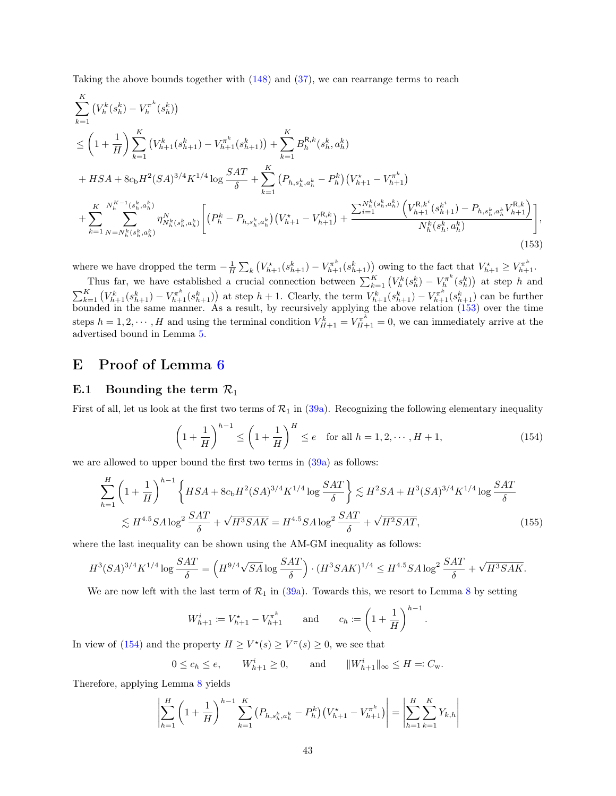Taking the above bounds together with [\(148\)](#page-40-1) and [\(37\)](#page-15-3), we can rearrange terms to reach

$$
\sum_{k=1}^{K} (V_{h}^{k}(s_{h}^{k}) - V_{h}^{\pi^{k}}(s_{h}^{k}))
$$
\n
$$
\leq \left(1 + \frac{1}{H}\right) \sum_{k=1}^{K} (V_{h+1}^{k}(s_{h+1}^{k}) - V_{h+1}^{\pi^{k}}(s_{h+1}^{k})) + \sum_{k=1}^{K} B_{h}^{R,k}(s_{h}^{k}, a_{h}^{k})
$$
\n
$$
+ HSA + 8c_{b}H^{2}(SA)^{3/4}K^{1/4}\log\frac{SAT}{\delta} + \sum_{k=1}^{K} (P_{h,s_{h}^{k},a_{h}^{k}} - P_{h}^{k})(V_{h+1}^{*} - V_{h+1}^{\pi^{k}})
$$
\n
$$
+ \sum_{k=1}^{K} \sum_{N=N_{h}^{k}(s_{h}^{k},a_{h}^{k})}^{N_{h}^{K}(s_{h}^{k},a_{h}^{k})} \left[ (P_{h}^{k} - P_{h,s_{h}^{k},a_{h}^{k}})(V_{h+1}^{*} - V_{h+1}^{R,k}) + \frac{\sum_{i=1}^{N_{h}^{k}(s_{h}^{k},a_{h}^{k})}{(V_{h+1}^{R}(s_{h}^{k},a_{h}^{k}) - P_{h,s_{h}^{k},a_{h}^{k}}V_{h+1}^{R,k})} \right],
$$
\n(153)

where we have dropped the term  $-\frac{1}{H}\sum_{k}\left(V_{h+1}^{\star}(s_{h+1}^{k})-V_{h+1}^{\pi^{k}}(s_{h+1}^{k})\right)$  owing to the fact that  $V_{h+1}^{\star} \geq V_{h+1}^{\pi^{k}}$ .

Thus far, we have established a crucial connection between  $\sum_{k=1}^K (V_h^k(s_h^k) - V_h^{\pi^k}(s_h^k))$  at step h and  $\sum_{k=1}^K (V_{h+1}^k(s_{h+1}^k) - V_{h+1}^{\pi^k}(s_{h+1}^k))$  at step  $h+1$ . Clearly, the term  $V_{h+1}^k(s_{h+1}^k) - V_{h+1}^{\pi^k}(s_{h+1}^k)$  can be further bounded in the same manner. As a result, by recursively applying the above relation  $(153)$  over the time steps  $h = 1, 2, \dots, H$  and using the terminal condition  $V_{H+1}^k = V_{H+1}^{\pi^k} = 0$ , we can immediately arrive at the advertised bound in Lemma [5.](#page-16-0)

# <span id="page-42-0"></span>E Proof of Lemma [6](#page-16-1)

### <span id="page-42-1"></span>E.1 Bounding the term  $\mathcal{R}_1$

First of all, let us look at the first two terms of  $\mathcal{R}_1$  in [\(39a\)](#page-16-3). Recognizing the following elementary inequality

<span id="page-42-3"></span><span id="page-42-2"></span>
$$
\left(1 + \frac{1}{H}\right)^{h-1} \le \left(1 + \frac{1}{H}\right)^{H} \le e \quad \text{for all } h = 1, 2, \cdots, H+1,
$$
\n(154)

we are allowed to upper bound the first two terms in  $(39a)$  as follows:

$$
\sum_{h=1}^{H} \left(1 + \frac{1}{H}\right)^{h-1} \left\{ HSA + 8c_{b}H^{2}(SA)^{3/4}K^{1/4}\log\frac{SAT}{\delta}\right\} \lesssim H^{2}SA + H^{3}(SA)^{3/4}K^{1/4}\log\frac{SAT}{\delta}
$$
\n
$$
\lesssim H^{4.5}SA\log^{2}\frac{SAT}{\delta} + \sqrt{H^{3}SAK} = H^{4.5}SA\log^{2}\frac{SAT}{\delta} + \sqrt{H^{2}SAT},\tag{155}
$$

where the last inequality can be shown using the AM-GM inequality as follows:

$$
H^3 (SA)^{3/4} K^{1/4} \log \frac{SAT}{\delta} = \left( H^{9/4} \sqrt{SA} \log \frac{SAT}{\delta} \right) \cdot (H^3 SAK)^{1/4} \leq H^{4.5} SA \log^2 \frac{SAT}{\delta} + \sqrt{H^3 SAK}.
$$

We are now left with the last term of  $\mathcal{R}_1$  in [\(39a\)](#page-16-3). Towards this, we resort to Lemma [8](#page-19-0) by setting

<span id="page-42-4"></span>
$$
W_{h+1}^i := V_{h+1}^* - V_{h+1}^{\pi^k}
$$
 and  $c_h := \left(1 + \frac{1}{H}\right)^{h-1}$ .

In view of [\(154\)](#page-42-3) and the property  $H \geq V^*(s) \geq V^{\pi}(s) \geq 0$ , we see that

$$
0 \le c_h \le e
$$
,  $W_{h+1}^i \ge 0$ , and  $||W_{h+1}^i||_{\infty} \le H =: C_{\mathbf{w}}$ .

Therefore, applying Lemma [8](#page-19-0) yields

$$
\left| \sum_{h=1}^{H} \left( 1 + \frac{1}{H} \right)^{h-1} \sum_{k=1}^{K} \left( P_{h,s_h^k,a_h^k} - P_h^k \right) \left( V_{h+1}^\star - V_{h+1}^{\pi^k} \right) \right| = \left| \sum_{h=1}^{H} \sum_{k=1}^{K} Y_{k,h} \right|
$$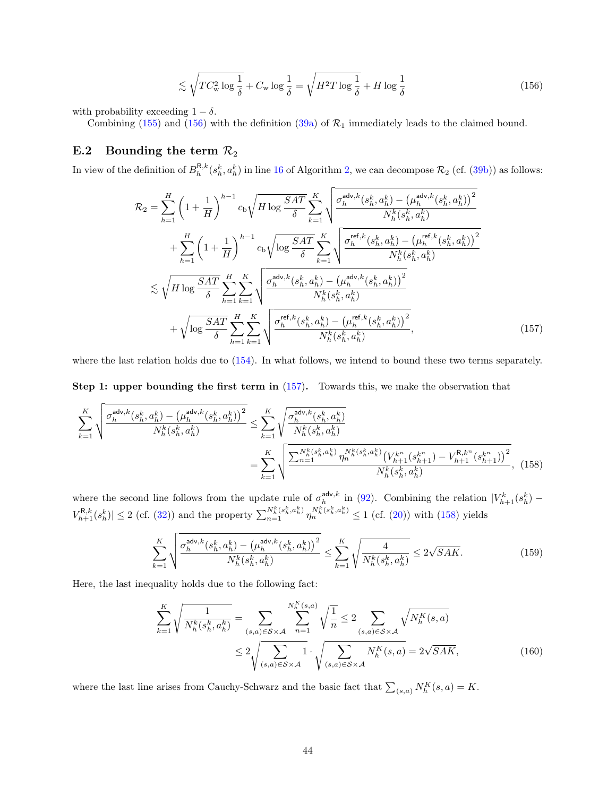<span id="page-43-1"></span>
$$
\lesssim \sqrt{TC_{\rm w}^2 \log \frac{1}{\delta}} + C_{\rm w} \log \frac{1}{\delta} = \sqrt{H^2 T \log \frac{1}{\delta}} + H \log \frac{1}{\delta}
$$
\n(156)

with probability exceeding  $1 - \delta$ .

Combining [\(155\)](#page-42-4) and [\(156\)](#page-43-1) with the definition [\(39a\)](#page-16-3) of  $\mathcal{R}_1$  immediately leads to the claimed bound.

# <span id="page-43-0"></span>E.2 Bounding the term  $\mathcal{R}_2$

In view of the definition of  $B_h^{\mathsf{R},k}(s_h^k, a_h^k)$  in line [16](#page-10-10) of Algorithm [2,](#page-10-1) we can decompose  $\mathcal{R}_2$  (cf. [\(39b\)](#page-16-4)) as follows:

<span id="page-43-2"></span>
$$
\mathcal{R}_{2} = \sum_{h=1}^{H} \left(1 + \frac{1}{H}\right)^{h-1} c_{b} \sqrt{H \log \frac{SAT}{\delta}} \sum_{k=1}^{K} \sqrt{\frac{\sigma_{h}^{\mathsf{adv},k}(s_{h}^{k}, a_{h}^{k}) - (\mu_{h}^{\mathsf{adv},k}(s_{h}^{k}, a_{h}^{k}))^{2}}{N_{h}^{k}(s_{h}^{k}, a_{h}^{k})}} + \sum_{h=1}^{H} \left(1 + \frac{1}{H}\right)^{h-1} c_{b} \sqrt{\log \frac{SAT}{\delta}} \sum_{k=1}^{K} \sqrt{\frac{\sigma_{h}^{\mathsf{ref},k}(s_{h}^{k}, a_{h}^{k}) - (\mu_{h}^{\mathsf{ref},k}(s_{h}^{k}, a_{h}^{k}))^{2}}{N_{h}^{k}(s_{h}^{k}, a_{h}^{k})}} + \sqrt{H \log \frac{SAT}{\delta}} \sum_{h=1}^{H} \sum_{k=1}^{K} \sqrt{\frac{\sigma_{h}^{\mathsf{adv},k}(s_{h}^{k}, a_{h}^{k}) - (\mu_{h}^{\mathsf{adv},k}(s_{h}^{k}, a_{h}^{k}))^{2}}{N_{h}^{k}(s_{h}^{k}, a_{h}^{k})}} + \sqrt{\log \frac{SAT}{\delta}} \sum_{h=1}^{H} \sum_{k=1}^{K} \sqrt{\frac{\sigma_{h}^{\mathsf{ref},k}(s_{h}^{k}, a_{h}^{k}) - (\mu_{h}^{\mathsf{ref},k}(s_{h}^{k}, a_{h}^{k}))^{2}}{N_{h}^{k}(s_{h}^{k}, a_{h}^{k})}}},
$$
(157)

where the last relation holds due to [\(154\)](#page-42-3). In what follows, we intend to bound these two terms separately.

### Step 1: upper bounding the first term in  $(157)$ . Towards this, we make the observation that

$$
\sum_{k=1}^{K} \sqrt{\frac{\sigma_h^{\text{adv},k}(s_h^k, a_h^k) - (\mu_h^{\text{adv},k}(s_h^k, a_h^k))^2}{N_h^k(s_h^k, a_h^k)}} \le \sum_{k=1}^{K} \sqrt{\frac{\sigma_h^{\text{adv},k}(s_h^k, a_h^k)}{N_h^k(s_h^k, a_h^k)}}
$$
\n
$$
= \sum_{k=1}^{K} \sqrt{\frac{\sum_{n=1}^{N_h^k(s_h^k, a_h^k)} \eta_n^{N_h^k(s_h^k, a_h^k)} (V_{h+1}^{k^n}(s_{h+1}^{k^n}) - V_{h+1}^{R,k^n}(s_{h+1}^{k^n}))^2}{N_h^k(s_h^k, a_h^k)}},
$$
(158)

where the second line follows from the update rule of  $\sigma_h^{\text{adv},k}$  in [\(92\)](#page-28-5). Combining the relation  $|V_{h+1}^k(s_h^k) V_{h+1}^{\mathsf{R},k}(s_h^k) \leq 2$  (cf. [\(32\)](#page-14-5)) and the property  $\sum_{n=1}^{N_h^k(s_h^k, a_h^k)} \eta_n^{N_h^k(s_h^k, a_h^k)} \leq 1$  (cf. [\(20\)](#page-11-4)) with [\(158\)](#page-43-3) yields

<span id="page-43-5"></span><span id="page-43-3"></span>
$$
\sum_{k=1}^{K} \sqrt{\frac{\sigma_h^{\text{adv},k}(s_h^k, a_h^k) - (\mu_h^{\text{adv},k}(s_h^k, a_h^k))^2}{N_h^k(s_h^k, a_h^k)}} \le \sum_{k=1}^{K} \sqrt{\frac{4}{N_h^k(s_h^k, a_h^k)}} \le 2\sqrt{SAK}.
$$
 (159)

Here, the last inequality holds due to the following fact:

<span id="page-43-4"></span>
$$
\sum_{k=1}^{K} \sqrt{\frac{1}{N_h^k(s_h^k, a_h^k)}} = \sum_{(s,a) \in S \times A} \sum_{n=1}^{N_h^K(s,a)} \sqrt{\frac{1}{n}} \le 2 \sum_{(s,a) \in S \times A} \sqrt{N_h^K(s,a)}
$$
\n
$$
\le 2 \sqrt{\sum_{(s,a) \in S \times A} 1} \cdot \sqrt{\sum_{(s,a) \in S \times A} N_h^K(s,a)} = 2\sqrt{SAK},
$$
\n(160)

where the last line arises from Cauchy-Schwarz and the basic fact that  $\sum_{(s,a)} N_h^K(s,a) = K$ .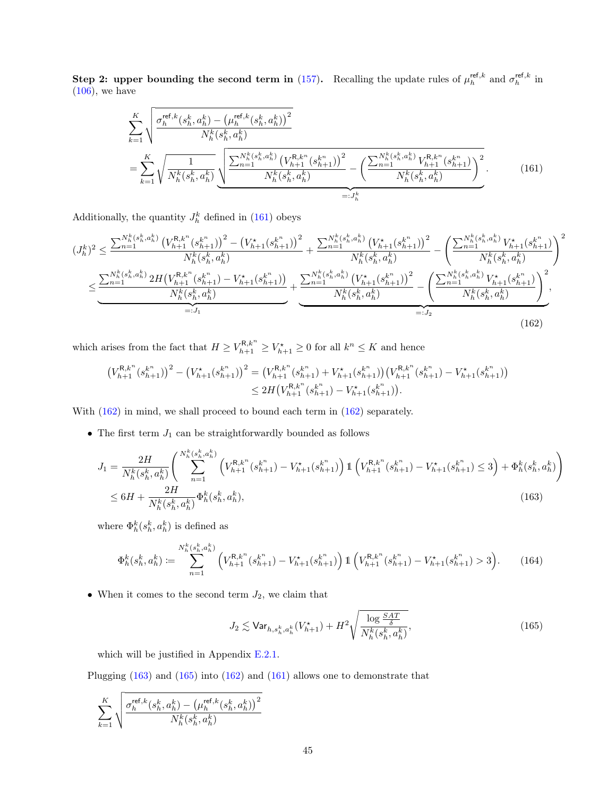Step 2: upper bounding the second term in [\(157\)](#page-43-2). Recalling the update rules of  $\mu_h^{\text{ref},k}$  and  $\sigma_h^{\text{ref},k}$  in  $(106)$ , we have

<span id="page-44-0"></span>
$$
\sum_{k=1}^{K} \sqrt{\frac{\sigma_h^{\text{ref},k}(s_h^k, a_h^k) - (\mu_h^{\text{ref},k}(s_h^k, a_h^k))^2}{N_h^k(s_h^k, a_h^k)}} = \sum_{k=1}^{K} \sqrt{\frac{1}{N_h^k(s_h^k, a_h^k)} \sqrt{\frac{\sum_{n=1}^{N_h^k(s_h^k, a_h^k)} (V_{h+1}^{R,k^n}(s_{h+1}^{k^n}))^2}{N_h^k(s_h^k, a_h^k)} - (\frac{\sum_{n=1}^{N_h^k(s_h^k, a_h^k)} V_{h+1}^{R,k^n}(s_{h+1}^{k^n})}{N_h^k(s_h^k, a_h^k)}}{\sum_{i=J_h^k}^{N_h^k(s_h^k, a_h^k)}}\right)^2}.
$$
(161)

Additionally, the quantity  $J_h^k$  defined in [\(161\)](#page-44-0) obeys

$$
(J_h^k)^2 \leq \frac{\sum_{n=1}^{N_h^k(s_h^k, a_h^k)} \left(V_{h+1}^{R,k^n}(s_{h+1}^{k^n})\right)^2 - \left(V_{h+1}^{\star}(s_{h+1}^{k^n})\right)^2}{N_h^k(s_h^k, a_h^k)} + \frac{\sum_{n=1}^{N_h^k(s_h^k, a_h^k)} \left(V_{h+1}^{\star}(s_{h+1}^{k^n})\right)^2}{N_h^k(s_h^k, a_h^k)} - \left(\frac{\sum_{n=1}^{N_h^k(s_h^k, a_h^k)} V_{h+1}^{\star}(s_h^{k^n})}{N_h^k(s_h^k, a_h^k)}\right)^2}{N_h^k(s_h^k, a_h^k)}\right)^2
$$

$$
\leq \underbrace{\frac{\sum_{n=1}^{N_h^k(s_h^k, a_h^k)} 2H\left(V_{h+1}^{R,k^n}(s_{h+1}^{k^n}) - V_{h+1}^{\star}(s_{h+1}^{k^n})\right)}{N_h^k(s_h^k, a_h^k)} + \frac{\sum_{n=1}^{N_h^k(s_h^k, a_h^k)} \left(V_{h+1}^{\star}(s_{h+1}^{k^n})\right)^2}{N_h^k(s_h^k, a_h^k)} - \left(\frac{\sum_{n=1}^{N_h^k(s_h^k, a_h^k)} V_{h+1}^{\star}(s_{h+1}^{k^n})}{N_h^k(s_h^k, a_h^k)}\right)^2}_{=:J_2},
$$
\n(162)

which arises from the fact that  $H \ge V_{h+1}^{R,k^n} \ge V_{h+1}^{\star} \ge 0$  for all  $k^n \le K$  and hence

<span id="page-44-1"></span>
$$
\begin{split} \left(V_{h+1}^{\mathsf{R},k^n}(s_{h+1}^{k^n})\right)^2 - \left(V_{h+1}^{\star}(s_{h+1}^{k^n})\right)^2 &= \left(V_{h+1}^{\mathsf{R},k^n}(s_{h+1}^{k^n}) + V_{h+1}^{\star}(s_{h+1}^{k^n})\right) \left(V_{h+1}^{\mathsf{R},k^n}(s_{h+1}^{k^n}) - V_{h+1}^{\star}(s_{h+1}^{k^n})\right) \\ &\leq 2 H\left(V_{h+1}^{\mathsf{R},k^n}(s_{h+1}^{k^n}) - V_{h+1}^{\star}(s_{h+1}^{k^n})\right). \end{split}
$$

With  $(162)$  in mind, we shall proceed to bound each term in  $(162)$  separately.

 $\bullet\,$  The first term  $J_1$  can be straightforwardly bounded as follows

$$
J_{1} = \frac{2H}{N_{h}^{k}(s_{h}^{k}, a_{h}^{k})} \left( \sum_{n=1}^{N_{h}^{k}(s_{h}^{k}, a_{h}^{k})} \left( V_{h+1}^{R, k^{n}}(s_{h+1}^{k^{n}}) - V_{h+1}^{\star}(s_{h+1}^{k^{n}}) \right) \mathbb{1} \left( V_{h+1}^{R, k^{n}}(s_{h+1}^{k^{n}}) - V_{h+1}^{\star}(s_{h+1}^{k^{n}}) \leq 3 \right) + \Phi_{h}^{k}(s_{h}^{k}, a_{h}^{k}) \right)
$$
  

$$
\leq 6H + \frac{2H}{N_{h}^{k}(s_{h}^{k}, a_{h}^{k})} \Phi_{h}^{k}(s_{h}^{k}, a_{h}^{k}),
$$
 (163)

where  $\Phi_h^k(s_h^k, a_h^k)$  is defined as

<span id="page-44-4"></span>
$$
\Phi_h^k(s_h^k, a_h^k) := \sum_{n=1}^{N_h^k(s_h^k, a_h^k)} \left( V_{h+1}^{\mathsf{R}, k^n}(s_{h+1}^{k^n}) - V_{h+1}^*(s_{h+1}^{k^n}) \right) \mathbb{1} \left( V_{h+1}^{\mathsf{R}, k^n}(s_{h+1}^{k^n}) - V_{h+1}^*(s_{h+1}^{k^n}) > 3 \right). \tag{164}
$$

• When it comes to the second term  $J_2$ , we claim that

<span id="page-44-3"></span><span id="page-44-2"></span>
$$
J_2 \lesssim \text{Var}_{h,s_h^k, a_h^k}(V_{h+1}^{\star}) + H^2 \sqrt{\frac{\log \frac{SAT}{\delta}}{N_h^k(s_h^k, a_h^k)}},\tag{165}
$$

which will be justified in Appendix [E.2.1.](#page-45-0)

Plugging [\(163\)](#page-44-2) and [\(165\)](#page-44-3) into [\(162\)](#page-44-1) and [\(161\)](#page-44-0) allows one to demonstrate that

$$
\sum_{k=1}^K\sqrt{\frac{\sigma^{ {\mathsf{ref}},k}_h(s_h^k,a_h^k)-\left(\mu_h^{\mathsf{ref},k}(s_h^k,a_h^k)\right)^2}{N_h^k(s_h^k,a_h^k)}}
$$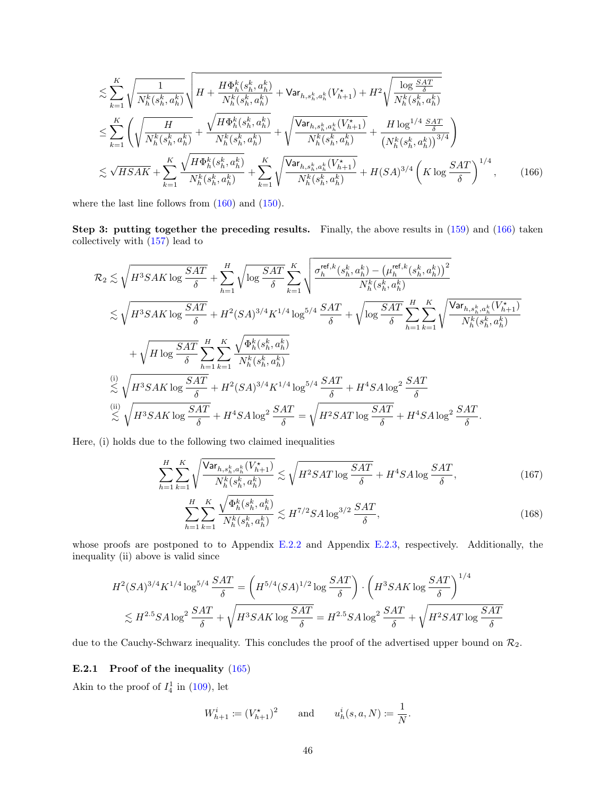<span id="page-45-1"></span>
$$
\lesssim \sum_{k=1}^{K} \sqrt{\frac{1}{N_h^k(s_h^k, a_h^k)}} \sqrt{H + \frac{H\Phi_h^k(s_h^k, a_h^k)}{N_h^k(s_h^k, a_h^k)}} + \text{Var}_{h, s_h^k, a_h^k}(V_{h+1}^*) + H^2 \sqrt{\frac{\log \frac{SAT}{\delta}}{N_h^k(s_h^k, a_h^k)}}}
$$
\n
$$
\leq \sum_{k=1}^{K} \left( \sqrt{\frac{H}{N_h^k(s_h^k, a_h^k)}} + \sqrt{\frac{H\Phi_h^k(s_h^k, a_h^k)}{N_h^k(s_h^k, a_h^k)}} + \sqrt{\frac{\text{Var}_{h, s_h^k, a_h^k}(V_{h+1}^*)}{N_h^k(s_h^k, a_h^k)}} + \frac{H\log^{1/4} \frac{SAT}{\delta}}{(N_h^k(s_h^k, a_h^k))^{3/4}}} \right)
$$
\n
$$
\lesssim \sqrt{HSAK} + \sum_{k=1}^{K} \frac{\sqrt{H\Phi_h^k(s_h^k, a_h^k)}}{N_h^k(s_h^k, a_h^k)} + \sum_{k=1}^{K} \sqrt{\frac{\text{Var}_{h, s_h^k, a_h^k}(V_{h+1}^*)}{N_h^k(s_h^k, a_h^k)}} + H(SA)^{3/4} \left( K \log \frac{SAT}{\delta} \right)^{1/4},\tag{166}
$$

where the last line follows from  $(160)$  and  $(150)$ .

Step 3: putting together the preceding results. Finally, the above results in  $(159)$  and  $(166)$  taken collectively with [\(157\)](#page-43-2) lead to

$$
\mathcal{R}_2 \lesssim \sqrt{H^3 S AK \log \frac{SAT}{\delta}} + \sum_{h=1}^H \sqrt{\log \frac{SAT}{\delta}} \sum_{k=1}^K \sqrt{\frac{\sigma_h^{\text{ref},k}(s_h^k, a_h^k) - (\mu_h^{\text{ref},k}(s_h^k, a_h^k))^2}{N_h^k(s_h^k, a_h^k)}} \\
\lesssim \sqrt{H^3 S AK \log \frac{SAT}{\delta}} + H^2(SA)^{3/4} K^{1/4} \log^{5/4} \frac{SAT}{\delta} + \sqrt{\log \frac{SAT}{\delta}} \sum_{h=1}^H \sum_{k=1}^K \sqrt{\frac{\text{Var}_{h,s_h^k,a_h^k}(V_{h+1}^*)}{N_h^k(s_h^k, a_h^k)}} \\
+ \sqrt{H \log \frac{SAT}{\delta}} \sum_{h=1}^H \sum_{k=1}^K \frac{\sqrt{\Phi_h^k(s_h^k, a_h^k)}}{N_h^k(s_h^k, a_h^k)}} \\
\lesssim \sqrt{H^3 S AK \log \frac{SAT}{\delta}} + H^2(SA)^{3/4} K^{1/4} \log^{5/4} \frac{SAT}{\delta} + H^4 S A \log^2 \frac{SAT}{\delta} \\
\lesssim \sqrt{H^3 S AK \log \frac{SAT}{\delta}} + H^4 S A \log^2 \frac{SAT}{\delta} = \sqrt{H^2 S AT \log \frac{SAT}{\delta}} + H^4 S A \log^2 \frac{SAT}{\delta}.
$$

Here, (i) holds due to the following two claimed inequalities

$$
\sum_{h=1}^{H} \sum_{k=1}^{K} \sqrt{\frac{\text{Var}_{h,s_h^k, a_h^k}(V_{h+1}^*)}{N_h^k(s_h^k, a_h^k)}} \lesssim \sqrt{H^2SAT \log \frac{SAT}{\delta}} + H^4SA \log \frac{SAT}{\delta},\tag{167}
$$

<span id="page-45-3"></span><span id="page-45-2"></span>
$$
\sum_{h=1}^{H} \sum_{k=1}^{K} \frac{\sqrt{\Phi_h^k(s_h^k, a_h^k)}}{N_h^k(s_h^k, a_h^k)} \lesssim H^{7/2} S A \log^{3/2} \frac{SAT}{\delta},\tag{168}
$$

whose proofs are postponed to to Appendix [E.2.2](#page-46-0) and Appendix [E.2.3,](#page-48-0) respectively. Additionally, the inequality (ii) above is valid since

$$
H^2(SA)^{3/4}K^{1/4}\log^{5/4}\frac{SAT}{\delta} = \left(H^{5/4}(SA)^{1/2}\log\frac{SAT}{\delta}\right)\cdot\left(H^3SAK\log\frac{SAT}{\delta}\right)^{1/4}
$$
  

$$
\lesssim H^{2.5}SA\log^2\frac{SAT}{\delta} + \sqrt{H^3SAK\log\frac{SAT}{\delta}} = H^{2.5}SA\log^2\frac{SAT}{\delta} + \sqrt{H^2SAT\log\frac{SAT}{\delta}}
$$

due to the Cauchy-Schwarz inequality. This concludes the proof of the advertised upper bound on  $\mathcal{R}_2$ .

### <span id="page-45-0"></span>E.2.1 Proof of the inequality [\(165\)](#page-44-3)

Akin to the proof of  $I_4^1$  in [\(109\)](#page-32-2), let

$$
W_{h+1}^i \coloneqq (V_{h+1}^*)^2
$$
 and  $u_h^i(s, a, N) \coloneqq \frac{1}{N}$ .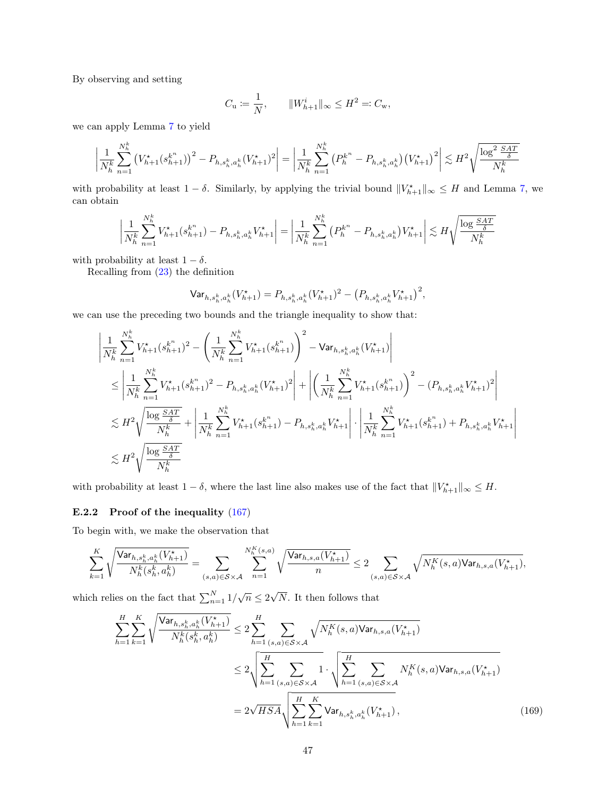By observing and setting

$$
C_{\mathbf{u}} \coloneqq \frac{1}{N}, \qquad \|W_{h+1}^i\|_{\infty} \leq H^2 =: C_{\mathbf{w}},
$$

we can apply Lemma [7](#page-18-2) to yield

$$
\left| \frac{1}{N_h^k} \sum_{n=1}^{N_h^k} \left( V_{h+1}^*(s_{h+1}^{k^n}) \right)^2 - P_{h,s_h^k,a_h^k}(V_{h+1}^*)^2 \right| = \left| \frac{1}{N_h^k} \sum_{n=1}^{N_h^k} \left( P_h^{k^n} - P_{h,s_h^k,a_h^k} \right) \left( V_{h+1}^* \right)^2 \right| \lesssim H^2 \sqrt{\frac{\log^2 \frac{SAT}{\delta}}{N_h^k}}
$$

with probability at least  $1 - \delta$ . Similarly, by applying the trivial bound  $||V^*_{h+1}||_{\infty} \leq H$  and Lemma [7,](#page-18-2) we can obtain

$$
\left| \frac{1}{N_h^k} \sum_{n=1}^{N_h^k} V_{h+1}^*(s_{h+1}^{k^n}) - P_{h,s_h^k,a_h^k} V_{h+1}^* \right| = \left| \frac{1}{N_h^k} \sum_{n=1}^{N_h^k} \left( P_h^{k^n} - P_{h,s_h^k,a_h^k} \right) V_{h+1}^* \right| \lesssim H \sqrt{\frac{\log \frac{SAT}{\delta}}{N_h^k}}
$$

with probability at least  $1 - \delta$ .

Recalling from [\(23\)](#page-13-5) the definition

$$
\text{Var}_{h,s_h^k, a_h^k}(V_{h+1}^{\star}) = P_{h,s_h^k, a_h^k}(V_{h+1}^{\star})^2 - \left(P_{h,s_h^k, a_h^k}V_{h+1}^{\star}\right)^2,
$$

we can use the preceding two bounds and the triangle inequality to show that:

$$
\begin{split} &\left|\frac{1}{N_h^k}\sum_{n=1}^{N_h^k}V_{h+1}^{\star}(s_{h+1}^{k^n})^2 - \left(\frac{1}{N_h^k}\sum_{n=1}^{N_h^k}V_{h+1}^{\star}(s_{h+1}^{k^n})\right)^2 - \text{Var}_{h,s_h^k,a_h^k}(V_{h+1}^{\star})\right| \\ &\leq \left|\frac{1}{N_h^k}\sum_{n=1}^{N_h^k}V_{h+1}^{\star}(s_{h+1}^{k^n})^2 - P_{h,s_h^k,a_h^k}(V_{h+1}^{\star})^2\right| + \left|\left(\frac{1}{N_h^k}\sum_{n=1}^{N_h^k}V_{h+1}^{\star}(s_{h+1}^{k^n})\right)^2 - (P_{h,s_h^k,a_h^k}V_{h+1}^{\star})^2\right| \\ &\lesssim H^2 \sqrt{\frac{\log{\frac{SAT}{\delta}}}{N_h^k}} + \left|\frac{1}{N_h^k}\sum_{n=1}^{N_h^k}V_{h+1}^{\star}(s_{h+1}^{k^n}) - P_{h,s_h^k,a_h^k}V_{h+1}^{\star}\right| \cdot \left|\frac{1}{N_h^k}\sum_{n=1}^{N_h^k}V_{h+1}^{\star}(s_{h+1}^{k^n}) + P_{h,s_h^k,a_h^k}V_{h+1}^{\star}\right| \\ &\lesssim H^2 \sqrt{\frac{\log{\frac{SAT}{\delta}}}{N_h^k}} \end{split}
$$

with probability at least  $1 - \delta$ , where the last line also makes use of the fact that  $||V_{h+1}^{\star}||_{\infty} \leq H$ .

#### <span id="page-46-0"></span>E.2.2 Proof of the inequality  $(167)$

To begin with, we make the observation that

$$
\sum_{k=1}^K \sqrt{\frac{\textsf{Var}_{h,s_h^k,a_h^k}(V^\star_{h+1})}{N^k_h(s_h^k,a_h^k)}}=\sum_{(s,a)\in\mathcal{S}\times\mathcal{A}}\sum_{n=1}^{N^K_h(s,a)}\sqrt{\frac{\textsf{Var}_{h,s,a}(V^\star_{h+1})}{n}}\leq 2\sum_{(s,a)\in\mathcal{S}\times\mathcal{A}}\sqrt{N^K_h(s,a)\textsf{Var}_{h,s,a}(V^\star_{h+1})},
$$

which relies on the fact that  $\sum_{n=1}^{N} 1/\sqrt{n} \leq 2$ √ N. It then follows that

<span id="page-46-1"></span>
$$
\sum_{h=1}^{H} \sum_{k=1}^{K} \sqrt{\frac{\text{Var}_{h,s_h^k,a_h^k}(V_{h+1}^*)}{N_h^k(s_h^k,a_h^k)}} \le 2 \sum_{h=1}^{H} \sum_{(s,a) \in S \times \mathcal{A}} \sqrt{N_h^K(s,a) \text{Var}_{h,s,a}(V_{h+1}^*)}
$$
\n
$$
\le 2 \sqrt{\sum_{h=1}^{H} \sum_{(s,a) \in S \times \mathcal{A}} 1} \cdot \sqrt{\sum_{h=1}^{H} \sum_{(s,a) \in S \times \mathcal{A}} N_h^K(s,a) \text{Var}_{h,s,a}(V_{h+1}^*)}
$$
\n
$$
= 2 \sqrt{HSA} \sqrt{\sum_{h=1}^{H} \sum_{k=1}^{K} \text{Var}_{h,s_h^k,a_h^k}(V_{h+1}^*)}, \qquad (169)
$$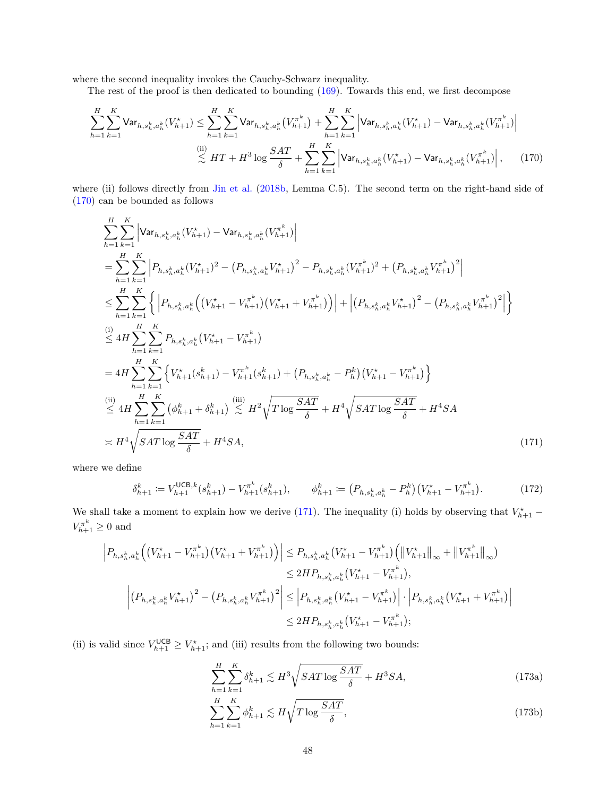where the second inequality invokes the Cauchy-Schwarz inequality.

The rest of the proof is then dedicated to bounding  $(169)$ . Towards this end, we first decompose

$$
\sum_{h=1}^{H} \sum_{k=1}^{K} \text{Var}_{h,s_h^k, a_h^k}(V_{h+1}^*) \leq \sum_{h=1}^{H} \sum_{k=1}^{K} \text{Var}_{h,s_h^k, a_h^k}(V_{h+1}^*) + \sum_{h=1}^{H} \sum_{k=1}^{K} \left| \text{Var}_{h,s_h^k, a_h^k}(V_{h+1}^*) - \text{Var}_{h,s_h^k, a_h^k}(V_{h+1}^*) \right|
$$
  

$$
\lesssim H T + H^3 \log \frac{SAT}{\delta} + \sum_{h=1}^{H} \sum_{k=1}^{K} \left| \text{Var}_{h,s_h^k, a_h^k}(V_{h+1}^*) - \text{Var}_{h,s_h^k, a_h^k}(V_{h+1}^*) \right|, \tag{170}
$$

where (ii) follows directly from [Jin et al.](#page-57-20) [\(2018b,](#page-57-20) Lemma C.5). The second term on the right-hand side of [\(170\)](#page-47-0) can be bounded as follows

<span id="page-47-0"></span>
$$
\sum_{h=1}^{H} \sum_{k=1}^{K} \left| \text{Var}_{h,s_h^k,a_h^k}(V_{h+1}^*) - \text{Var}_{h,s_h^k,a_h^k}(V_{h+1}^{\pi^k}) \right|
$$
\n
$$
= \sum_{h=1}^{H} \sum_{k=1}^{K} \left| P_{h,s_h^k,a_h^k}(V_{h+1}^*)^2 - (P_{h,s_h^k,a_h^k}V_{h+1}^*)^2 - P_{h,s_h^k,a_h^k}(V_{h+1}^{\pi^k})^2 + (P_{h,s_h^k,a_h^k}V_{h+1}^{\pi^k})^2 \right|
$$
\n
$$
\leq \sum_{h=1}^{H} \sum_{k=1}^{K} \left\{ \left| P_{h,s_h^k,a_h^k} \left( (V_{h+1}^* - V_{h+1}^{\pi^k}) (V_{h+1}^* + V_{h+1}^{\pi^k}) \right) \right| + \left| (P_{h,s_h^k,a_h^k}V_{h+1}^*)^2 - (P_{h,s_h^k,a_h^k}V_{h+1}^{\pi^k})^2 \right| \right\}
$$
\n
$$
\leq 4H \sum_{h=1}^{H} \sum_{k=1}^{K} P_{h,s_h^k,a_h^k}(V_{h+1}^* - V_{h+1}^{\pi^k})
$$
\n
$$
= 4H \sum_{h=1}^{H} \sum_{k=1}^{K} \left\{ V_{h+1}^*(s_{h+1}^k) - V_{h+1}^{\pi^k}(s_{h+1}^k) + (P_{h,s_h^k,a_h^k} - P_h^k)(V_{h+1}^* - V_{h+1}^{\pi^k}) \right\}
$$
\n
$$
\leq 4H \sum_{h=1}^{H} \sum_{k=1}^{K} (\phi_{h+1}^k + \delta_{h+1}^k) \leq H^2 \sqrt{T \log \frac{SAT}{\delta}} + H^4 \sqrt{SAT \log \frac{SAT}{\delta}} + H^4 SA
$$
\n
$$
\times H^4 \sqrt{SAT \log \frac{SAT}{\delta}} + H^4 SA
$$
\n(171)

where we define

$$
\delta_{h+1}^k := V_{h+1}^{\mathsf{UCB},k}(s_{h+1}^k) - V_{h+1}^{\pi^k}(s_{h+1}^k), \qquad \phi_{h+1}^k := \left(P_{h,s_h^k,a_h^k} - P_h^k\right)\left(V_{h+1}^\star - V_{h+1}^{\pi^k}\right). \tag{172}
$$

We shall take a moment to explain how we derive [\(171\)](#page-47-1). The inequality (i) holds by observing that  $V^*_{h+1}$  –  $V_{h+1}^{\pi^k} \geq 0$  and

$$
\left| P_{h,s_h^k, a_h^k} \left( \left( V_{h+1}^{\star} - V_{h+1}^{\pi^k} \right) \left( V_{h+1}^{\star} + V_{h+1}^{\pi^k} \right) \right) \right| \leq P_{h,s_h^k, a_h^k} \left( V_{h+1}^{\star} - V_{h+1}^{\pi^k} \right) \left( \left\| V_{h+1}^{\star} \right\|_{\infty} + \left\| V_{h+1}^{\pi^k} \right\|_{\infty} \right)
$$
  
\n
$$
\leq 2H P_{h,s_h^k, a_h^k} \left( V_{h+1}^{\star} - V_{h+1}^{\pi^k} \right),
$$
  
\n
$$
\left| \left( P_{h,s_h^k, a_h^k} V_{h+1}^{\star} \right)^2 - \left( P_{h,s_h^k, a_h^k} V_{h+1}^{\pi^k} \right)^2 \right| \leq \left| P_{h,s_h^k, a_h^k} \left( V_{h+1}^{\star} - V_{h+1}^{\pi^k} \right) \right| \cdot \left| P_{h,s_h^k, a_h^k} \left( V_{h+1}^{\star} + V_{h+1}^{\pi^k} \right) \right|
$$
  
\n
$$
\leq 2H P_{h,s_h^k, a_h^k} \left( V_{h+1}^{\star} - V_{h+1}^{\pi^k} \right);
$$

(ii) is valid since  $V_{h+1}^{\text{UCB}} \geq V_{h+1}^*$ ; and (iii) results from the following two bounds:

<span id="page-47-2"></span><span id="page-47-1"></span>
$$
\sum_{h=1}^{H} \sum_{k=1}^{K} \delta_{h+1}^{k} \lesssim H^{3} \sqrt{SAT \log \frac{SAT}{\delta}} + H^{3} SA,
$$
\n(173a)

$$
\sum_{h=1}^{H} \sum_{k=1}^{K} \phi_{h+1}^{k} \lesssim H \sqrt{T \log \frac{SAT}{\delta}},\tag{173b}
$$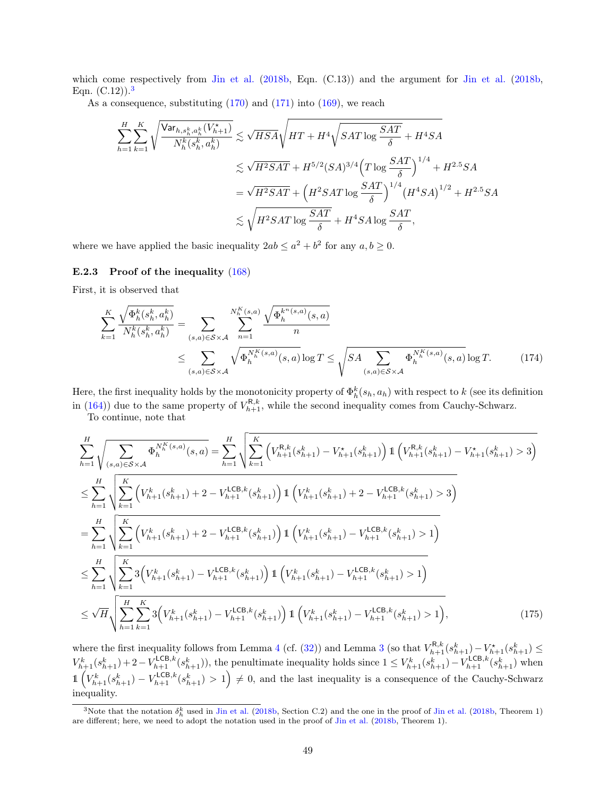which come respectively from [Jin et al.](#page-57-20) [\(2018b,](#page-57-20) Eqn. (C.13)) and the argument for Jin et al. (2018b, Eqn.  $(C.12)$ .<sup>[3](#page-48-1)</sup>

As a consequence, substituting  $(170)$  and  $(171)$  into  $(169)$ , we reach

$$
\sum_{h=1}^{H} \sum_{k=1}^{K} \sqrt{\frac{\text{Var}_{h, s_h^k, a_h^k}(V_{h+1}^{\star})}{N_h^k(s_h^k, a_h^k)}} \lesssim \sqrt{HSA} \sqrt{HT + H^4 \sqrt{SAT \log \frac{SAT}{\delta}} + H^4 SA}
$$
  

$$
\lesssim \sqrt{H^2SAT} + H^{5/2} (SA)^{3/4} \left( T \log \frac{SAT}{\delta} \right)^{1/4} + H^{2.5} SA
$$
  

$$
= \sqrt{H^2SAT} + \left( H^2 SAT \log \frac{SAT}{\delta} \right)^{1/4} (H^4 SA)^{1/2} + H^{2.5} SA
$$
  

$$
\lesssim \sqrt{H^2 SAT \log \frac{SAT}{\delta}} + H^4 SA \log \frac{SAT}{\delta},
$$

where we have applied the basic inequality  $2ab \le a^2 + b^2$  for any  $a, b \ge 0$ .

### <span id="page-48-0"></span>E.2.3 Proof of the inequality [\(168\)](#page-45-3)

First, it is observed that

<span id="page-48-2"></span>
$$
\sum_{k=1}^{K} \frac{\sqrt{\Phi_h^k(s_h^k, a_h^k)}}{N_h^k(s_h^k, a_h^k)} = \sum_{(s,a) \in S \times \mathcal{A}} \sum_{n=1}^{N_h^K(s,a)} \frac{\sqrt{\Phi_h^{k^n(s,a)}(s,a)}}{n} \leq \sum_{(s,a) \in S \times \mathcal{A}} \sqrt{\Phi_h^{N_h^K(s,a)}(s,a)} \log T \leq \sqrt{SA \sum_{(s,a) \in S \times \mathcal{A}} \Phi_h^{N_h^K(s,a)}(s,a)} \log T. \tag{174}
$$

Here, the first inequality holds by the monotonicity property of  $\Phi_h^k(s_h, a_h)$  with respect to k (see its definition in [\(164\)](#page-44-4)) due to the same property of  $V_{h+1}^{\mathsf{R},k}$ , while the second inequality comes from Cauchy-Schwarz.

To continue, note that

$$
\sum_{h=1}^{H} \sqrt{\sum_{(s,a)\in S\times\mathcal{A}} \Phi_{h}^{N_{h}^{K}(s,a)}(s,a)} = \sum_{h=1}^{H} \sqrt{\sum_{k=1}^{K} \left(V_{h+1}^{R,k}(s_{h+1}^{k}) - V_{h+1}^{*}(s_{h+1}^{k})\right) \mathbb{1}\left(V_{h+1}^{R,k}(s_{h+1}^{k}) - V_{h+1}^{*}(s_{h+1}^{k}) > 3\right)}
$$
\n
$$
\leq \sum_{h=1}^{H} \sqrt{\sum_{k=1}^{K} \left(V_{h+1}^{k}(s_{h+1}^{k}) + 2 - V_{h+1}^{LCB,k}(s_{h+1}^{k})\right) \mathbb{1}\left(V_{h+1}^{k}(s_{h+1}^{k}) + 2 - V_{h+1}^{LCB,k}(s_{h+1}^{k}) > 3\right)}
$$
\n
$$
= \sum_{h=1}^{H} \sqrt{\sum_{k=1}^{K} \left(V_{h+1}^{k}(s_{h+1}^{k}) + 2 - V_{h+1}^{LCB,k}(s_{h+1}^{k})\right) \mathbb{1}\left(V_{h+1}^{k}(s_{h+1}^{k}) - V_{h+1}^{LCB,k}(s_{h+1}^{k}) > 1\right)}
$$
\n
$$
\leq \sum_{h=1}^{H} \sqrt{\sum_{k=1}^{K} \mathbb{3}\left(V_{h+1}^{k}(s_{h+1}^{k}) - V_{h+1}^{LCB,k}(s_{h+1}^{k})\right) \mathbb{1}\left(V_{h+1}^{k}(s_{h+1}^{k}) - V_{h+1}^{LCB,k}(s_{h+1}^{k}) > 1\right)}
$$
\n
$$
\leq \sqrt{H} \sqrt{\sum_{h=1}^{H} \sum_{k=1}^{K} \mathbb{3}\left(V_{h+1}^{k}(s_{h+1}^{k}) - V_{h+1}^{LCB,k}(s_{h+1}^{k})\right) \mathbb{1}\left(V_{h+1}^{k}(s_{h+1}^{k}) - V_{h+1}^{LCB,k}(s_{h+1}^{k}) > 1\right)},\tag{175}
$$

where the first inequality follows from Lemma [4](#page-14-2) (cf. [\(32\)](#page-14-5)) and Lemma [3](#page-14-1) (so that  $V_{h+1}^{R,k}(s_{h+1}^k) - V_{h+1}^*(s_{h+1}^k) \le$  $V_{h+1}^k(s_{h+1}^k) + 2 - V_{h+1}^{\text{LCB},k}(s_{h+1}^k)$ , the penultimate inequality holds since  $1 \leq V_{h+1}^k(s_{h+1}^k) - V_{h+1}^{\text{LCB},k}(s_{h+1}^k)$  when  $\mathbb{1}\left(V_{h+1}^k(s_{h+1}^k) - V_{h+1}^{\text{LCB},k}(s_{h+1}^k) > 1\right) \neq 0$ , and the last inequality is a consequence of the Cauchy-Schwarz inequality.

<span id="page-48-1"></span><sup>&</sup>lt;sup>3</sup>Note that the notation  $\delta_h^k$  used in [Jin et al.](#page-57-20) [\(2018b,](#page-57-20) Section C.2) and the one in the proof of Jin et al. (2018b, Theorem 1) are different; here, we need to adopt the notation used in the proof of [Jin et al.](#page-57-20) [\(2018b,](#page-57-20) Theorem 1).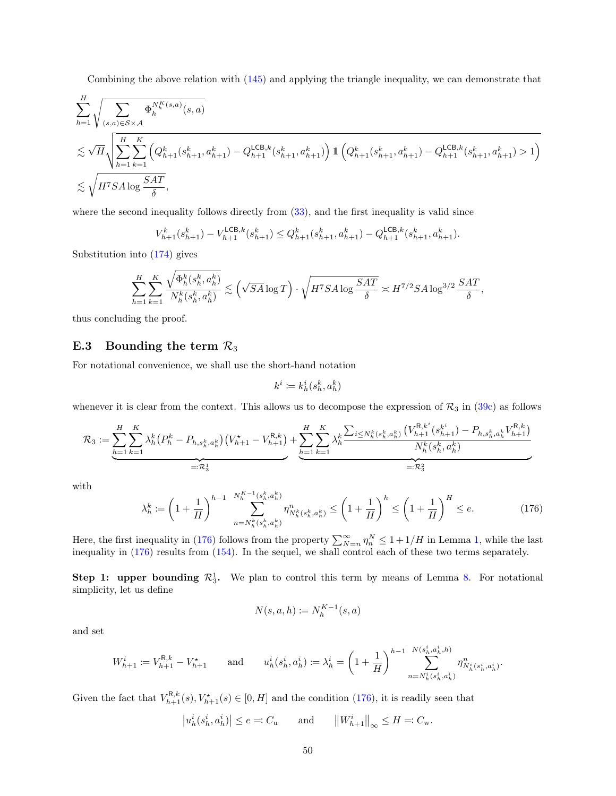Combining the above relation with [\(145\)](#page-39-0) and applying the triangle inequality, we can demonstrate that

$$
\begin{split} & \sum_{h=1}^{H} \sqrt{\sum_{(s,a) \in \mathcal{S} \times \mathcal{A}} \Phi^{{N_{h}^{K}}(s,a)}_{h}(s,a)} \\ & \lesssim \sqrt{H} \sqrt{\sum_{h=1}^{H} \sum_{k=1}^{K} \left(Q_{h+1}^{k}(s_{h+1}^{k}, a_{h+1}^{k}) - Q_{h+1}^{\mathsf{LCB},k}(s_{h+1}^{k}, a_{h+1}^{k})\right) \mathbbm{1} \left(Q_{h+1}^{k}(s_{h+1}^{k}, a_{h+1}^{k}) - Q_{h+1}^{\mathsf{LCB},k}(s_{h+1}^{k}, a_{h+1}^{k}) > 1\right)} \\ & \lesssim \sqrt{H^{\gamma} S A \log \frac{SAT}{\delta}}, \end{split}
$$

where the second inequality follows directly from  $(33)$ , and the first inequality is valid since

$$
V_{h+1}^k(s_{h+1}^k) - V_{h+1}^{\mathsf{LCB},k}(s_{h+1}^k) \leq Q_{h+1}^k(s_{h+1}^k, a_{h+1}^k) - Q_{h+1}^{\mathsf{LCB},k}(s_{h+1}^k, a_{h+1}^k).
$$

Substitution into [\(174\)](#page-48-2) gives

$$
\sum_{h=1}^H \sum_{k=1}^K \frac{\sqrt{\Phi^k_h(s^k_h,a^k_h)}}{N^k_h(s^k_h,a^k_h)} \lesssim \Big(\sqrt{SA}\log T\Big) \cdot \sqrt{H^7SA\log\frac{SAT}{\delta}} \asymp H^{7/2}SA\log^{3/2}\frac{SAT}{\delta},
$$

thus concluding the proof.

# <span id="page-49-0"></span>E.3 Bounding the term  $\mathcal{R}_3$

For notational convenience, we shall use the short-hand notation

$$
k^i \coloneqq k^i_h(s^k_h,a^k_h)
$$

whenever it is clear from the context. This allows us to decompose the expression of  $\mathcal{R}_3$  in [\(39c\)](#page-16-5) as follows

$$
\mathcal{R}_3 := \underbrace{\sum_{h=1}^H \sum_{k=1}^K \lambda_h^k \big( P_h^k - P_{h, s_h^k, a_h^k} \big) \big( V_{h+1}^\star - V_{h+1}^{R,k} \big) + \underbrace{\sum_{h=1}^H \sum_{k=1}^K \lambda_h^k \frac{\sum_{i \le N_h^k (s_h^k, a_h^k)} \big( V_{h+1}^{R,k^i} (s_{h+1}^{k^i}) - P_{h, s_h^k, a_h^k} V_{h+1}^{R,k} \big)}{N_h^k (s_h^k, a_h^k)}
$$
\n
$$
= \mathcal{R}_3^1
$$

with

<span id="page-49-1"></span>
$$
\lambda_h^k := \left(1 + \frac{1}{H}\right)^{h-1} \sum_{n=N_h^k(s_h^k, a_h^k)}^{N_h^{K-1}(s_h^k, a_h^k)} \eta_{N_h^k(s_h^k, a_h^k)}^n \le \left(1 + \frac{1}{H}\right)^h \le \left(1 + \frac{1}{H}\right)^H \le e. \tag{176}
$$

Here, the first inequality in [\(176\)](#page-49-1) follows from the property  $\sum_{N=n}^{\infty} \eta_n^N \leq 1 + 1/H$  in Lemma [1,](#page-12-1) while the last inequality in [\(176\)](#page-49-1) results from [\(154\)](#page-42-3). In the sequel, we shall control each of these two terms separately.

**Step 1: upper bounding**  $\mathcal{R}_3^1$ . We plan to control this term by means of Lemma [8.](#page-19-0) For notational simplicity, let us define

$$
N(s, a, h) \coloneqq N_h^{K-1}(s, a)
$$

and set

$$
W^i_{h+1} \coloneqq V^{ \mathsf{R},k}_{h+1} - V^\star_{h+1} \qquad \text{and} \qquad u^i_h(s^i_h,a^i_h) \coloneqq \lambda^i_h = \left(1+\frac{1}{H}\right)^{h-1} \sum_{n=N^i_h(s^i_h,a^i_h)}^{N(s^i_h,a^i_h,h)} \eta^n_{N^i_h(s^i_h,a^i_h)}.
$$

Given the fact that  $V_{h+1}^{R,k}(s), V_{h+1}^*(s) \in [0, H]$  and the condition [\(176\)](#page-49-1), it is readily seen that

$$
|u_h^i(s_h^i, a_h^i)| \le e =: C_u
$$
 and  $||W_{h+1}^i||_{\infty} \le H =: C_w$ .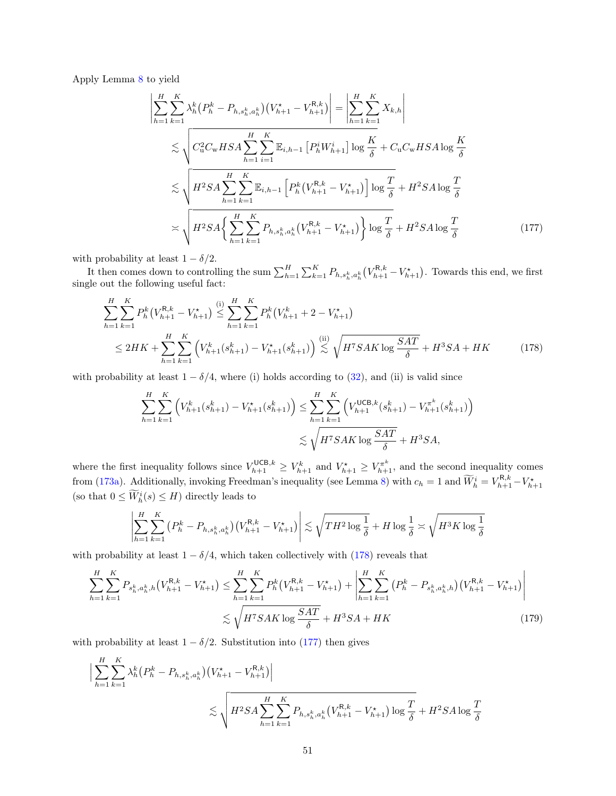Apply Lemma [8](#page-19-0) to yield

<span id="page-50-1"></span>
$$
\left| \sum_{h=1}^{H} \sum_{k=1}^{K} \lambda_{h}^{k} (P_{h}^{k} - P_{h,s_{h}^{k},a_{h}^{k}}) (V_{h+1}^{*} - V_{h+1}^{R,k}) \right| = \left| \sum_{h=1}^{H} \sum_{k=1}^{K} X_{k,h} \right|
$$
  
\n
$$
\lesssim \sqrt{C_{u}^{2} C_{w} H S A \sum_{h=1}^{H} \sum_{i=1}^{K} \mathbb{E}_{i,h-1} [P_{h}^{i} W_{h+1}^{i}] \log \frac{K}{\delta} + C_{u} C_{w} H S A \log \frac{K}{\delta}}
$$
  
\n
$$
\lesssim \sqrt{H^{2} S A \sum_{h=1}^{H} \sum_{k=1}^{K} \mathbb{E}_{i,h-1} [P_{h}^{k} (V_{h+1}^{R,k} - V_{h+1}^{*})] \log \frac{T}{\delta} + H^{2} S A \log \frac{T}{\delta}}
$$
  
\n
$$
\asymp \sqrt{H^{2} S A \left\{ \sum_{h=1}^{H} \sum_{k=1}^{K} P_{h,s_{h}^{k},a_{h}^{k}} (V_{h+1}^{R,k} - V_{h+1}^{*}) \right\} \log \frac{T}{\delta} + H^{2} S A \log \frac{T}{\delta}}
$$
(177)

with probability at least  $1 - \delta/2$ .

 $\overline{\phantom{a}}$  $\overline{\phantom{a}}$  $\overline{\phantom{a}}$ 

It then comes down to controlling the sum  $\sum_{h=1}^{H} \sum_{k=1}^{K} P_{h,s_h^k,a_h^k}(V_{h+1}^{R,k} - V_{h+1}^*)$ . Towards this end, we first single out the following useful fact:

$$
\sum_{h=1}^{H} \sum_{k=1}^{K} P_h^k (V_{h+1}^{R,k} - V_{h+1}^*) \stackrel{\text{(i)}}{\leq} \sum_{h=1}^{H} \sum_{k=1}^{K} P_h^k (V_{h+1}^k + 2 - V_{h+1}^*)
$$
\n
$$
\leq 2HK + \sum_{h=1}^{H} \sum_{k=1}^{K} \left( V_{h+1}^k (s_{h+1}^k) - V_{h+1}^*(s_{h+1}^k) \right) \stackrel{\text{(ii)}}{\leq} \sqrt{H^7 S A K \log \frac{S A T}{\delta}} + H^3 S A + HK \tag{178}
$$

with probability at least  $1 - \delta/4$ , where (i) holds according to [\(32\)](#page-14-5), and (ii) is valid since

<span id="page-50-0"></span>
$$
\sum_{h=1}^{H} \sum_{k=1}^{K} \left( V_{h+1}^{k}(s_{h+1}^{k}) - V_{h+1}^{*}(s_{h+1}^{k}) \right) \leq \sum_{h=1}^{H} \sum_{k=1}^{K} \left( V_{h+1}^{\text{UCB},k}(s_{h+1}^{k}) - V_{h+1}^{\pi^{k}}(s_{h+1}^{k}) \right)
$$
  

$$
\lesssim \sqrt{H^{\tau} S A K \log \frac{S A T}{\delta}} + H^{3} S A,
$$

where the first inequality follows since  $V_{h+1}^{\text{UCB},k} \geq V_{h+1}^k$  and  $V_{h+1}^* \geq V_{h+1}^{\pi^k}$ , and the second inequality comes from [\(173a\)](#page-47-2). Additionally, invoking Freedman's inequality (see Lemma [8\)](#page-19-0) with  $c_h = 1$  and  $\widetilde{W}_h^i = V_{h+1}^{R,k} - V_{h+1}^*$ (so that  $0 \leq \widetilde{W}_h^i(s) \leq H$ ) directly leads to

<span id="page-50-2"></span>
$$
\left|\sum_{h=1}^H \sum_{k=1}^K \left(P_h^k - P_{h,s_h^k,a_h^k}\right) \left(V_{h+1}^{\mathsf{R},k} - V_{h+1}^\star\right)\right| \lesssim \sqrt{TH^2 \log \frac{1}{\delta}} + H \log \frac{1}{\delta} \asymp \sqrt{H^3 K \log \frac{1}{\delta}}
$$

with probability at least  $1 - \delta/4$ , which taken collectively with [\(178\)](#page-50-0) reveals that

$$
\sum_{h=1}^{H} \sum_{k=1}^{K} P_{s_h^k, a_h^k, h} (V_{h+1}^{R,k} - V_{h+1}^*) \le \sum_{h=1}^{H} \sum_{k=1}^{K} P_h^k (V_{h+1}^{R,k} - V_{h+1}^*) + \left| \sum_{h=1}^{H} \sum_{k=1}^{K} (P_h^k - P_{s_h^k, a_h^k, h}) (V_{h+1}^{R,k} - V_{h+1}^*) \right|
$$
  

$$
\lesssim \sqrt{H^7 S A K \log \frac{S A T}{\delta}} + H^3 S A + H K
$$
 (179)

with probability at least  $1 - \delta/2$ . Substitution into [\(177\)](#page-50-1) then gives

$$
\sum_{h=1}^{H} \sum_{k=1}^{K} \lambda_h^k (P_h^k - P_{h,s_h^k,a_h^k}) (V_{h+1}^{\star} - V_{h+1}^{R,k})
$$
\n
$$
\lesssim \sqrt{H^2 S A \sum_{h=1}^{H} \sum_{k=1}^{K} P_{h,s_h^k,a_h^k} (V_{h+1}^{R,k} - V_{h+1}^{\star}) \log \frac{T}{\delta}} + H^2 S A \log \frac{T}{\delta}
$$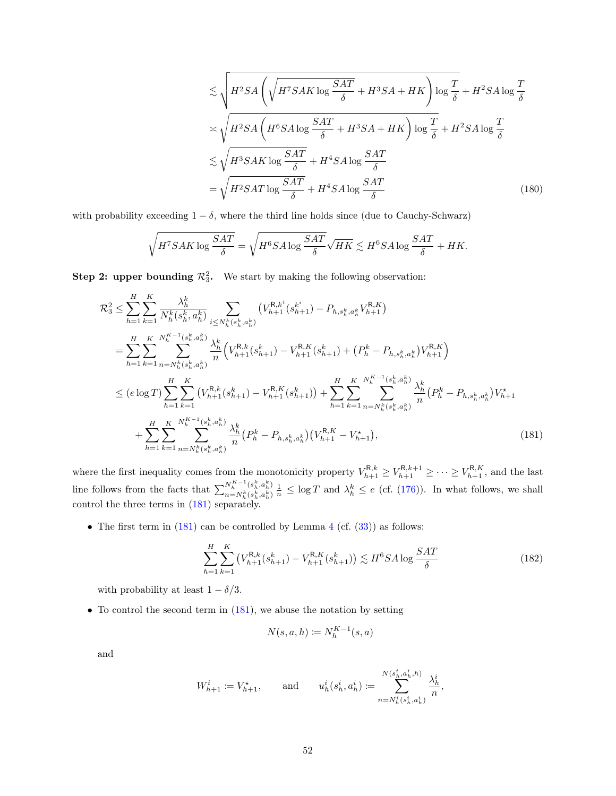<span id="page-51-2"></span>
$$
\lesssim \sqrt{H^2 SA \left( \sqrt{H^7 SA K \log \frac{SAT}{\delta}} + H^3 SA + HK \right) \log \frac{T}{\delta} + H^2 SA \log \frac{T}{\delta}}
$$

$$
\asymp \sqrt{H^2 SA \left( H^6 SA \log \frac{SAT}{\delta} + H^3 SA + HK \right) \log \frac{T}{\delta} + H^2 SA \log \frac{T}{\delta}}
$$

$$
\lesssim \sqrt{H^3 SA K \log \frac{SAT}{\delta}} + H^4 SA \log \frac{SAT}{\delta}
$$

$$
= \sqrt{H^2 SA T \log \frac{SAT}{\delta}} + H^4 SA \log \frac{SAT}{\delta}
$$
(180)

with probability exceeding  $1 - \delta$ , where the third line holds since (due to Cauchy-Schwarz)

$$
\sqrt{H^7SAK \log \frac{SAT}{\delta}} = \sqrt{H^6SA \log \frac{SAT}{\delta}} \sqrt{HK} \lesssim H^6SA \log \frac{SAT}{\delta} + HK.
$$

**Step 2: upper bounding**  $\mathcal{R}_3^2$ . We start by making the following observation:

$$
\mathcal{R}_{3}^{2} \leq \sum_{h=1}^{H} \sum_{k=1}^{K} \frac{\lambda_{h}^{k}}{N_{h}^{k}(s_{h}^{k}, a_{h}^{k})} \sum_{i \leq N_{h}^{k}(s_{h}^{k}, a_{h}^{k})} \left( V_{h+1}^{R, k^{i}}(s_{h+1}^{k^{i}}) - P_{h, s_{h}^{k}, a_{h}^{k}} V_{h+1}^{R, K} \right)
$$
\n
$$
= \sum_{h=1}^{H} \sum_{k=1}^{K} \sum_{n=N_{h}^{k}(s_{h}^{k}, a_{h}^{k})} \frac{\lambda_{h}^{k}}{n} \left( V_{h+1}^{R, k}(s_{h+1}^{k}) - V_{h+1}^{R, K}(s_{h+1}^{k}) + \left( P_{h}^{k} - P_{h, s_{h}^{k}, a_{h}^{k}} \right) V_{h+1}^{R, K} \right)
$$
\n
$$
\leq (e \log T) \sum_{h=1}^{H} \sum_{k=1}^{K} \left( V_{h+1}^{R, k}(s_{h+1}^{k}) - V_{h+1}^{R, K}(s_{h+1}^{k}) \right) + \sum_{h=1}^{H} \sum_{k=1}^{K} \sum_{n=N_{h}^{k}(s_{h}^{k}, a_{h}^{k})} \frac{\lambda_{h}^{k}}{n} \left( P_{h}^{k} - P_{h, s_{h}^{k}, a_{h}^{k}} \right) V_{h+1}^{*}
$$
\n
$$
+ \sum_{h=1}^{H} \sum_{k=1}^{K} \sum_{n=N_{h}^{k}(s_{h}^{k}, a_{h}^{k})} \frac{\lambda_{h}^{k}}{n} \left( P_{h}^{k} - P_{h, s_{h}^{k}, a_{h}^{k}} \right) \left( V_{h+1}^{R, K} - V_{h+1}^{*} \right), \tag{181}
$$

where the first inequality comes from the monotonicity property  $V_{h+1}^{\mathsf{R},k} \geq V_{h+1}^{\mathsf{R},k+1} \geq \cdots \geq V_{h+1}^{\mathsf{R},K}$ , and the last line follows from the facts that  $\sum_{n=Nk}^{N_{h}^{K}-1} (s_{h}^{k}, a_{h}^{k})$  $\frac{N_h^{s-1}(s_h^n,a_h^n)}{n=N_h^k(s_h^k,a_h^k)}\frac{1}{n} \leq \log T$  and  $\lambda_h^k \leq e$  (cf. [\(176\)](#page-49-1)). In what follows, we shall control the three terms in [\(181\)](#page-51-0) separately.

• The first term in  $(181)$  can be controlled by Lemma [4](#page-14-2) (cf.  $(33)$ ) as follows:

<span id="page-51-1"></span>
$$
\sum_{h=1}^{H} \sum_{k=1}^{K} \left( V_{h+1}^{\mathcal{R},k}(s_{h+1}^k) - V_{h+1}^{\mathcal{R},K}(s_{h+1}^k) \right) \lesssim H^6 S A \log \frac{SAT}{\delta} \tag{182}
$$

with probability at least  $1 - \delta/3$ .

• To control the second term in  $(181)$ , we abuse the notation by setting

<span id="page-51-0"></span>
$$
N(s, a, h) \coloneqq N_h^{K-1}(s, a)
$$

and

$$
W^i_{h+1}\coloneqq V^\star_{h+1},\qquad\text{and}\qquad u^i_h(s^i_h,a^i_h)\coloneqq\sum_{n=N^i_h(s^i_h,a^i_h)}^{N(s^i_h,a^i_h,h)}\frac{\lambda^i_h}{n},
$$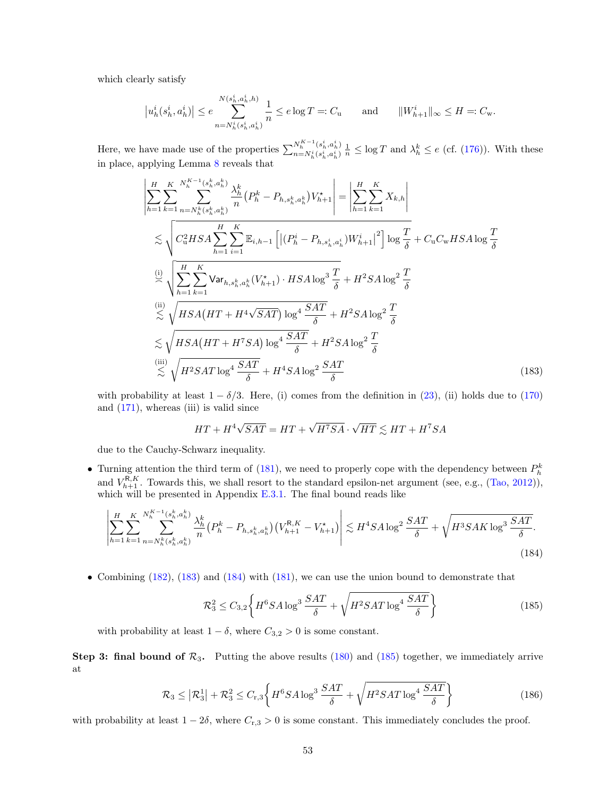which clearly satisfy

$$
\left|u_h^i(s_h^i, a_h^i)\right| \le e \sum_{n=N_h^i(s_h^i, a_h^i)}^{N(s_h^i, a_h^i, h)} \frac{1}{n} \le e \log T =: C_{\mathbf{u}} \quad \text{and} \quad \|W_{h+1}^i\|_{\infty} \le H =: C_{\mathbf{w}}.
$$

Here, we have made use of the properties  $\sum_{n=N}^{N_h^{K-1}(s_h^i, a_h^i)}$  $\frac{N_h^{s-1}(s_h^i, a_h^i)}{n=N_h^i(s_h^i, a_h^i)} \frac{1}{n} \leq \log T$  and  $\lambda_h^k \leq e$  (cf. [\(176\)](#page-49-1)). With these in place, applying Lemma [8](#page-19-0) reveals that

$$
\left| \sum_{h=1}^{H} \sum_{k=1}^{K} \sum_{n=N_h^k(s_h^k, a_h^k)}^{N_{h-1}^K(s_h^k, a_h^k)} \frac{\lambda_h^k}{n} (P_h^k - P_{h, s_h^k, a_h^k}) V_{h+1}^* \right| = \left| \sum_{h=1}^{H} \sum_{k=1}^{K} X_{k,h} \right|
$$
  
\n
$$
\lesssim \sqrt{C_u^2 HSA} \sum_{h=1}^{H} \sum_{i=1}^{K} \mathbb{E}_{i,h-1} \left[ \left| (P_h^i - P_{h, s_h^i, a_h^i}) W_{h+1}^i \right|^2 \right] \log \frac{T}{\delta} + C_u C_w HSA \log \frac{T}{\delta}
$$
  
\n
$$
\stackrel{(i)}{\approx} \sqrt{\sum_{h=1}^{H} \sum_{k=1}^{K} \text{Var}_{h, s_h^k, a_h^k} (V_{h+1}^*) \cdot HSA \log^3 \frac{T}{\delta} + H^2 SA \log^2 \frac{T}{\delta}}
$$
  
\n
$$
\lesssim \sqrt{HS_A (HT + H^4 \sqrt{SAT}) \log^4 \frac{SAT}{\delta}} + H^2 SA \log^2 \frac{T}{\delta}
$$
  
\n
$$
\lesssim \sqrt{HS_A (HT + H^7 SA) \log^4 \frac{SAT}{\delta}} + H^2 SA \log^2 \frac{T}{\delta}
$$
  
\n
$$
\stackrel{(iii)}{\leq} \sqrt{H^2 SAT \log^4 \frac{SAT}{\delta}} + H^4 SA \log^2 \frac{SAT}{\delta}
$$
  
\n(183)

with probability at least  $1 - \delta/3$ . Here, (i) comes from the definition in [\(23\)](#page-13-5), (ii) holds due to [\(170\)](#page-47-0) and  $(171)$ , whereas  $(iii)$  is valid since

<span id="page-52-0"></span>
$$
HT + H^4 \sqrt{SAT} = HT + \sqrt{H^7 SA} \cdot \sqrt{HT} \lesssim HT + H^7 SA
$$

due to the Cauchy-Schwarz inequality.

• Turning attention the third term of [\(181\)](#page-51-0), we need to properly cope with the dependency between  $P_h^k$ and  $V_{h+1}^{R,K}$ . Towards this, we shall resort to the standard epsilon-net argument (see, e.g., [\(Tao,](#page-58-19) [2012\)](#page-58-19)), which will be presented in Appendix  $E.3.1$ . The final bound reads like

$$
\left| \sum_{h=1}^{H} \sum_{k=1}^{K} \sum_{n=N_{h}^{k}(s_{h}^{k}, a_{h}^{k})}^{N_{h}^{K-1}(s_{h}^{k}, a_{h}^{k})} \frac{\lambda_{h}^{k}}{n} \left( P_{h}^{k} - P_{h, s_{h}^{k}, a_{h}^{k}} \right) \left( V_{h+1}^{R,K} - V_{h+1}^{*} \right) \right| \lesssim H^{4} S A \log^{2} \frac{SAT}{\delta} + \sqrt{H^{3} S A K \log^{3} \frac{SAT}{\delta}}.
$$
\n(184)

• Combining [\(182\)](#page-51-1), [\(183\)](#page-52-0) and [\(184\)](#page-52-1) with [\(181\)](#page-51-0), we can use the union bound to demonstrate that

<span id="page-52-2"></span><span id="page-52-1"></span>
$$
\mathcal{R}_3^2 \le C_{3,2} \left\{ H^6 S A \log^3 \frac{S A T}{\delta} + \sqrt{H^2 S A T \log^4 \frac{S A T}{\delta}} \right\} \tag{185}
$$

with probability at least  $1 - \delta$ , where  $C_{3,2} > 0$  is some constant.

**Step 3: final bound of**  $\mathcal{R}_3$ **.** Putting the above results [\(180\)](#page-51-2) and [\(185\)](#page-52-2) together, we immediately arrive at

$$
\mathcal{R}_3 \le |\mathcal{R}_3^1| + \mathcal{R}_3^2 \le C_{\text{r},3} \left\{ H^6 S A \log^3 \frac{S A T}{\delta} + \sqrt{H^2 S A T \log^4 \frac{S A T}{\delta}} \right\} \tag{186}
$$

with probability at least  $1 - 2\delta$ , where  $C_{r,3} > 0$  is some constant. This immediately concludes the proof.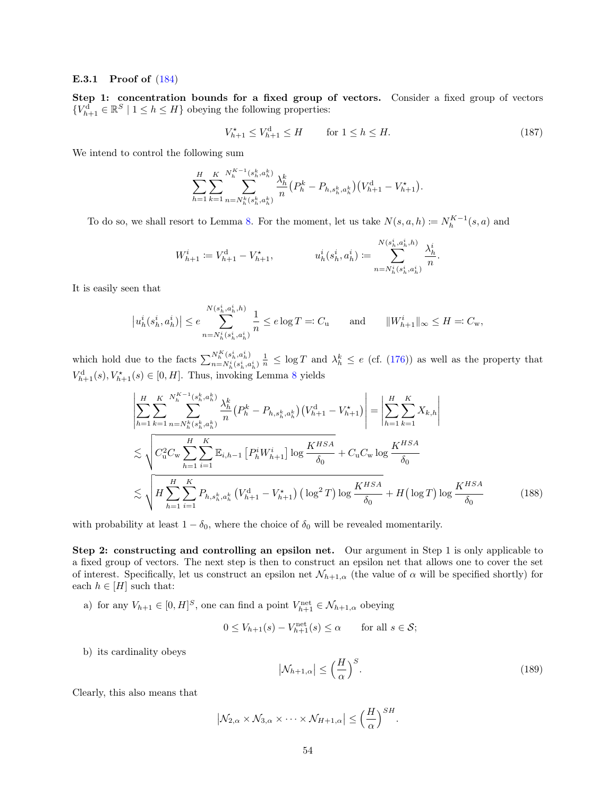#### <span id="page-53-0"></span>E.3.1 Proof of [\(184\)](#page-52-1)

Step 1: concentration bounds for a fixed group of vectors. Consider a fixed group of vectors  ${V_{h+1}^{\mathbf{d}}} \in \mathbb{R}^S \mid 1 \leq h \leq H$  obeying the following properties:

<span id="page-53-2"></span>
$$
V_{h+1}^{\star} \le V_{h+1}^{\mathrm{d}} \le H \qquad \text{for } 1 \le h \le H. \tag{187}
$$

We intend to control the following sum

$$
\sum_{h=1}^{H} \sum_{k=1}^{K} \sum_{n=N_h^k(s_h^k, a_h^k)}^{N_h^{K-1}(s_h^k, a_h^k)} \frac{\lambda_h^k}{n} \Big( P_h^k - P_{h, s_h^k, a_h^k} \Big) \Big( V_{h+1}^{\mathrm{d}} - V_{h+1}^{\star} \Big).
$$

To do so, we shall resort to Lemma [8.](#page-19-0) For the moment, let us take  $N(s, a, h) \coloneqq N_h^{K-1}(s, a)$  and

$$
W^i_{h+1} \coloneqq V^{\mathbf{d}}_{h+1} - V^{\star}_{h+1}, \hspace{10mm} u^i_h(s^i_h,a^i_h) \coloneqq \sum_{n=N^i_h(s^i_h,a^i_h)}^{N(s^i_h,a^i_h,h)} \frac{\lambda^i_h}{n}.
$$

It is easily seen that

$$
\left|u^i_h(s^i_h,a^i_h)\right|\leq e\sum_{n=N^i_h(s^i_h,a^i_h)}^{N(s^i_h,a^i_h,h)}\frac{1}{n}\leq e\log T=:C_{\tt u}\qquad\text{and}\qquad \|W^i_{h+1}\|_\infty\leq H=:C_{\tt w},
$$

which hold due to the facts  $\sum_{n=N_h^h(s_h^i, a_h^i)}^{N_h^K(s_h^i, a_h^i)} \frac{1}{n} \leq \log T$  and  $\lambda_h^k \leq e$  (cf. [\(176\)](#page-49-1)) as well as the property that  $V_{h+1}^{d}(s), V_{h+1}^{*}(s) \in [0, H].$  Thus, invoking Lemma [8](#page-19-0) yields

$$
\left| \sum_{h=1}^{H} \sum_{k=1}^{K} \sum_{n=N_{h}^{k}(s_{h}^{k}, a_{h}^{k})}^{N_{h}^{K}-1} \frac{\lambda_{h}^{k}}{n} \left( P_{h}^{k} - P_{h, s_{h}^{k}, a_{h}^{k}} \right) \left( V_{h+1}^{d} - V_{h+1}^{*} \right) \right| = \left| \sum_{h=1}^{H} \sum_{k=1}^{K} X_{k,h} \right|
$$
  
\n
$$
\lesssim \sqrt{C_{u}^{2} C_{w} \sum_{h=1}^{H} \sum_{i=1}^{K} \mathbb{E}_{i,h-1} \left[ P_{h}^{i} W_{h+1}^{i} \right] \log \frac{K^{HSA}}{\delta_{0}} + C_{u} C_{w} \log \frac{K^{HSA}}{\delta_{0}}
$$
  
\n
$$
\lesssim \sqrt{H \sum_{h=1}^{H} \sum_{i=1}^{K} P_{h,s_{h}^{k}, a_{h}^{k}} \left( V_{h+1}^{d} - V_{h+1}^{*} \right) \left( \log^{2} T \right) \log \frac{K^{HSA}}{\delta_{0}} + H \left( \log T \right) \log \frac{K^{HSA}}{\delta_{0}}
$$
(188)

with probability at least  $1 - \delta_0$ , where the choice of  $\delta_0$  will be revealed momentarily.

Step 2: constructing and controlling an epsilon net. Our argument in Step 1 is only applicable to a fixed group of vectors. The next step is then to construct an epsilon net that allows one to cover the set of interest. Specifically, let us construct an epsilon net  $\mathcal{N}_{h+1,\alpha}$  (the value of  $\alpha$  will be specified shortly) for each  $h \in [H]$  such that:

a) for any  $V_{h+1} \in [0, H]^S$ , one can find a point  $V_{h+1}^{\text{net}} \in \mathcal{N}_{h+1,\alpha}$  obeying

$$
0 \le V_{h+1}(s) - V_{h+1}^{\text{net}}(s) \le \alpha \quad \text{for all } s \in \mathcal{S};
$$

b) its cardinality obeys

<span id="page-53-1"></span>
$$
\left|\mathcal{N}_{h+1,\alpha}\right| \le \left(\frac{H}{\alpha}\right)^S. \tag{189}
$$

Clearly, this also means that

$$
|\mathcal{N}_{2,\alpha} \times \mathcal{N}_{3,\alpha} \times \cdots \times \mathcal{N}_{H+1,\alpha}| \leq \left(\frac{H}{\alpha}\right)^{SH}.
$$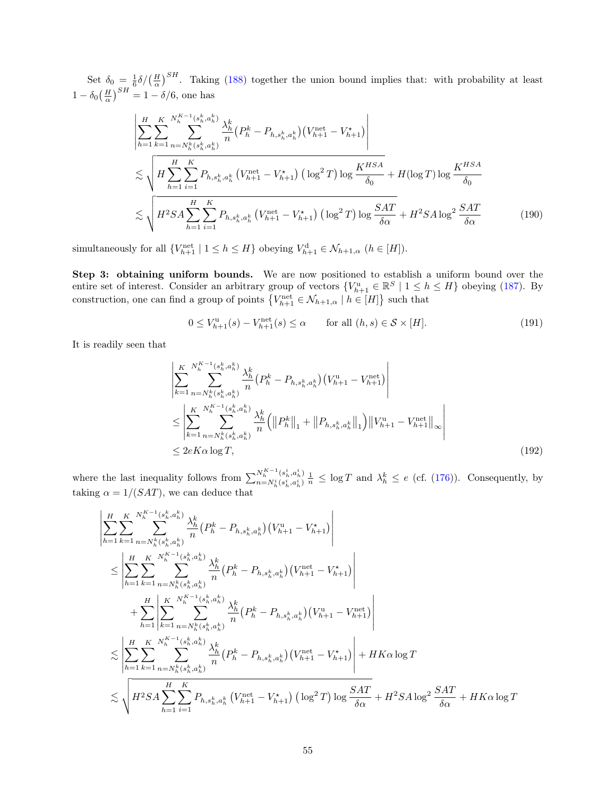Set  $\delta_0 = \frac{1}{6} \delta / (\frac{H}{\alpha})^{SH}$ . Taking [\(188\)](#page-53-1) together the union bound implies that: with probability at least  $1 - \delta_0 \left(\frac{H}{\alpha}\right)^{SH} = 1 - \delta/6$ , one has

$$
\left| \sum_{h=1}^{H} \sum_{k=1}^{K} \sum_{n=N_{h}^{k}(s_{h}^{k}, a_{h}^{k})} \frac{\lambda_{h}^{k}}{n} \left( P_{h}^{k} - P_{h, s_{h}^{k}, a_{h}^{k}} \right) \left( V_{h+1}^{\text{net}} - V_{h+1}^{*} \right) \right|
$$
  

$$
\lesssim \sqrt{H \sum_{h=1}^{H} \sum_{i=1}^{K} P_{h, s_{h}^{k}, a_{h}^{k}} \left( V_{h+1}^{\text{net}} - V_{h+1}^{*} \right) \left( \log^{2} T \right) \log \frac{K^{HSA}}{\delta_{0}} + H(\log T) \log \frac{K^{HSA}}{\delta_{0}}
$$
  

$$
\lesssim \sqrt{H^{2} SA \sum_{h=1}^{H} \sum_{i=1}^{K} P_{h, s_{h}^{k}, a_{h}^{k}} \left( V_{h+1}^{\text{net}} - V_{h+1}^{*} \right) \left( \log^{2} T \right) \log \frac{SAT}{\delta \alpha}} + H^{2} SA \log^{2} \frac{SAT}{\delta \alpha}
$$
(190)

simultaneously for all  $\{V_{h+1}^{\text{net}} \mid 1 \leq h \leq H\}$  obeying  $V_{h+1}^{\text{d}} \in \mathcal{N}_{h+1,\alpha}$   $(h \in [H]).$ 

Step 3: obtaining uniform bounds. We are now positioned to establish a uniform bound over the entire set of interest. Consider an arbitrary group of vectors  ${V_{h+1}^u \in \mathbb{R}^S \mid 1 \leq h \leq H}$  obeying [\(187\)](#page-53-2). By construction, one can find a group of points  $\{V_{h+1}^{\text{net}} \in \mathcal{N}_{h+1,\alpha} \mid h \in [H]\}$  such that

<span id="page-54-0"></span>
$$
0 \le V_{h+1}^{\mathfrak{u}}(s) - V_{h+1}^{\text{net}}(s) \le \alpha \qquad \text{for all } (h, s) \in \mathcal{S} \times [H]. \tag{191}
$$

It is readily seen that

$$
\begin{split}\n&\left| \sum_{k=1}^{K} \sum_{n=N_{h}^{k}(s_{h}^{k}, a_{h}^{k})}^{N_{h}^{K}-1} \frac{\lambda_{h}^{k}}{n} \left( P_{h}^{k} - P_{h, s_{h}^{k}, a_{h}^{k}} \right) \left( V_{h+1}^{\mathrm{u}} - V_{h+1}^{\mathrm{net}} \right) \right| \\
&\leq \left| \sum_{k=1}^{K} \sum_{n=N_{h}^{k}(s_{h}^{k}, a_{h}^{k})}^{N_{h}^{K}-1} \frac{\lambda_{h}^{k}}{n} \left( \left\| P_{h}^{k} \right\|_{1} + \left\| P_{h, s_{h}^{k}, a_{h}^{k}} \right\|_{1} \right) \left\| V_{h+1}^{\mathrm{u}} - V_{h+1}^{\mathrm{net}} \right\|_{\infty} \right| \\
&\leq 2eK\alpha \log T,\n\end{split} \tag{192}
$$

where the last inequality follows from  $\sum_{n=N^i}^{N_h^{K-1}(s_h^i, a_h^i)}$  $\frac{N_h^{s-1}(s_h^i, a_h^i)}{n=N_h^i(s_h^i, a_h^i)}\frac{1}{n} \leq \log T$  and  $\lambda_h^k \leq e$  (cf. [\(176\)](#page-49-1)). Consequently, by taking  $\alpha = 1/(SAT)$ , we can deduce that

$$
\begin{split}\n&\left|\sum_{h=1}^{K}\sum_{k=1}^{N_{h}^{K-1}(s_{h}^{k},a_{h}^{k})} \frac{\lambda_{h}^{k}}{n} (P_{h}^{k}-P_{h,s_{h}^{k},a_{h}^{k}}) (V_{h+1}^{u}-V_{h+1}^{\star})\right| \\
&\leq \left|\sum_{h=1}^{H}\sum_{k=1}^{K}\sum_{n=N_{h}^{K}(s_{h}^{k},a_{h}^{k})} \frac{\lambda_{h}^{k}}{n} (P_{h}^{k}-P_{h,s_{h}^{k},a_{h}^{k}}) (V_{h+1}^{net}-V_{h+1}^{\star})\right| \\
&+ \sum_{h=1}^{H} \left|\sum_{k=1}^{K}\sum_{n=N_{h}^{K}(s_{h}^{k},a_{h}^{k})} \frac{\lambda_{h}^{k}}{n} (P_{h}^{k}-P_{h,s_{h}^{k},a_{h}^{k}}) (V_{h+1}^{u}-V_{h+1}^{net})\right| \\
&\leq \left|\sum_{h=1}^{H}\sum_{k=1}^{N_{h}^{K-1}(s_{h}^{k},a_{h}^{k})} \frac{\lambda_{h}^{k}}{n} (P_{h}^{k}-P_{h,s_{h}^{k},a_{h}^{k}}) (V_{h+1}^{u}-V_{h+1}^{net})\right| \\
&\leq \left|\sum_{h=1}^{H}\sum_{k=1}^{K}\sum_{n=N_{h}^{K}(s_{h}^{k},a_{h}^{k})} \frac{\lambda_{h}^{k}}{n} (P_{h}^{k}-P_{h,s_{h}^{k},a_{h}^{k}}) (V_{h+1}^{net}-V_{h+1}^{\star})\right| + HK\alpha \log T \\
&\leq \sqrt{H^{2}SA} \sum_{h=1}^{H}\sum_{i=1}^{K}P_{h,s_{h}^{k},a_{h}^{k}} (V_{h+1}^{net}-V_{h+1}^{\star}) (\log^{2}T) \log \frac{SAT}{\delta\alpha} + H^{2}SA\log^{2} \frac{SAT}{\delta\alpha} + HK\alpha \log T\n\end{split}
$$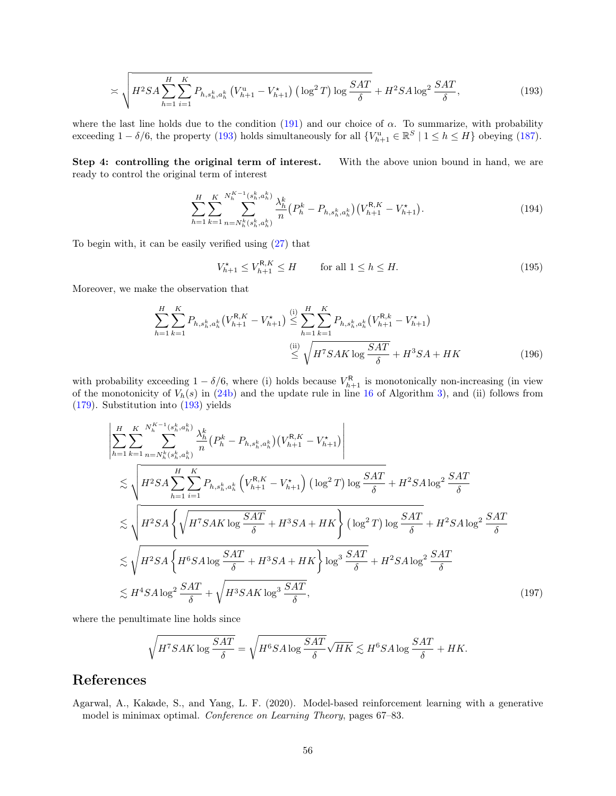$$
\asymp \sqrt{H^2 SA \sum_{h=1}^{H} \sum_{i=1}^{K} P_{h, s_h^k, a_h^k} \left( V_{h+1}^{\mathrm{u}} - V_{h+1}^{\star} \right) \left( \log^2 T \right) \log \frac{SAT}{\delta}} + H^2 SA \log^2 \frac{SAT}{\delta},\tag{193}
$$

where the last line holds due to the condition [\(191\)](#page-54-0) and our choice of  $\alpha$ . To summarize, with probability exceeding  $1 - \delta/6$ , the property [\(193\)](#page-55-1) holds simultaneously for all  $\{V_{h+1}^{\mathrm{u}} \in \mathbb{R}^S \mid 1 \leq h \leq H\}$  obeying [\(187\)](#page-53-2).

Step 4: controlling the original term of interest. With the above union bound in hand, we are ready to control the original term of interest

<span id="page-55-1"></span>
$$
\sum_{h=1}^{H} \sum_{k=1}^{K} \sum_{n=N_h^k(s_h^k, a_h^k)}^{N_h^{K-1}(s_h^k, a_h^k)} \frac{\lambda_h^k}{n} \left( P_h^k - P_{h, s_h^k, a_h^k} \right) \left( V_{h+1}^{R,K} - V_{h+1}^{\star} \right). \tag{194}
$$

To begin with, it can be easily verified using [\(27\)](#page-14-7) that

$$
V_{h+1}^* \le V_{h+1}^{\mathsf{R},K} \le H \qquad \text{for all } 1 \le h \le H. \tag{195}
$$

Moreover, we make the observation that

$$
\sum_{h=1}^{H} \sum_{k=1}^{K} P_{h,s_h^k, a_h^k} \left( V_{h+1}^{R,K} - V_{h+1}^* \right) \stackrel{\text{(i)}}{\leq} \sum_{h=1}^{H} \sum_{k=1}^{K} P_{h,s_h^k, a_h^k} \left( V_{h+1}^{R,k} - V_{h+1}^* \right)
$$
\n
$$
\stackrel{\text{(ii)}}{\leq} \sqrt{H^7 S A K \log \frac{S A T}{\delta}} + H^3 S A + H K \tag{196}
$$

with probability exceeding  $1 - \delta/6$ , where (i) holds because  $V_{h+1}^{\mathsf{R}}$  is monotonically non-increasing (in view of the monotonicity of  $V_h(s)$  in [\(24b\)](#page-13-3) and the update rule in line [16](#page-9-3) of Algorithm [3\)](#page-12-2), and (ii) follows from [\(179\)](#page-50-2). Substitution into [\(193\)](#page-55-1) yields

$$
\left| \sum_{h=1}^{H} \sum_{k=1}^{K} \sum_{n=N_{h}^{k}(s_{h}^{k}, a_{h}^{k})}^{N_{h}^{k}} \frac{\lambda_{h}^{k}}{n} (P_{h}^{k} - P_{h, s_{h}^{k}, a_{h}^{k}}) (V_{h+1}^{R, K} - V_{h+1}^{*}) \right|
$$
  
\n
$$
\lesssim \sqrt{H^{2}SA} \sum_{h=1}^{H} \sum_{i=1}^{K} P_{h, s_{h}^{k}, a_{h}^{k}} (V_{h+1}^{R, K} - V_{h+1}^{*}) (\log^{2} T) \log \frac{SAT}{\delta} + H^{2}SA \log^{2} \frac{SAT}{\delta}
$$
  
\n
$$
\lesssim \sqrt{H^{2}SA} \left\{ \sqrt{H^{7}SAK \log \frac{SAT}{\delta} + H^{3}SA + HK} \right\} (\log^{2} T) \log \frac{SAT}{\delta} + H^{2}SA \log^{2} \frac{SAT}{\delta}
$$
  
\n
$$
\lesssim \sqrt{H^{2}SA} \left\{ H^{6}SA \log \frac{SAT}{\delta} + H^{3}SA + HK \right\} \log^{3} \frac{SAT}{\delta} + H^{2}SA \log^{2} \frac{SAT}{\delta}
$$
  
\n
$$
\lesssim H^{4}SA \log^{2} \frac{SAT}{\delta} + \sqrt{H^{3}SAK \log^{3} \frac{SAT}{\delta}}, \tag{197}
$$

where the penultimate line holds since

$$
\sqrt{H^7SAK\log\frac{SAT}{\delta}} = \sqrt{H^6SA\log\frac{SAT}{\delta}}\sqrt{HK} \lesssim H^6SA\log\frac{SAT}{\delta} + HK.
$$

# References

<span id="page-55-0"></span>Agarwal, A., Kakade, S., and Yang, L. F. (2020). Model-based reinforcement learning with a generative model is minimax optimal. *Conference on Learning Theory*, pages 67–83.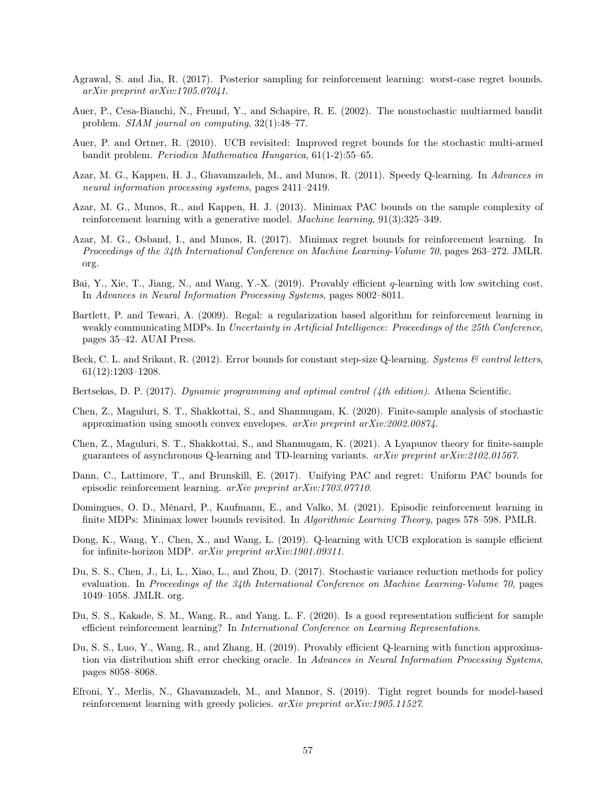- <span id="page-56-3"></span>Agrawal, S. and Jia, R. (2017). Posterior sampling for reinforcement learning: worst-case regret bounds. arXiv preprint arXiv:1705.07041.
- <span id="page-56-1"></span>Auer, P., Cesa-Bianchi, N., Freund, Y., and Schapire, R. E. (2002). The nonstochastic multiarmed bandit problem. SIAM journal on computing, 32(1):48–77.
- <span id="page-56-12"></span>Auer, P. and Ortner, R. (2010). UCB revisited: Improved regret bounds for the stochastic multi-armed bandit problem. Periodica Mathematica Hungarica, 61(1-2):55–65.
- <span id="page-56-11"></span>Azar, M. G., Kappen, H. J., Ghavamzadeh, M., and Munos, R. (2011). Speedy Q-learning. In Advances in neural information processing systems, pages 2411–2419.
- <span id="page-56-15"></span>Azar, M. G., Munos, R., and Kappen, H. J. (2013). Minimax PAC bounds on the sample complexity of reinforcement learning with a generative model. Machine learning, 91(3):325–349.
- <span id="page-56-4"></span>Azar, M. G., Osband, I., and Munos, R. (2017). Minimax regret bounds for reinforcement learning. In Proceedings of the 34th International Conference on Machine Learning-Volume 70, pages 263–272. JMLR. org.
- <span id="page-56-6"></span>Bai, Y., Xie, T., Jiang, N., and Wang, Y.-X. (2019). Provably efficient q-learning with low switching cost. In Advances in Neural Information Processing Systems, pages 8002–8011.
- <span id="page-56-16"></span>Bartlett, P. and Tewari, A. (2009). Regal: a regularization based algorithm for reinforcement learning in weakly communicating MDPs. In Uncertainty in Artificial Intelligence: Proceedings of the 25th Conference, pages 35–42. AUAI Press.
- <span id="page-56-8"></span>Beck, C. L. and Srikant, R. (2012). Error bounds for constant step-size Q-learning. Systems & control letters, 61(12):1203–1208.
- <span id="page-56-17"></span>Bertsekas, D. P. (2017). Dynamic programming and optimal control (4th edition). Athena Scientific.
- <span id="page-56-9"></span>Chen, Z., Maguluri, S. T., Shakkottai, S., and Shanmugam, K. (2020). Finite-sample analysis of stochastic approximation using smooth convex envelopes.  $arXiv$  preprint  $arXiv:2002.00874$ .
- <span id="page-56-10"></span>Chen, Z., Maguluri, S. T., Shakkottai, S., and Shanmugam, K. (2021). A Lyapunov theory for finite-sample guarantees of asynchronous Q-learning and TD-learning variants.  $arXiv$  preprint  $arXiv:2102.01567$ .
- <span id="page-56-0"></span>Dann, C., Lattimore, T., and Brunskill, E. (2017). Unifying PAC and regret: Uniform PAC bounds for episodic reinforcement learning. arXiv preprint arXiv:1703.07710.
- <span id="page-56-2"></span>Domingues, O. D., Ménard, P., Kaufmann, E., and Valko, M. (2021). Episodic reinforcement learning in finite MDPs: Minimax lower bounds revisited. In *Algorithmic Learning Theory*, pages 578–598. PMLR.
- <span id="page-56-13"></span>Dong, K., Wang, Y., Chen, X., and Wang, L. (2019). Q-learning with UCB exploration is sample efficient for infinite-horizon MDP. arXiv preprint arXiv:1901.09311.
- <span id="page-56-14"></span>Du, S. S., Chen, J., Li, L., Xiao, L., and Zhou, D. (2017). Stochastic variance reduction methods for policy evaluation. In Proceedings of the 34th International Conference on Machine Learning-Volume 70, pages 1049–1058. JMLR. org.
- <span id="page-56-18"></span>Du, S. S., Kakade, S. M., Wang, R., and Yang, L. F. (2020). Is a good representation sufficient for sample efficient reinforcement learning? In International Conference on Learning Representations.
- <span id="page-56-7"></span>Du, S. S., Luo, Y., Wang, R., and Zhang, H. (2019). Provably efficient Q-learning with function approximation via distribution shift error checking oracle. In Advances in Neural Information Processing Systems, pages 8058–8068.
- <span id="page-56-5"></span>Efroni, Y., Merlis, N., Ghavamzadeh, M., and Mannor, S. (2019). Tight regret bounds for model-based reinforcement learning with greedy policies. arXiv preprint arXiv:1905.11527.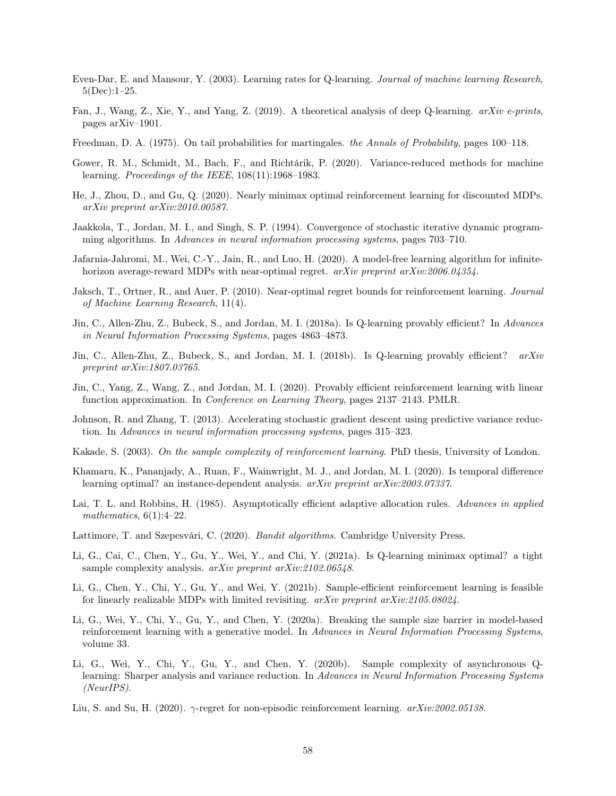- <span id="page-57-5"></span>Even-Dar, E. and Mansour, Y. (2003). Learning rates for Q-learning. Journal of machine learning Research, 5(Dec):1–25.
- <span id="page-57-3"></span>Fan, J., Wang, Z., Xie, Y., and Yang, Z. (2019). A theoretical analysis of deep Q-learning. arXiv e-prints, pages arXiv–1901.
- <span id="page-57-19"></span>Freedman, D. A. (1975). On tail probabilities for martingales. the Annals of Probability, pages 100–118.
- <span id="page-57-11"></span>Gower, R. M., Schmidt, M., Bach, F., and Richtárik, P. (2020). Variance-reduced methods for machine learning. Proceedings of the IEEE, 108(11):1968–1983.
- <span id="page-57-15"></span>He, J., Zhou, D., and Gu, Q. (2020). Nearly minimax optimal reinforcement learning for discounted MDPs. arXiv preprint arXiv:2010.00587.
- <span id="page-57-4"></span>Jaakkola, T., Jordan, M. I., and Singh, S. P. (1994). Convergence of stochastic iterative dynamic programming algorithms. In Advances in neural information processing systems, pages 703–710.
- <span id="page-57-9"></span>Jafarnia-Jahromi, M., Wei, C.-Y., Jain, R., and Luo, H. (2020). A model-free learning algorithm for infinitehorizon average-reward MDPs with near-optimal regret. arXiv preprint arXiv:2006.04354.
- <span id="page-57-1"></span>Jaksch, T., Ortner, R., and Auer, P. (2010). Near-optimal regret bounds for reinforcement learning. Journal of Machine Learning Research, 11(4).
- <span id="page-57-2"></span>Jin, C., Allen-Zhu, Z., Bubeck, S., and Jordan, M. I. (2018a). Is Q-learning provably efficient? In Advances in Neural Information Processing Systems, pages 4863–4873.
- <span id="page-57-20"></span>Jin, C., Allen-Zhu, Z., Bubeck, S., and Jordan, M. I. (2018b). Is Q-learning provably efficient? arXiv preprint arXiv:1807.03765.
- <span id="page-57-17"></span>Jin, C., Yang, Z., Wang, Z., and Jordan, M. I. (2020). Provably efficient reinforcement learning with linear function approximation. In Conference on Learning Theory, pages 2137–2143. PMLR.
- <span id="page-57-12"></span>Johnson, R. and Zhang, T. (2013). Accelerating stochastic gradient descent using predictive variance reduction. In Advances in neural information processing systems, pages 315–323.
- <span id="page-57-0"></span>Kakade, S. (2003). On the sample complexity of reinforcement learning. PhD thesis, University of London.
- <span id="page-57-13"></span>Khamaru, K., Pananjady, A., Ruan, F., Wainwright, M. J., and Jordan, M. I. (2020). Is temporal difference learning optimal? an instance-dependent analysis. arXiv preprint arXiv:2003.07337.
- <span id="page-57-8"></span>Lai, T. L. and Robbins, H. (1985). Asymptotically efficient adaptive allocation rules. Advances in applied mathematics,  $6(1):4-22$ .
- <span id="page-57-16"></span>Lattimore, T. and Szepesvári, C. (2020). Bandit algorithms. Cambridge University Press.
- <span id="page-57-6"></span>Li, G., Cai, C., Chen, Y., Gu, Y., Wei, Y., and Chi, Y. (2021a). Is Q-learning minimax optimal? a tight sample complexity analysis. arXiv preprint arXiv:2102.06548.
- <span id="page-57-18"></span>Li, G., Chen, Y., Chi, Y., Gu, Y., and Wei, Y. (2021b). Sample-efficient reinforcement learning is feasible for linearly realizable MDPs with limited revisiting. arXiv preprint arXiv:2105.08024.
- <span id="page-57-14"></span>Li, G., Wei, Y., Chi, Y., Gu, Y., and Chen, Y. (2020a). Breaking the sample size barrier in model-based reinforcement learning with a generative model. In Advances in Neural Information Processing Systems, volume 33.
- <span id="page-57-7"></span>Li, G., Wei, Y., Chi, Y., Gu, Y., and Chen, Y. (2020b). Sample complexity of asynchronous Qlearning: Sharper analysis and variance reduction. In Advances in Neural Information Processing Systems (NeurIPS).
- <span id="page-57-10"></span>Liu, S. and Su, H. (2020).  $\gamma$ -regret for non-episodic reinforcement learning.  $arXiv:2002.05138$ .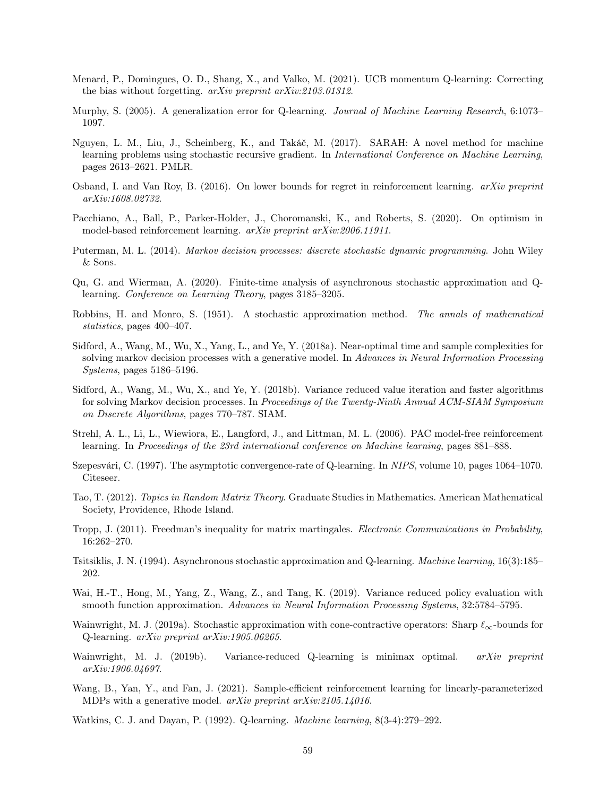- <span id="page-58-2"></span>Menard, P., Domingues, O. D., Shang, X., and Valko, M. (2021). UCB momentum Q-learning: Correcting the bias without forgetting. arXiv preprint arXiv:2103.01312.
- <span id="page-58-3"></span>Murphy, S. (2005). A generalization error for Q-learning. Journal of Machine Learning Research, 6:1073– 1097.
- <span id="page-58-11"></span>Nguyen, L. M., Liu, J., Scheinberg, K., and Takáč, M. (2017). SARAH: A novel method for machine learning problems using stochastic recursive gradient. In *International Conference on Machine Learning*, pages 2613–2621. PMLR.
- <span id="page-58-15"></span>Osband, I. and Van Roy, B. (2016). On lower bounds for regret in reinforcement learning. arXiv preprint arXiv:1608.02732.
- <span id="page-58-0"></span>Pacchiano, A., Ball, P., Parker-Holder, J., Choromanski, K., and Roberts, S. (2020). On optimism in model-based reinforcement learning. arXiv preprint arXiv:2006.11911.
- <span id="page-58-16"></span>Puterman, M. L. (2014). Markov decision processes: discrete stochastic dynamic programming. John Wiley & Sons.
- <span id="page-58-8"></span>Qu, G. and Wierman, A. (2020). Finite-time analysis of asynchronous stochastic approximation and Qlearning. Conference on Learning Theory, pages 3185–3205.
- <span id="page-58-17"></span>Robbins, H. and Monro, S. (1951). A stochastic approximation method. The annals of mathematical statistics, pages 400–407.
- <span id="page-58-13"></span>Sidford, A., Wang, M., Wu, X., Yang, L., and Ye, Y. (2018a). Near-optimal time and sample complexities for solving markov decision processes with a generative model. In Advances in Neural Information Processing Systems, pages 5186–5196.
- <span id="page-58-14"></span>Sidford, A., Wang, M., Wu, X., and Ye, Y. (2018b). Variance reduced value iteration and faster algorithms for solving Markov decision processes. In Proceedings of the Twenty-Ninth Annual ACM-SIAM Symposium on Discrete Algorithms, pages 770–787. SIAM.
- <span id="page-58-1"></span>Strehl, A. L., Li, L., Wiewiora, E., Langford, J., and Littman, M. L. (2006). PAC model-free reinforcement learning. In Proceedings of the 23rd international conference on Machine learning, pages 881–888.
- <span id="page-58-4"></span>Szepesvári, C. (1997). The asymptotic convergence-rate of Q-learning. In NIPS, volume 10, pages 1064–1070. Citeseer.
- <span id="page-58-19"></span>Tao, T. (2012). Topics in Random Matrix Theory. Graduate Studies in Mathematics. American Mathematical Society, Providence, Rhode Island.
- <span id="page-58-18"></span>Tropp, J. (2011). Freedman's inequality for matrix martingales. Electronic Communications in Probability, 16:262–270.
- <span id="page-58-5"></span>Tsitsiklis, J. N. (1994). Asynchronous stochastic approximation and Q-learning. Machine learning, 16(3):185– 202.
- <span id="page-58-12"></span>Wai, H.-T., Hong, M., Yang, Z., Wang, Z., and Tang, K. (2019). Variance reduced policy evaluation with smooth function approximation. Advances in Neural Information Processing Systems, 32:5784–5795.
- <span id="page-58-7"></span>Wainwright, M. J. (2019a). Stochastic approximation with cone-contractive operators: Sharp  $\ell_{\infty}$ -bounds for Q-learning. arXiv preprint arXiv:1905.06265.
- <span id="page-58-9"></span>Wainwright, M. J. (2019b). Variance-reduced Q-learning is minimax optimal. arXiv preprint arXiv:1906.04697.
- <span id="page-58-10"></span>Wang, B., Yan, Y., and Fan, J. (2021). Sample-efficient reinforcement learning for linearly-parameterized MDPs with a generative model. arXiv preprint arXiv:2105.14016.
- <span id="page-58-6"></span>Watkins, C. J. and Dayan, P. (1992). Q-learning. Machine learning, 8(3-4):279–292.